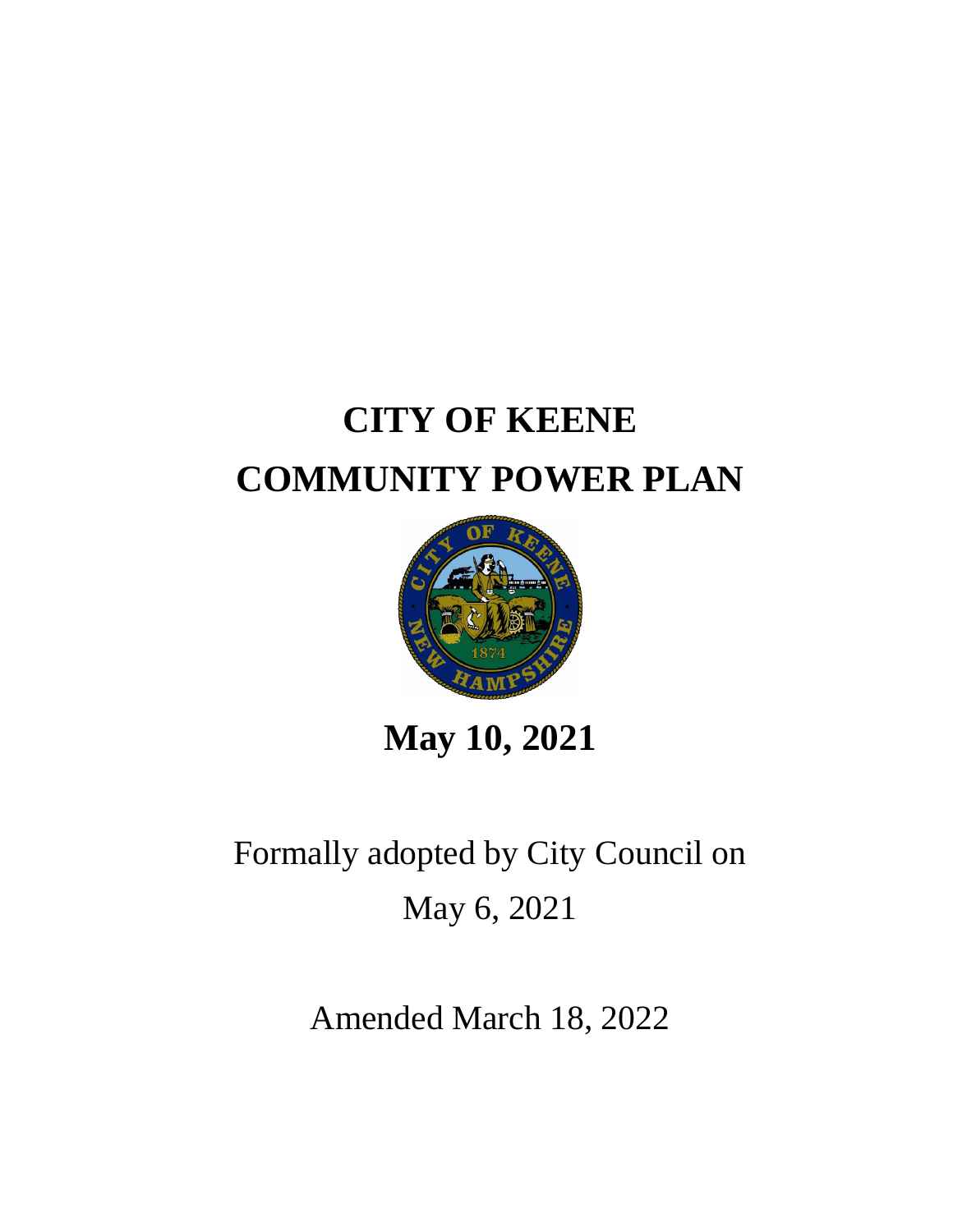# **CITY OF KEENE COMMUNITY POWER PLAN**



**May 10, 2021**

Formally adopted by City Council on May 6, 2021

Amended March 18, 2022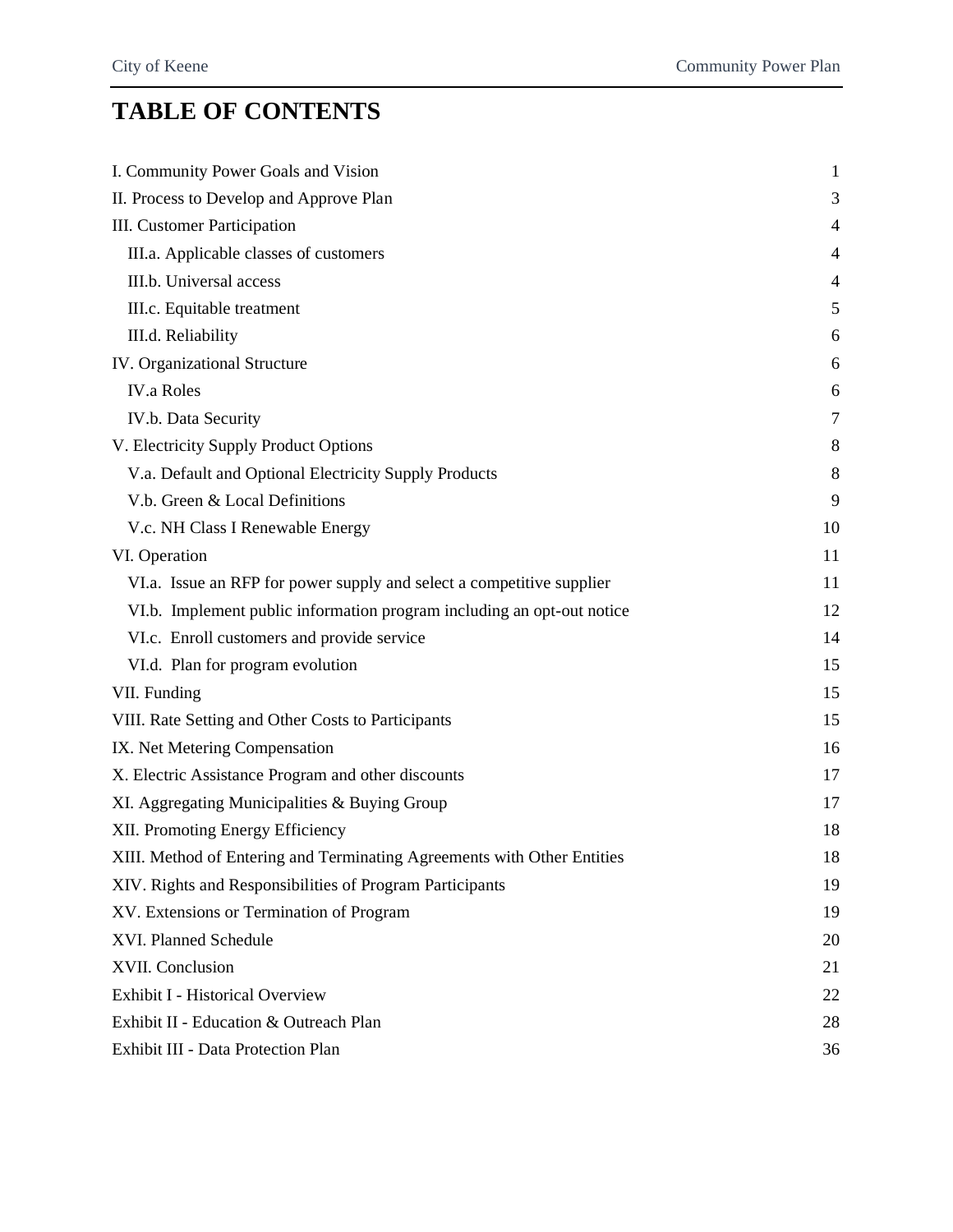# **TABLE OF CONTENTS**

| I. Community Power Goals and Vision                                     | $\mathbf{1}$   |
|-------------------------------------------------------------------------|----------------|
| II. Process to Develop and Approve Plan                                 | 3              |
| <b>III.</b> Customer Participation                                      | 4              |
| III.a. Applicable classes of customers                                  | $\overline{4}$ |
| III.b. Universal access                                                 | 4              |
| III.c. Equitable treatment                                              | 5              |
| III.d. Reliability                                                      | 6              |
| IV. Organizational Structure                                            | 6              |
| <b>IV.a Roles</b>                                                       | 6              |
| IV.b. Data Security                                                     | 7              |
| V. Electricity Supply Product Options                                   | $8\phantom{1}$ |
| V.a. Default and Optional Electricity Supply Products                   | 8              |
| V.b. Green & Local Definitions                                          | 9              |
| V.c. NH Class I Renewable Energy                                        | 10             |
| VI. Operation                                                           | 11             |
| VI.a. Issue an RFP for power supply and select a competitive supplier   | 11             |
| VI.b. Implement public information program including an opt-out notice  | 12             |
| VI.c. Enroll customers and provide service                              | 14             |
| VI.d. Plan for program evolution                                        | 15             |
| VII. Funding                                                            | 15             |
| VIII. Rate Setting and Other Costs to Participants                      | 15             |
| IX. Net Metering Compensation                                           | 16             |
| X. Electric Assistance Program and other discounts                      | 17             |
| XI. Aggregating Municipalities & Buying Group                           | 17             |
| XII. Promoting Energy Efficiency                                        | 18             |
| XIII. Method of Entering and Terminating Agreements with Other Entities | 18             |
| XIV. Rights and Responsibilities of Program Participants                | 19             |
| XV. Extensions or Termination of Program                                | 19             |
| XVI. Planned Schedule                                                   | 20             |
| XVII. Conclusion                                                        | 21             |
| <b>Exhibit I - Historical Overview</b>                                  | 22             |
| Exhibit II - Education & Outreach Plan                                  | 28             |
| Exhibit III - Data Protection Plan                                      | 36             |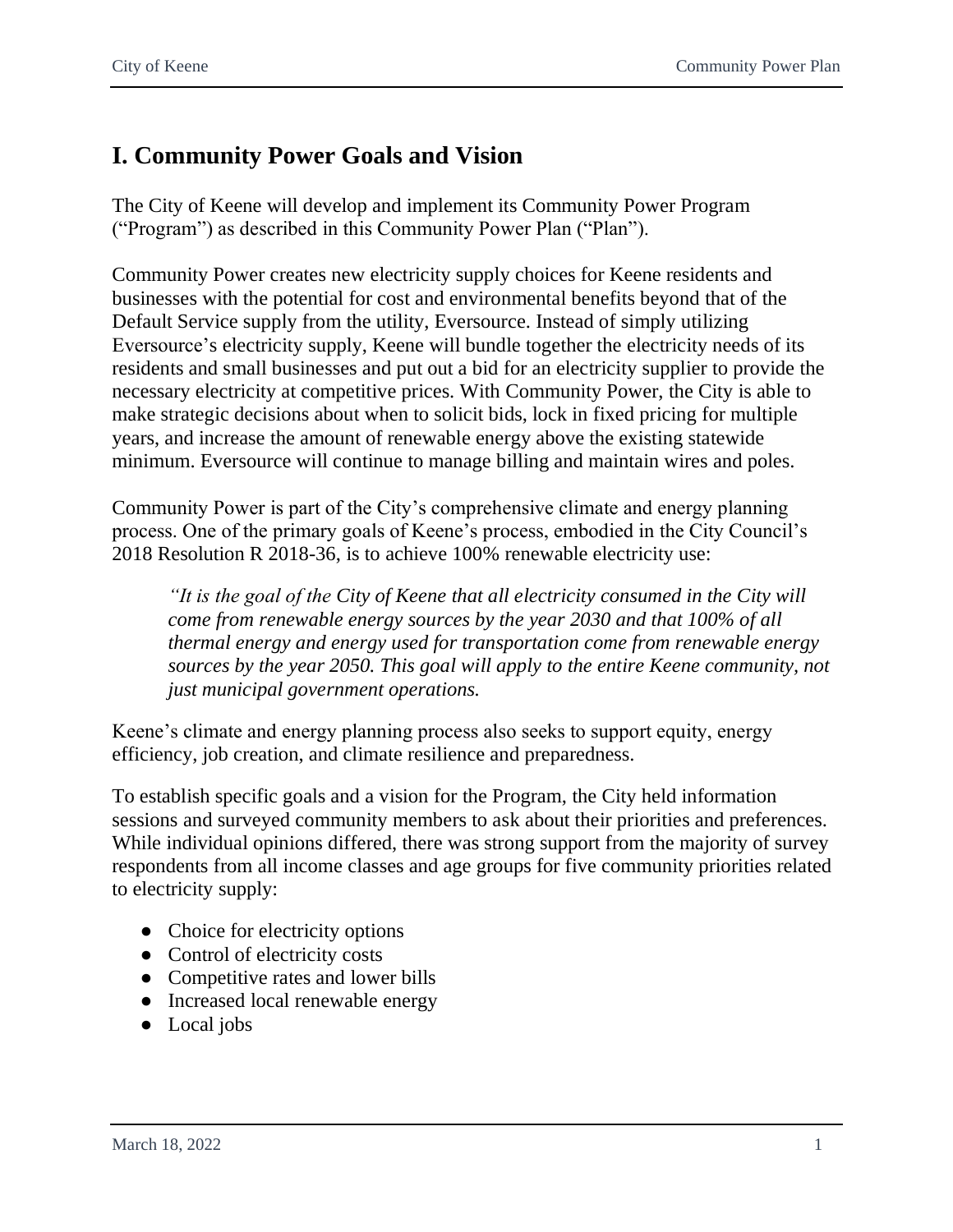# <span id="page-2-0"></span>**I. Community Power Goals and Vision**

The City of Keene will develop and implement its Community Power Program ("Program") as described in this Community Power Plan ("Plan").

Community Power creates new electricity supply choices for Keene residents and businesses with the potential for cost and environmental benefits beyond that of the Default Service supply from the utility, Eversource. Instead of simply utilizing Eversource's electricity supply, Keene will bundle together the electricity needs of its residents and small businesses and put out a bid for an electricity supplier to provide the necessary electricity at competitive prices. With Community Power, the City is able to make strategic decisions about when to solicit bids, lock in fixed pricing for multiple years, and increase the amount of renewable energy above the existing statewide minimum. Eversource will continue to manage billing and maintain wires and poles.

Community Power is part of the City's comprehensive climate and energy planning process. One of the primary goals of Keene's process, embodied in the City Council's 2018 Resolution R 2018-36, is to achieve 100% renewable electricity use:

*"It is the goal of the City of Keene that all electricity consumed in the City will come from renewable energy sources by the year 2030 and that 100% of all thermal energy and energy used for transportation come from renewable energy sources by the year 2050. This goal will apply to the entire Keene community, not just municipal government operations.*

Keene's climate and energy planning process also seeks to support equity, energy efficiency, job creation, and climate resilience and preparedness.

To establish specific goals and a vision for the Program, the City held information sessions and surveyed community members to ask about their priorities and preferences. While individual opinions differed, there was strong support from the majority of survey respondents from all income classes and age groups for five community priorities related to electricity supply:

- Choice for electricity options
- Control of electricity costs
- Competitive rates and lower bills
- Increased local renewable energy
- Local jobs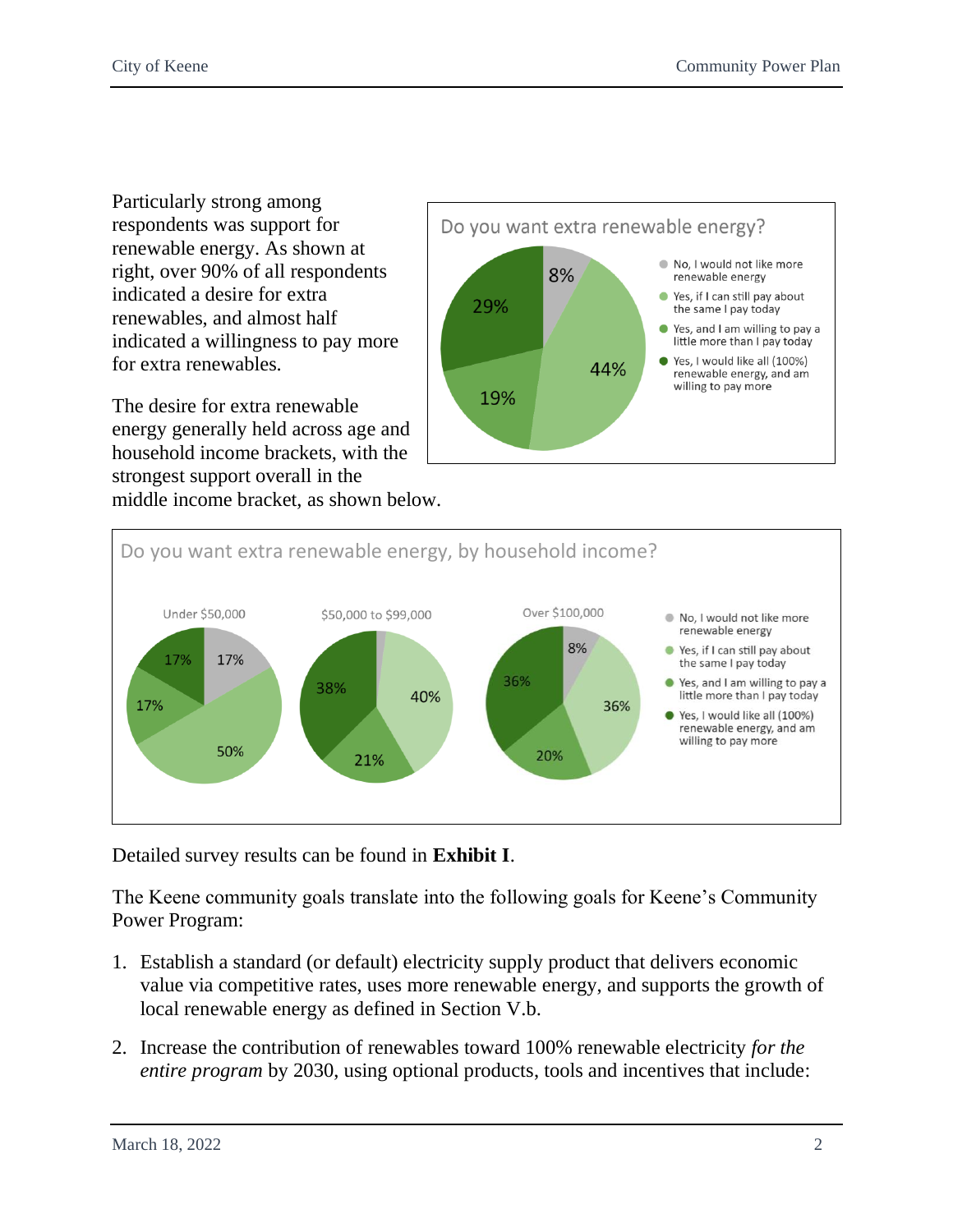Particularly strong among respondents was support for renewable energy. As shown at right, over 90% of all respondents indicated a desire for extra renewables, and almost half indicated a willingness to pay more for extra renewables.

The desire for extra renewable energy generally held across age and household income brackets, with the strongest support overall in the middle income bracket, as shown below.





Detailed survey results can be found in **Exhibit I**.

The Keene community goals translate into the following goals for Keene's Community Power Program:

- 1. Establish a standard (or default) electricity supply product that delivers economic value via competitive rates, uses more renewable energy, and supports the growth of local renewable energy as defined in Section V.b.
- 2. Increase the contribution of renewables toward 100% renewable electricity *for the entire program* by 2030, using optional products, tools and incentives that include: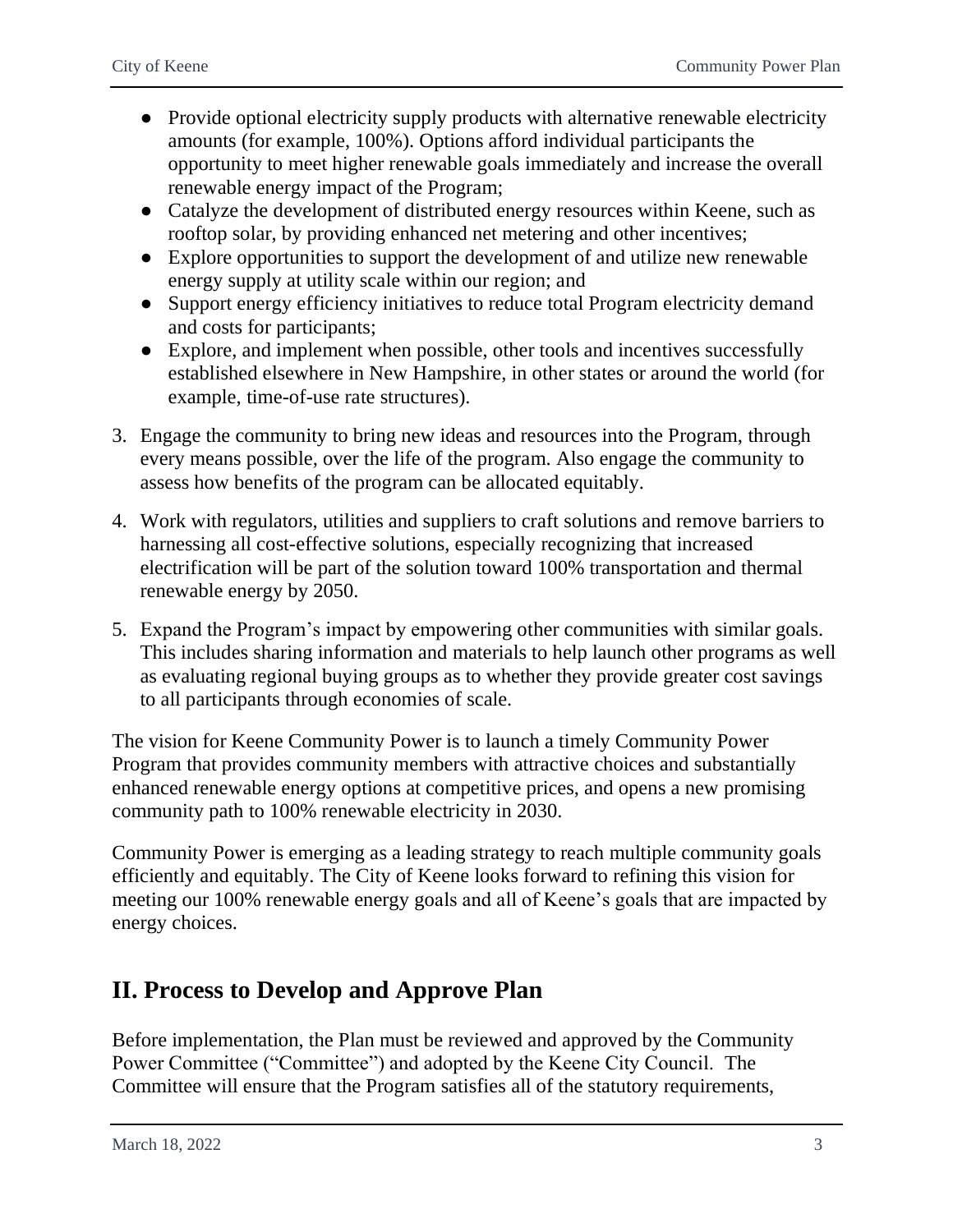- Provide optional electricity supply products with alternative renewable electricity amounts (for example, 100%). Options afford individual participants the opportunity to meet higher renewable goals immediately and increase the overall renewable energy impact of the Program;
- Catalyze the development of distributed energy resources within Keene, such as rooftop solar, by providing enhanced net metering and other incentives;
- Explore opportunities to support the development of and utilize new renewable energy supply at utility scale within our region; and
- Support energy efficiency initiatives to reduce total Program electricity demand and costs for participants;
- Explore, and implement when possible, other tools and incentives successfully established elsewhere in New Hampshire, in other states or around the world (for example, time-of-use rate structures).
- 3. Engage the community to bring new ideas and resources into the Program, through every means possible, over the life of the program. Also engage the community to assess how benefits of the program can be allocated equitably.
- 4. Work with regulators, utilities and suppliers to craft solutions and remove barriers to harnessing all cost-effective solutions, especially recognizing that increased electrification will be part of the solution toward 100% transportation and thermal renewable energy by 2050.
- 5. Expand the Program's impact by empowering other communities with similar goals. This includes sharing information and materials to help launch other programs as well as evaluating regional buying groups as to whether they provide greater cost savings to all participants through economies of scale.

The vision for Keene Community Power is to launch a timely Community Power Program that provides community members with attractive choices and substantially enhanced renewable energy options at competitive prices, and opens a new promising community path to 100% renewable electricity in 2030.

Community Power is emerging as a leading strategy to reach multiple community goals efficiently and equitably. The City of Keene looks forward to refining this vision for meeting our 100% renewable energy goals and all of Keene's goals that are impacted by energy choices.

# <span id="page-4-0"></span>**II. Process to Develop and Approve Plan**

Before implementation, the Plan must be reviewed and approved by the Community Power Committee ("Committee") and adopted by the Keene City Council. The Committee will ensure that the Program satisfies all of the statutory requirements,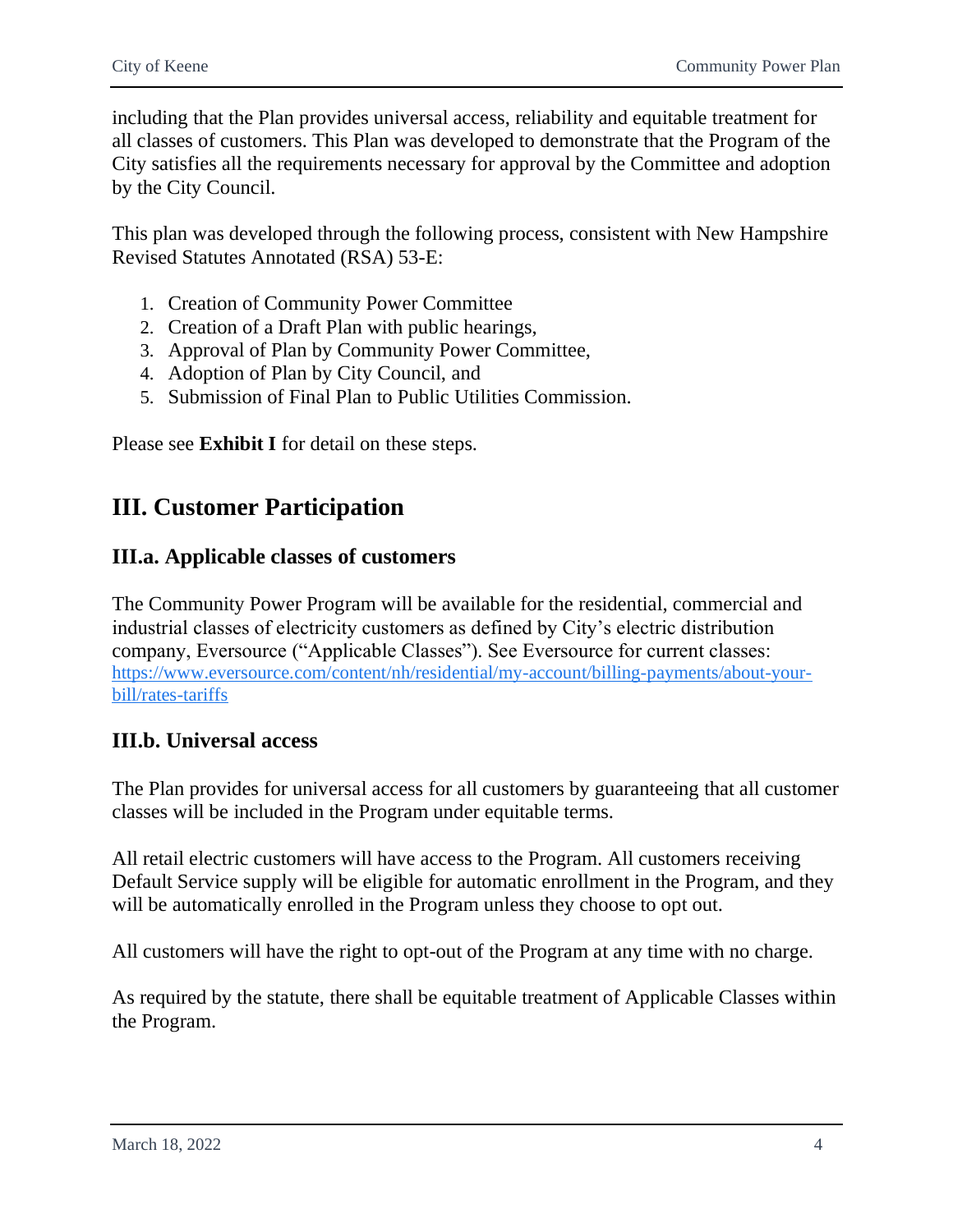including that the Plan provides universal access, reliability and equitable treatment for all classes of customers. This Plan was developed to demonstrate that the Program of the City satisfies all the requirements necessary for approval by the Committee and adoption by the City Council.

This plan was developed through the following process, consistent with New Hampshire Revised Statutes Annotated (RSA) 53-E:

- 1. Creation of Community Power Committee
- 2. Creation of a Draft Plan with public hearings,
- 3. Approval of Plan by Community Power Committee,
- 4. Adoption of Plan by City Council, and
- 5. Submission of Final Plan to Public Utilities Commission.

Please see **Exhibit I** for detail on these steps.

# <span id="page-5-0"></span>**III. Customer Participation**

### <span id="page-5-1"></span>**III.a. Applicable classes of customers**

The Community Power Program will be available for the residential, commercial and industrial classes of electricity customers as defined by City's electric distribution company, Eversource ("Applicable Classes"). See Eversource for current classes: [https://www.eversource.com/content/nh/residential/my-account/billing-payments/about-your](https://www.eversource.com/content/nh/residential/my-account/billing-payments/about-your-bill/rates-tariffs)[bill/rates-tariffs](https://www.eversource.com/content/nh/residential/my-account/billing-payments/about-your-bill/rates-tariffs)

### <span id="page-5-2"></span>**III.b. Universal access**

The Plan provides for universal access for all customers by guaranteeing that all customer classes will be included in the Program under equitable terms.

All retail electric customers will have access to the Program. All customers receiving Default Service supply will be eligible for automatic enrollment in the Program, and they will be automatically enrolled in the Program unless they choose to opt out.

All customers will have the right to opt-out of the Program at any time with no charge.

As required by the statute, there shall be equitable treatment of Applicable Classes within the Program.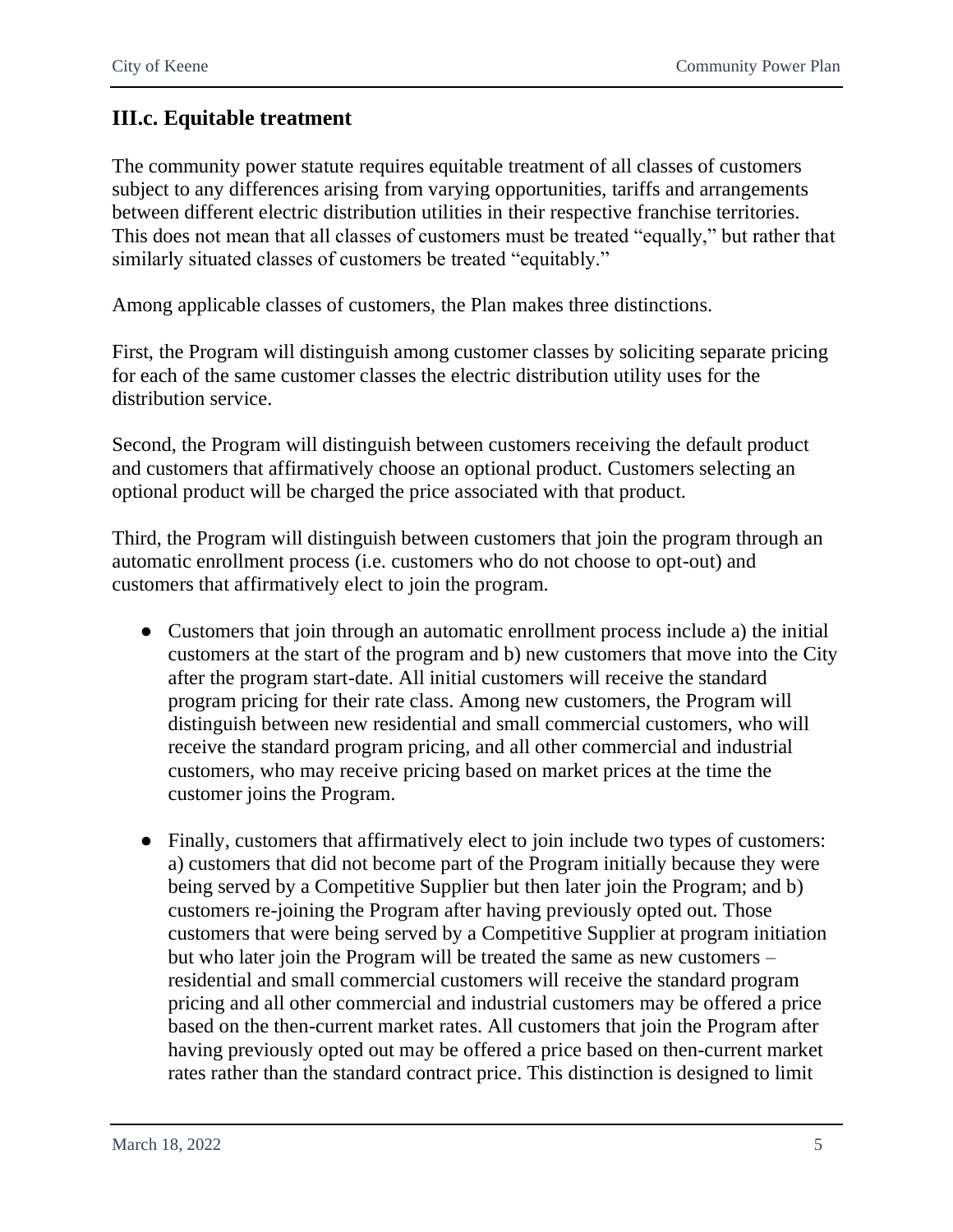# <span id="page-6-0"></span>**III.c. Equitable treatment**

The community power statute requires equitable treatment of all classes of customers subject to any differences arising from varying opportunities, tariffs and arrangements between different electric distribution utilities in their respective franchise territories. This does not mean that all classes of customers must be treated "equally," but rather that similarly situated classes of customers be treated "equitably."

Among applicable classes of customers, the Plan makes three distinctions.

First, the Program will distinguish among customer classes by soliciting separate pricing for each of the same customer classes the electric distribution utility uses for the distribution service.

Second, the Program will distinguish between customers receiving the default product and customers that affirmatively choose an optional product. Customers selecting an optional product will be charged the price associated with that product.

Third, the Program will distinguish between customers that join the program through an automatic enrollment process (i.e. customers who do not choose to opt-out) and customers that affirmatively elect to join the program.

- Customers that join through an automatic enrollment process include a) the initial customers at the start of the program and b) new customers that move into the City after the program start-date. All initial customers will receive the standard program pricing for their rate class. Among new customers, the Program will distinguish between new residential and small commercial customers, who will receive the standard program pricing, and all other commercial and industrial customers, who may receive pricing based on market prices at the time the customer joins the Program.
- Finally, customers that affirmatively elect to join include two types of customers: a) customers that did not become part of the Program initially because they were being served by a Competitive Supplier but then later join the Program; and b) customers re-joining the Program after having previously opted out. Those customers that were being served by a Competitive Supplier at program initiation but who later join the Program will be treated the same as new customers – residential and small commercial customers will receive the standard program pricing and all other commercial and industrial customers may be offered a price based on the then-current market rates. All customers that join the Program after having previously opted out may be offered a price based on then-current market rates rather than the standard contract price. This distinction is designed to limit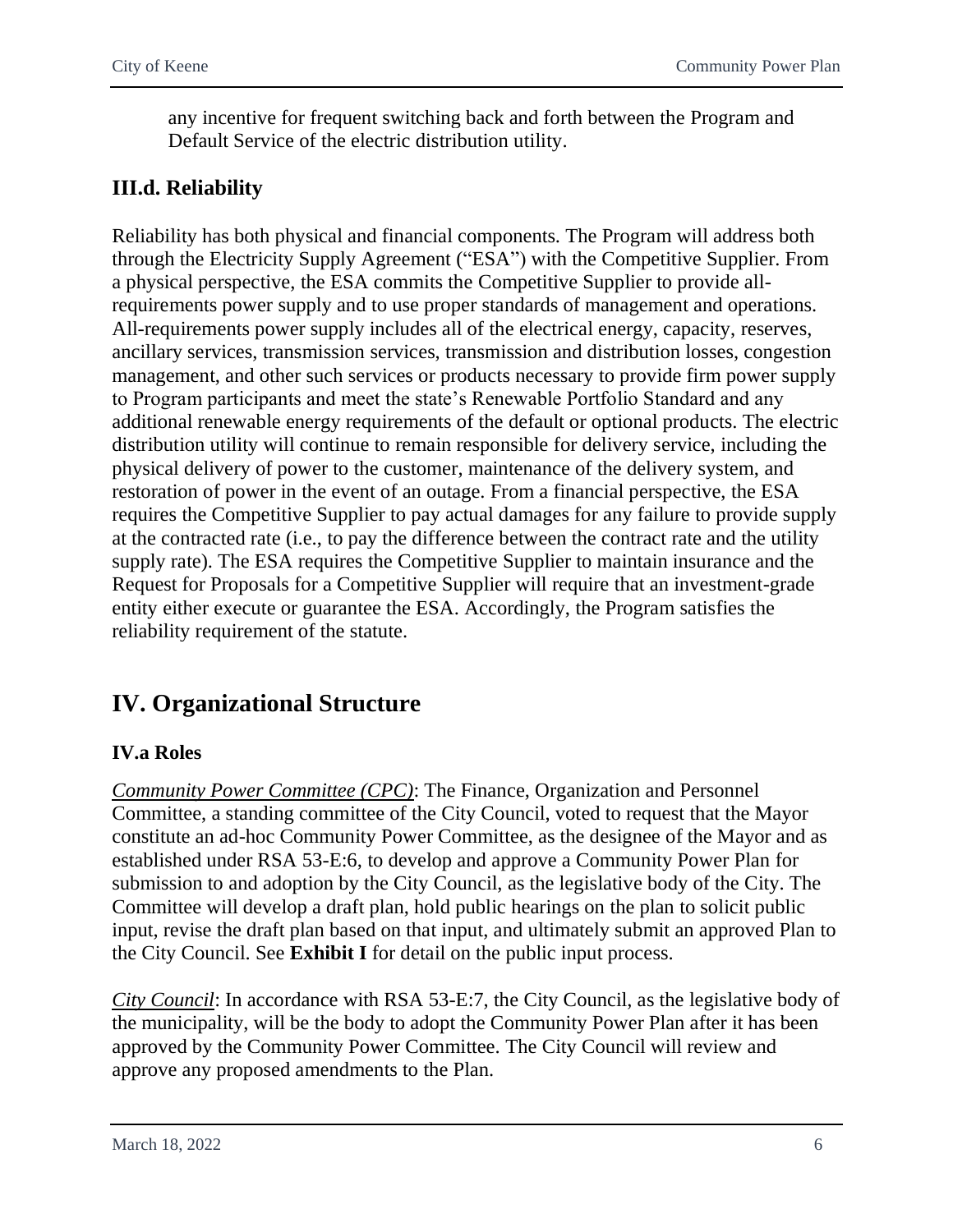any incentive for frequent switching back and forth between the Program and Default Service of the electric distribution utility.

# <span id="page-7-0"></span>**III.d. Reliability**

Reliability has both physical and financial components. The Program will address both through the Electricity Supply Agreement ("ESA") with the Competitive Supplier. From a physical perspective, the ESA commits the Competitive Supplier to provide allrequirements power supply and to use proper standards of management and operations. All-requirements power supply includes all of the electrical energy, capacity, reserves, ancillary services, transmission services, transmission and distribution losses, congestion management, and other such services or products necessary to provide firm power supply to Program participants and meet the state's Renewable Portfolio Standard and any additional renewable energy requirements of the default or optional products. The electric distribution utility will continue to remain responsible for delivery service, including the physical delivery of power to the customer, maintenance of the delivery system, and restoration of power in the event of an outage. From a financial perspective, the ESA requires the Competitive Supplier to pay actual damages for any failure to provide supply at the contracted rate (i.e., to pay the difference between the contract rate and the utility supply rate). The ESA requires the Competitive Supplier to maintain insurance and the Request for Proposals for a Competitive Supplier will require that an investment-grade entity either execute or guarantee the ESA. Accordingly, the Program satisfies the reliability requirement of the statute.

# <span id="page-7-1"></span>**IV. Organizational Structure**

### <span id="page-7-2"></span>**IV.a Roles**

*Community Power Committee (CPC)*: The Finance, Organization and Personnel Committee, a standing committee of the City Council, voted to request that the Mayor constitute an ad-hoc Community Power Committee, as the designee of the Mayor and as established under RSA 53-E:6, to develop and approve a Community Power Plan for submission to and adoption by the City Council, as the legislative body of the City. The Committee will develop a draft plan, hold public hearings on the plan to solicit public input, revise the draft plan based on that input, and ultimately submit an approved Plan to the City Council. See **Exhibit I** for detail on the public input process.

*City Council*: In accordance with RSA 53-E:7, the City Council, as the legislative body of the municipality, will be the body to adopt the Community Power Plan after it has been approved by the Community Power Committee. The City Council will review and approve any proposed amendments to the Plan.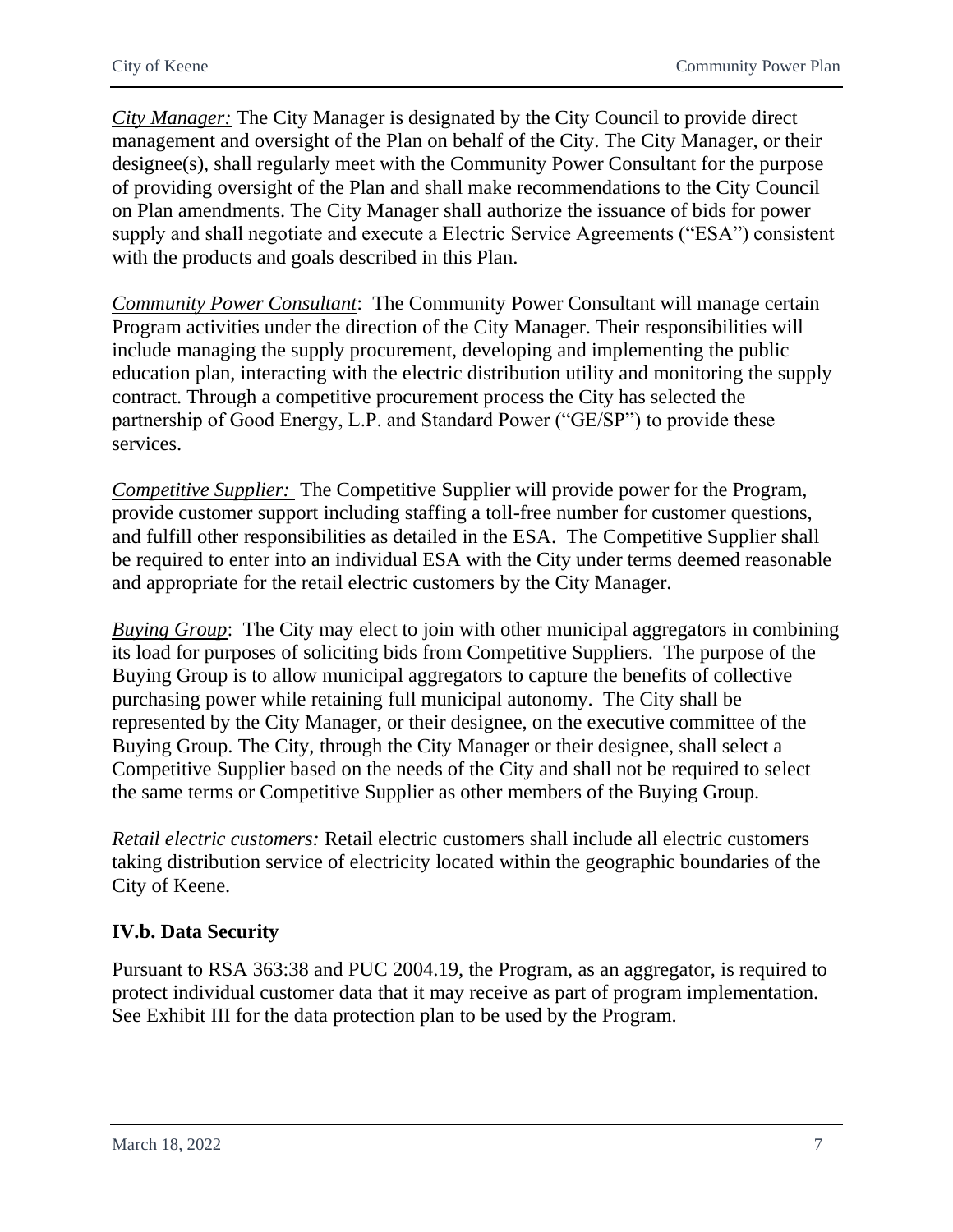*City Manager:* The City Manager is designated by the City Council to provide direct management and oversight of the Plan on behalf of the City. The City Manager, or their designee(s), shall regularly meet with the Community Power Consultant for the purpose of providing oversight of the Plan and shall make recommendations to the City Council on Plan amendments. The City Manager shall authorize the issuance of bids for power supply and shall negotiate and execute a Electric Service Agreements ("ESA") consistent with the products and goals described in this Plan.

*Community Power Consultant*: The Community Power Consultant will manage certain Program activities under the direction of the City Manager. Their responsibilities will include managing the supply procurement, developing and implementing the public education plan, interacting with the electric distribution utility and monitoring the supply contract. Through a competitive procurement process the City has selected the partnership of Good Energy, L.P. and Standard Power ("GE/SP") to provide these services.

*Competitive Supplier:* The Competitive Supplier will provide power for the Program, provide customer support including staffing a toll-free number for customer questions, and fulfill other responsibilities as detailed in the ESA. The Competitive Supplier shall be required to enter into an individual ESA with the City under terms deemed reasonable and appropriate for the retail electric customers by the City Manager.

*Buying Group*: The City may elect to join with other municipal aggregators in combining its load for purposes of soliciting bids from Competitive Suppliers. The purpose of the Buying Group is to allow municipal aggregators to capture the benefits of collective purchasing power while retaining full municipal autonomy. The City shall be represented by the City Manager, or their designee, on the executive committee of the Buying Group. The City, through the City Manager or their designee, shall select a Competitive Supplier based on the needs of the City and shall not be required to select the same terms or Competitive Supplier as other members of the Buying Group.

*Retail electric customers:* Retail electric customers shall include all electric customers taking distribution service of electricity located within the geographic boundaries of the City of Keene.

### <span id="page-8-0"></span>**IV.b. Data Security**

Pursuant to RSA 363:38 and PUC 2004.19, the Program, as an aggregator, is required to protect individual customer data that it may receive as part of program implementation. See Exhibit III for the data protection plan to be used by the Program.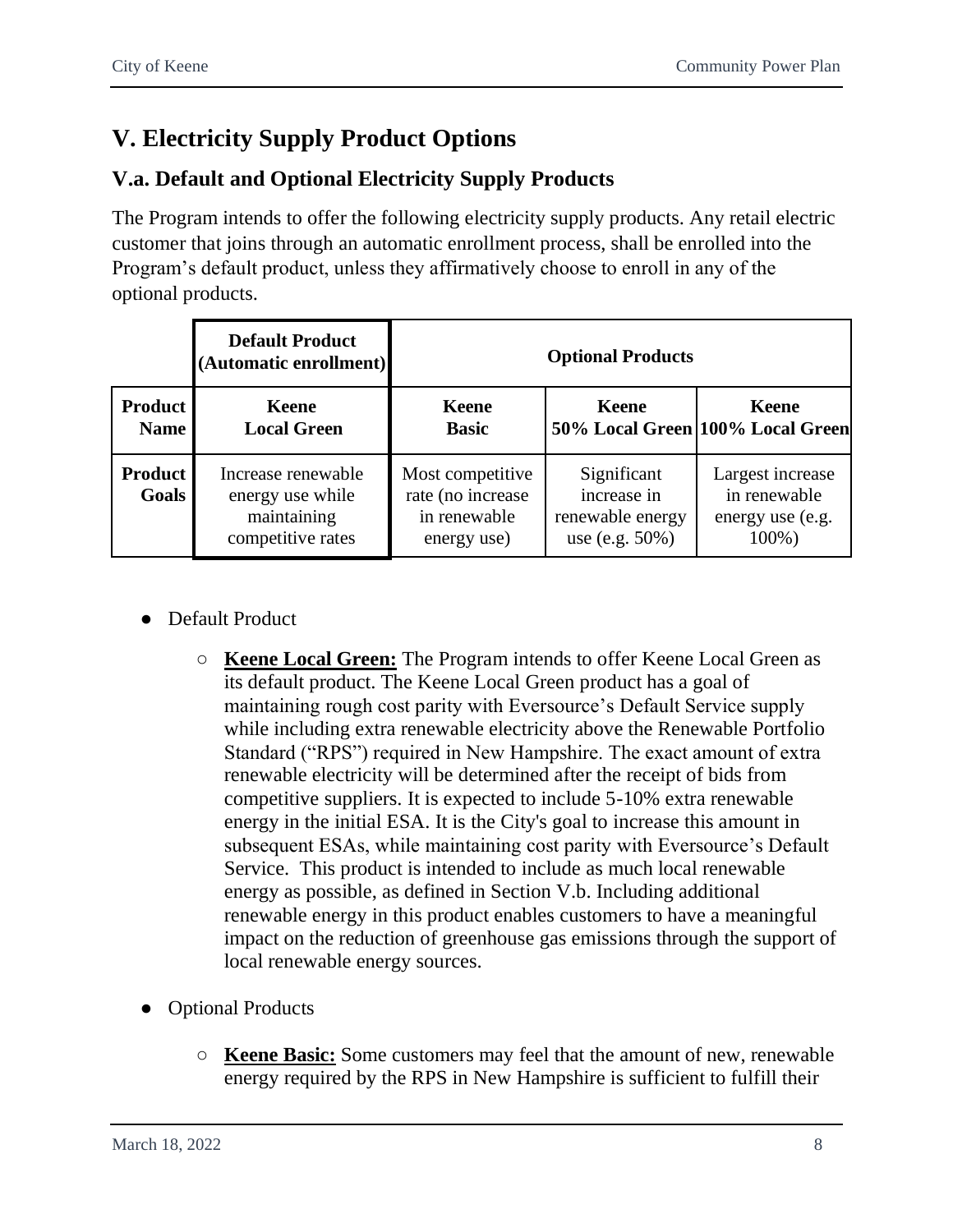# <span id="page-9-0"></span>**V. Electricity Supply Product Options**

# <span id="page-9-1"></span>**V.a. Default and Optional Electricity Supply Products**

The Program intends to offer the following electricity supply products. Any retail electric customer that joins through an automatic enrollment process, shall be enrolled into the Program's default product, unless they affirmatively choose to enroll in any of the optional products.

|                                | <b>Default Product</b><br>(Automatic enrollment)                           | <b>Optional Products</b>                                             |                                                                      |                                                               |
|--------------------------------|----------------------------------------------------------------------------|----------------------------------------------------------------------|----------------------------------------------------------------------|---------------------------------------------------------------|
| <b>Product</b><br><b>Name</b>  | Keene<br><b>Local Green</b>                                                | <b>Keene</b><br><b>Basic</b>                                         | <b>Keene</b>                                                         | <b>Keene</b><br>50% Local Green 100% Local Green              |
| <b>Product</b><br><b>Goals</b> | Increase renewable<br>energy use while<br>maintaining<br>competitive rates | Most competitive<br>rate (no increase<br>in renewable<br>energy use) | Significant<br>increase in<br>renewable energy<br>use (e.g. $50\%$ ) | Largest increase<br>in renewable<br>energy use (e.g.<br>100%) |

- Default Product
	- **Keene Local Green:** The Program intends to offer Keene Local Green as its default product. The Keene Local Green product has a goal of maintaining rough cost parity with Eversource's Default Service supply while including extra renewable electricity above the Renewable Portfolio Standard ("RPS") required in New Hampshire. The exact amount of extra renewable electricity will be determined after the receipt of bids from competitive suppliers. It is expected to include 5-10% extra renewable energy in the initial ESA. It is the City's goal to increase this amount in subsequent ESAs, while maintaining cost parity with Eversource's Default Service. This product is intended to include as much local renewable energy as possible, as defined in Section V.b. Including additional renewable energy in this product enables customers to have a meaningful impact on the reduction of greenhouse gas emissions through the support of local renewable energy sources.
- Optional Products
	- **Keene Basic:** Some customers may feel that the amount of new, renewable energy required by the RPS in New Hampshire is sufficient to fulfill their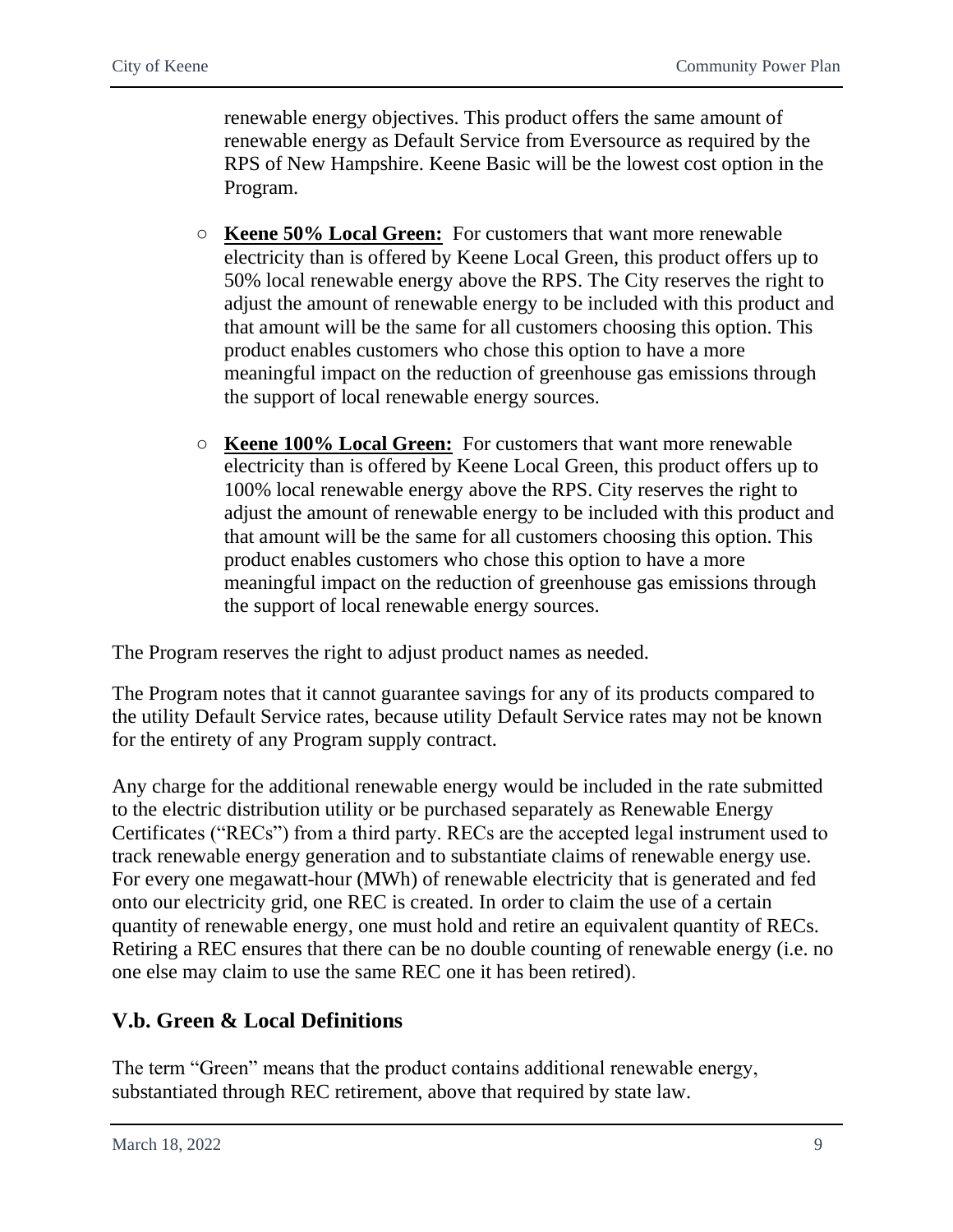renewable energy objectives. This product offers the same amount of renewable energy as Default Service from Eversource as required by the RPS of New Hampshire. Keene Basic will be the lowest cost option in the Program.

- **Keene 50% Local Green:** For customers that want more renewable electricity than is offered by Keene Local Green, this product offers up to 50% local renewable energy above the RPS. The City reserves the right to adjust the amount of renewable energy to be included with this product and that amount will be the same for all customers choosing this option. This product enables customers who chose this option to have a more meaningful impact on the reduction of greenhouse gas emissions through the support of local renewable energy sources.
- **Keene 100% Local Green:** For customers that want more renewable electricity than is offered by Keene Local Green, this product offers up to 100% local renewable energy above the RPS. City reserves the right to adjust the amount of renewable energy to be included with this product and that amount will be the same for all customers choosing this option. This product enables customers who chose this option to have a more meaningful impact on the reduction of greenhouse gas emissions through the support of local renewable energy sources.

The Program reserves the right to adjust product names as needed.

The Program notes that it cannot guarantee savings for any of its products compared to the utility Default Service rates, because utility Default Service rates may not be known for the entirety of any Program supply contract.

Any charge for the additional renewable energy would be included in the rate submitted to the electric distribution utility or be purchased separately as Renewable Energy Certificates ("RECs") from a third party. RECs are the accepted legal instrument used to track renewable energy generation and to substantiate claims of renewable energy use. For every one megawatt-hour (MWh) of renewable electricity that is generated and fed onto our electricity grid, one REC is created. In order to claim the use of a certain quantity of renewable energy, one must hold and retire an equivalent quantity of RECs. Retiring a REC ensures that there can be no double counting of renewable energy (i.e. no one else may claim to use the same REC one it has been retired).

# <span id="page-10-0"></span>**V.b. Green & Local Definitions**

The term "Green" means that the product contains additional renewable energy, substantiated through REC retirement, above that required by state law.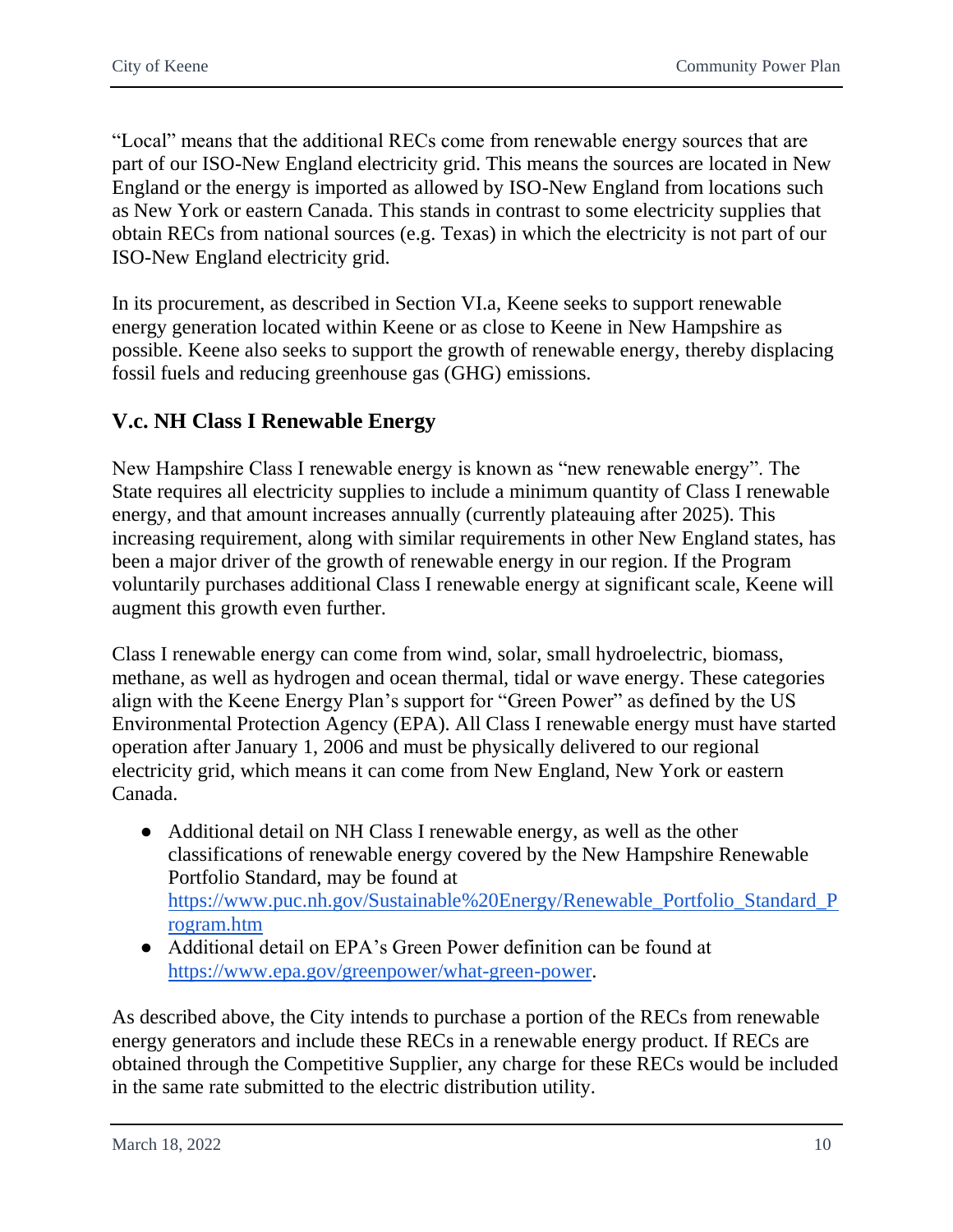"Local" means that the additional RECs come from renewable energy sources that are part of our ISO-New England electricity grid. This means the sources are located in New England or the energy is imported as allowed by ISO-New England from locations such as New York or eastern Canada. This stands in contrast to some electricity supplies that obtain RECs from national sources (e.g. Texas) in which the electricity is not part of our ISO-New England electricity grid.

In its procurement, as described in Section VI.a, Keene seeks to support renewable energy generation located within Keene or as close to Keene in New Hampshire as possible. Keene also seeks to support the growth of renewable energy, thereby displacing fossil fuels and reducing greenhouse gas (GHG) emissions.

### <span id="page-11-0"></span>**V.c. NH Class I Renewable Energy**

New Hampshire Class I renewable energy is known as "new renewable energy". The State requires all electricity supplies to include a minimum quantity of Class I renewable energy, and that amount increases annually (currently plateauing after 2025). This increasing requirement, along with similar requirements in other New England states, has been a major driver of the growth of renewable energy in our region. If the Program voluntarily purchases additional Class I renewable energy at significant scale, Keene will augment this growth even further.

Class I renewable energy can come from wind, solar, small hydroelectric, biomass, methane, as well as hydrogen and ocean thermal, tidal or wave energy. These categories align with the Keene Energy Plan's support for "Green Power" as defined by the US Environmental Protection Agency (EPA). All Class I renewable energy must have started operation after January 1, 2006 and must be physically delivered to our regional electricity grid, which means it can come from New England, New York or eastern Canada.

- Additional detail on NH Class I renewable energy, as well as the other classifications of renewable energy covered by the New Hampshire Renewable Portfolio Standard, may be found at [https://www.puc.nh.gov/Sustainable%20Energy/Renewable\\_Portfolio\\_Standard\\_P](https://www.puc.nh.gov/Sustainable%20Energy/Renewable_Portfolio_Standard_Program.htm) [rogram.htm](https://www.puc.nh.gov/Sustainable%20Energy/Renewable_Portfolio_Standard_Program.htm)
- Additional detail on EPA's Green Power definition can be found at [https://www.epa.gov/greenpower/what-green-power.](https://www.epa.gov/greenpower/what-green-power)

As described above, the City intends to purchase a portion of the RECs from renewable energy generators and include these RECs in a renewable energy product. If RECs are obtained through the Competitive Supplier, any charge for these RECs would be included in the same rate submitted to the electric distribution utility.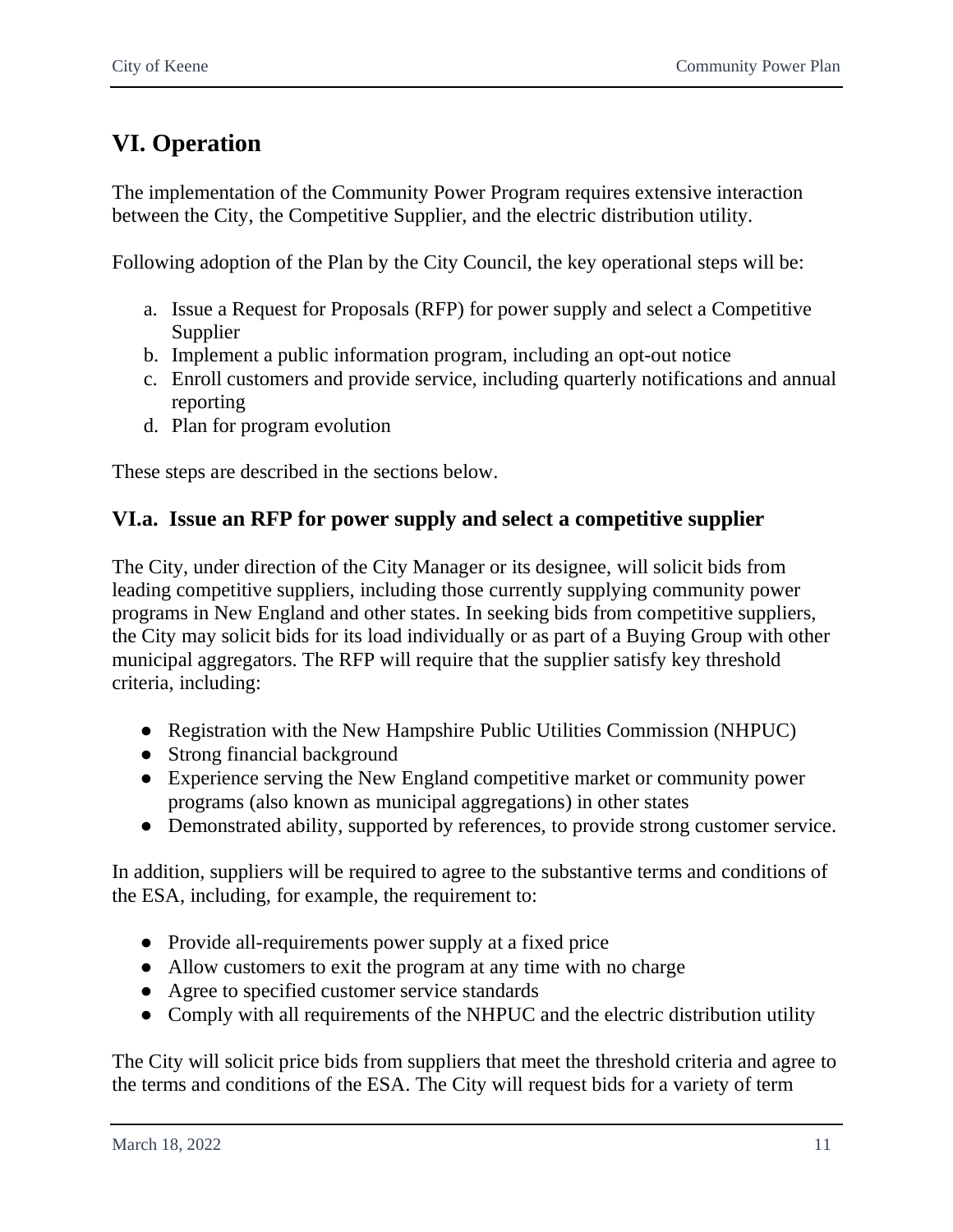# <span id="page-12-0"></span>**VI. Operation**

The implementation of the Community Power Program requires extensive interaction between the City, the Competitive Supplier, and the electric distribution utility.

Following adoption of the Plan by the City Council, the key operational steps will be:

- a. Issue a Request for Proposals (RFP) for power supply and select a Competitive Supplier
- b. Implement a public information program, including an opt-out notice
- c. Enroll customers and provide service, including quarterly notifications and annual reporting
- d. Plan for program evolution

These steps are described in the sections below.

### <span id="page-12-1"></span>**VI.a. Issue an RFP for power supply and select a competitive supplier**

The City, under direction of the City Manager or its designee, will solicit bids from leading competitive suppliers, including those currently supplying community power programs in New England and other states. In seeking bids from competitive suppliers, the City may solicit bids for its load individually or as part of a Buying Group with other municipal aggregators. The RFP will require that the supplier satisfy key threshold criteria, including:

- Registration with the New Hampshire Public Utilities Commission (NHPUC)
- Strong financial background
- Experience serving the New England competitive market or community power programs (also known as municipal aggregations) in other states
- Demonstrated ability, supported by references, to provide strong customer service.

In addition, suppliers will be required to agree to the substantive terms and conditions of the ESA, including, for example, the requirement to:

- Provide all-requirements power supply at a fixed price
- Allow customers to exit the program at any time with no charge
- Agree to specified customer service standards
- Comply with all requirements of the NHPUC and the electric distribution utility

The City will solicit price bids from suppliers that meet the threshold criteria and agree to the terms and conditions of the ESA. The City will request bids for a variety of term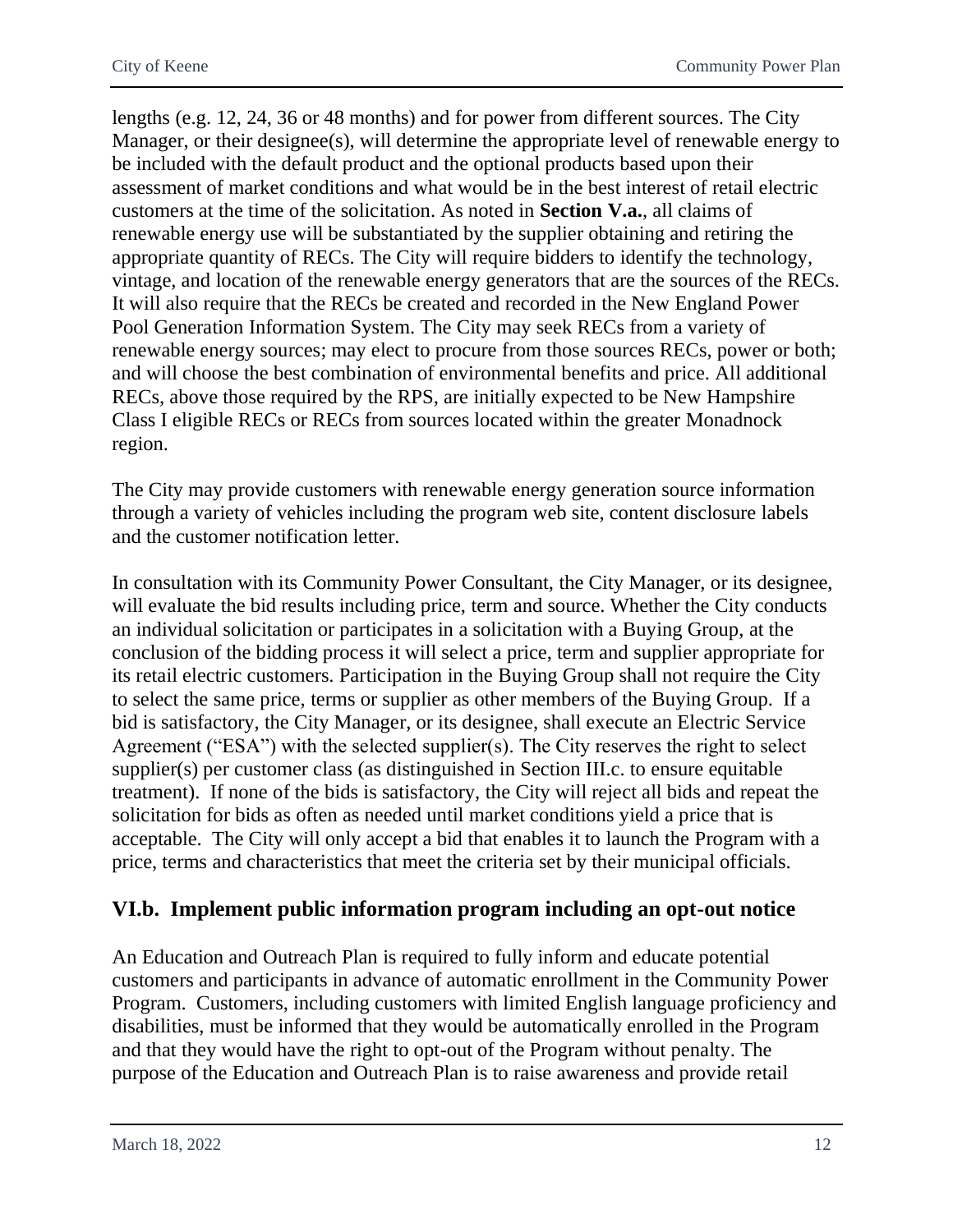lengths (e.g. 12, 24, 36 or 48 months) and for power from different sources. The City Manager, or their designee(s), will determine the appropriate level of renewable energy to be included with the default product and the optional products based upon their assessment of market conditions and what would be in the best interest of retail electric customers at the time of the solicitation. As noted in **Section V.a.**, all claims of renewable energy use will be substantiated by the supplier obtaining and retiring the appropriate quantity of RECs. The City will require bidders to identify the technology, vintage, and location of the renewable energy generators that are the sources of the RECs. It will also require that the RECs be created and recorded in the New England Power Pool Generation Information System. The City may seek RECs from a variety of renewable energy sources; may elect to procure from those sources RECs, power or both; and will choose the best combination of environmental benefits and price. All additional RECs, above those required by the RPS, are initially expected to be New Hampshire Class I eligible RECs or RECs from sources located within the greater Monadnock region.

The City may provide customers with renewable energy generation source information through a variety of vehicles including the program web site, content disclosure labels and the customer notification letter.

In consultation with its Community Power Consultant, the City Manager, or its designee, will evaluate the bid results including price, term and source. Whether the City conducts an individual solicitation or participates in a solicitation with a Buying Group, at the conclusion of the bidding process it will select a price, term and supplier appropriate for its retail electric customers. Participation in the Buying Group shall not require the City to select the same price, terms or supplier as other members of the Buying Group. If a bid is satisfactory, the City Manager, or its designee, shall execute an Electric Service Agreement ("ESA") with the selected supplier(s). The City reserves the right to select supplier(s) per customer class (as distinguished in Section III.c. to ensure equitable treatment). If none of the bids is satisfactory, the City will reject all bids and repeat the solicitation for bids as often as needed until market conditions yield a price that is acceptable. The City will only accept a bid that enables it to launch the Program with a price, terms and characteristics that meet the criteria set by their municipal officials.

### <span id="page-13-0"></span>**VI.b. Implement public information program including an opt-out notice**

An Education and Outreach Plan is required to fully inform and educate potential customers and participants in advance of automatic enrollment in the Community Power Program. Customers, including customers with limited English language proficiency and disabilities, must be informed that they would be automatically enrolled in the Program and that they would have the right to opt-out of the Program without penalty. The purpose of the Education and Outreach Plan is to raise awareness and provide retail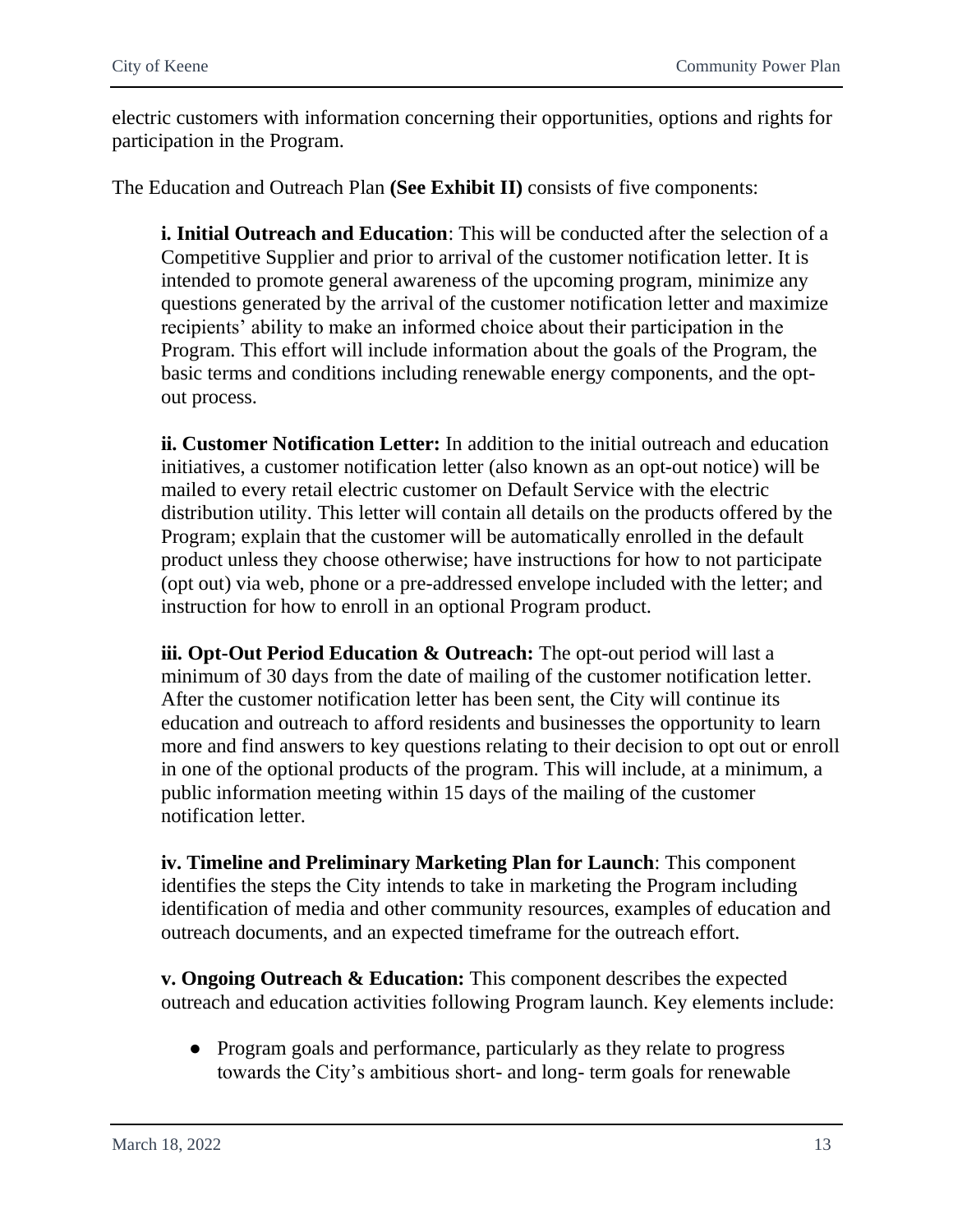electric customers with information concerning their opportunities, options and rights for participation in the Program.

The Education and Outreach Plan **(See Exhibit II)** consists of five components:

**i. Initial Outreach and Education**: This will be conducted after the selection of a Competitive Supplier and prior to arrival of the customer notification letter. It is intended to promote general awareness of the upcoming program, minimize any questions generated by the arrival of the customer notification letter and maximize recipients' ability to make an informed choice about their participation in the Program. This effort will include information about the goals of the Program, the basic terms and conditions including renewable energy components, and the optout process.

**ii. Customer Notification Letter:** In addition to the initial outreach and education initiatives, a customer notification letter (also known as an opt-out notice) will be mailed to every retail electric customer on Default Service with the electric distribution utility. This letter will contain all details on the products offered by the Program; explain that the customer will be automatically enrolled in the default product unless they choose otherwise; have instructions for how to not participate (opt out) via web, phone or a pre-addressed envelope included with the letter; and instruction for how to enroll in an optional Program product.

**iii. Opt-Out Period Education & Outreach:** The opt-out period will last a minimum of 30 days from the date of mailing of the customer notification letter. After the customer notification letter has been sent, the City will continue its education and outreach to afford residents and businesses the opportunity to learn more and find answers to key questions relating to their decision to opt out or enroll in one of the optional products of the program. This will include, at a minimum, a public information meeting within 15 days of the mailing of the customer notification letter.

**iv. Timeline and Preliminary Marketing Plan for Launch**: This component identifies the steps the City intends to take in marketing the Program including identification of media and other community resources, examples of education and outreach documents, and an expected timeframe for the outreach effort.

**v. Ongoing Outreach & Education:** This component describes the expected outreach and education activities following Program launch. Key elements include:

● Program goals and performance, particularly as they relate to progress towards the City's ambitious short- and long- term goals for renewable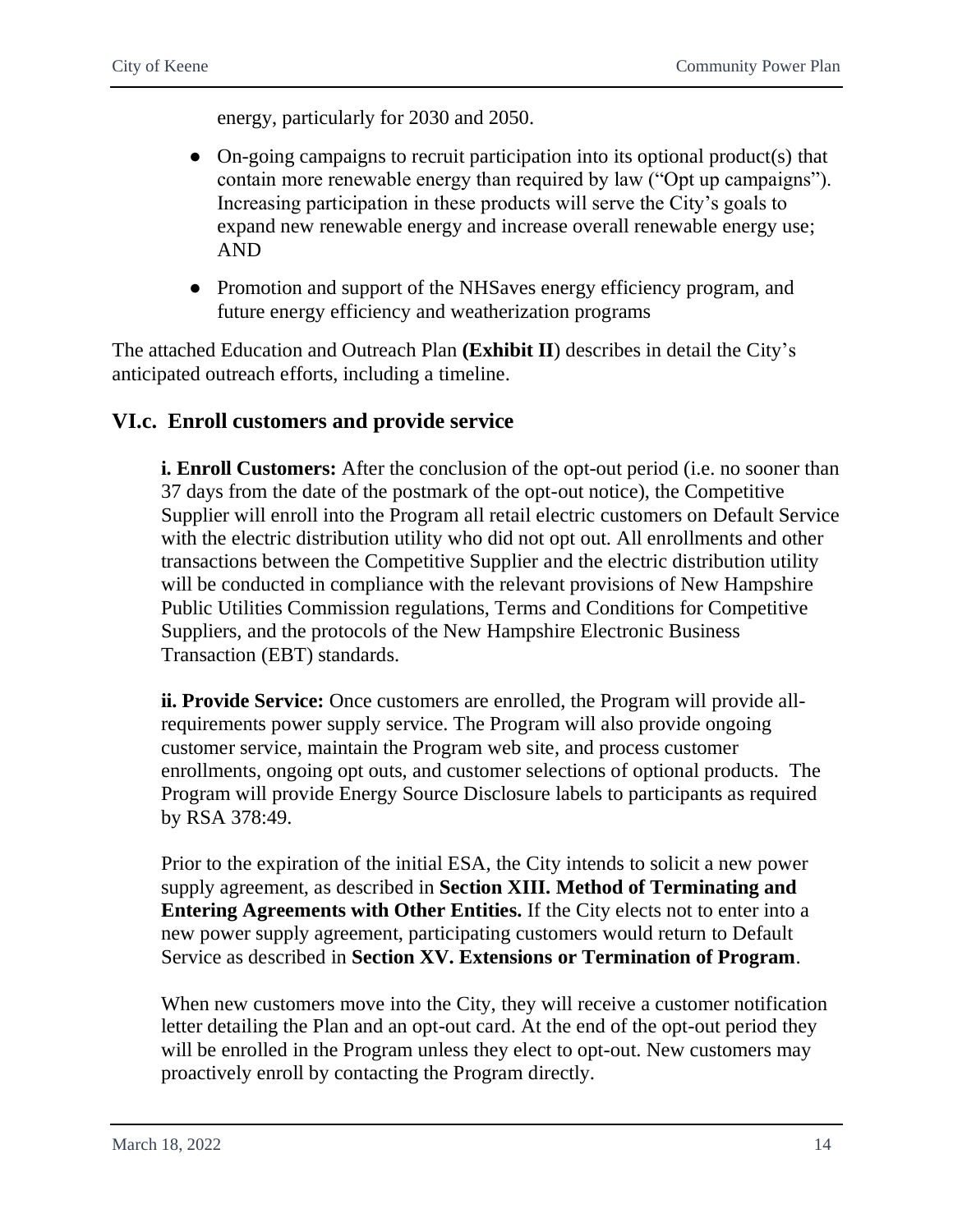energy, particularly for 2030 and 2050.

- On-going campaigns to recruit participation into its optional product(s) that contain more renewable energy than required by law ("Opt up campaigns"). Increasing participation in these products will serve the City's goals to expand new renewable energy and increase overall renewable energy use; AND
- Promotion and support of the NHSaves energy efficiency program, and future energy efficiency and weatherization programs

The attached Education and Outreach Plan **(Exhibit II**) describes in detail the City's anticipated outreach efforts, including a timeline.

### <span id="page-15-0"></span>**VI.c. Enroll customers and provide service**

**i. Enroll Customers:** After the conclusion of the opt-out period (i.e. no sooner than 37 days from the date of the postmark of the opt-out notice), the Competitive Supplier will enroll into the Program all retail electric customers on Default Service with the electric distribution utility who did not opt out. All enrollments and other transactions between the Competitive Supplier and the electric distribution utility will be conducted in compliance with the relevant provisions of New Hampshire Public Utilities Commission regulations, Terms and Conditions for Competitive Suppliers, and the protocols of the New Hampshire Electronic Business Transaction (EBT) standards.

**ii. Provide Service:** Once customers are enrolled, the Program will provide allrequirements power supply service. The Program will also provide ongoing customer service, maintain the Program web site, and process customer enrollments, ongoing opt outs, and customer selections of optional products. The Program will provide Energy Source Disclosure labels to participants as required by RSA 378:49.

Prior to the expiration of the initial ESA, the City intends to solicit a new power supply agreement, as described in **Section XIII. Method of Terminating and Entering Agreements with Other Entities.** If the City elects not to enter into a new power supply agreement, participating customers would return to Default Service as described in **Section XV. Extensions or Termination of Program**.

When new customers move into the City, they will receive a customer notification letter detailing the Plan and an opt-out card. At the end of the opt-out period they will be enrolled in the Program unless they elect to opt-out. New customers may proactively enroll by contacting the Program directly.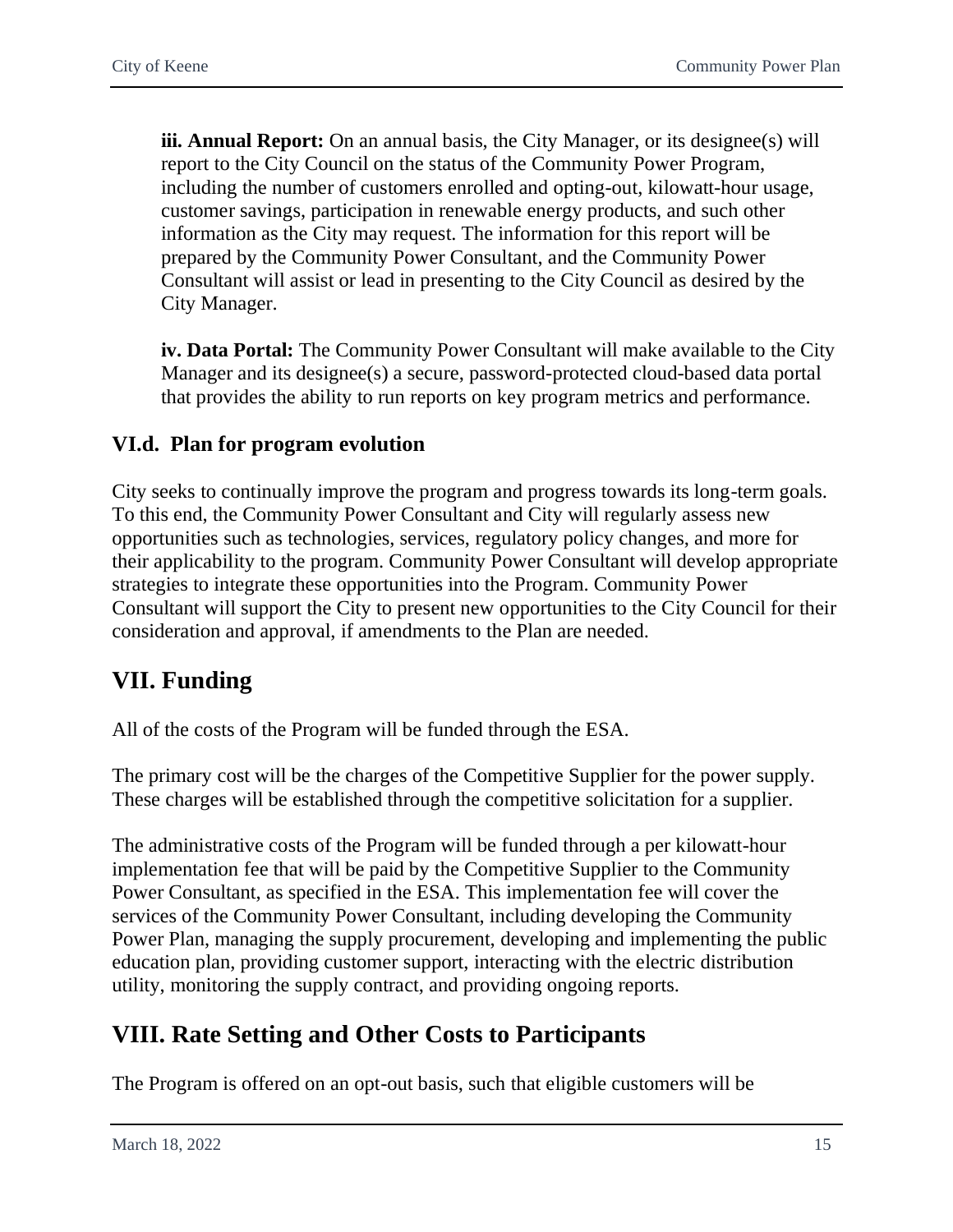**iii. Annual Report:** On an annual basis, the City Manager, or its designee(s) will report to the City Council on the status of the Community Power Program, including the number of customers enrolled and opting-out, kilowatt-hour usage, customer savings, participation in renewable energy products, and such other information as the City may request. The information for this report will be prepared by the Community Power Consultant, and the Community Power Consultant will assist or lead in presenting to the City Council as desired by the City Manager.

**iv. Data Portal:** The Community Power Consultant will make available to the City Manager and its designee(s) a secure, password-protected cloud-based data portal that provides the ability to run reports on key program metrics and performance.

### <span id="page-16-0"></span>**VI.d. Plan for program evolution**

City seeks to continually improve the program and progress towards its long-term goals. To this end, the Community Power Consultant and City will regularly assess new opportunities such as technologies, services, regulatory policy changes, and more for their applicability to the program. Community Power Consultant will develop appropriate strategies to integrate these opportunities into the Program. Community Power Consultant will support the City to present new opportunities to the City Council for their consideration and approval, if amendments to the Plan are needed.

# <span id="page-16-1"></span>**VII. Funding**

All of the costs of the Program will be funded through the ESA.

The primary cost will be the charges of the Competitive Supplier for the power supply. These charges will be established through the competitive solicitation for a supplier.

The administrative costs of the Program will be funded through a per kilowatt-hour implementation fee that will be paid by the Competitive Supplier to the Community Power Consultant, as specified in the ESA. This implementation fee will cover the services of the Community Power Consultant, including developing the Community Power Plan, managing the supply procurement, developing and implementing the public education plan, providing customer support, interacting with the electric distribution utility, monitoring the supply contract, and providing ongoing reports.

# <span id="page-16-2"></span>**VIII. Rate Setting and Other Costs to Participants**

The Program is offered on an opt-out basis, such that eligible customers will be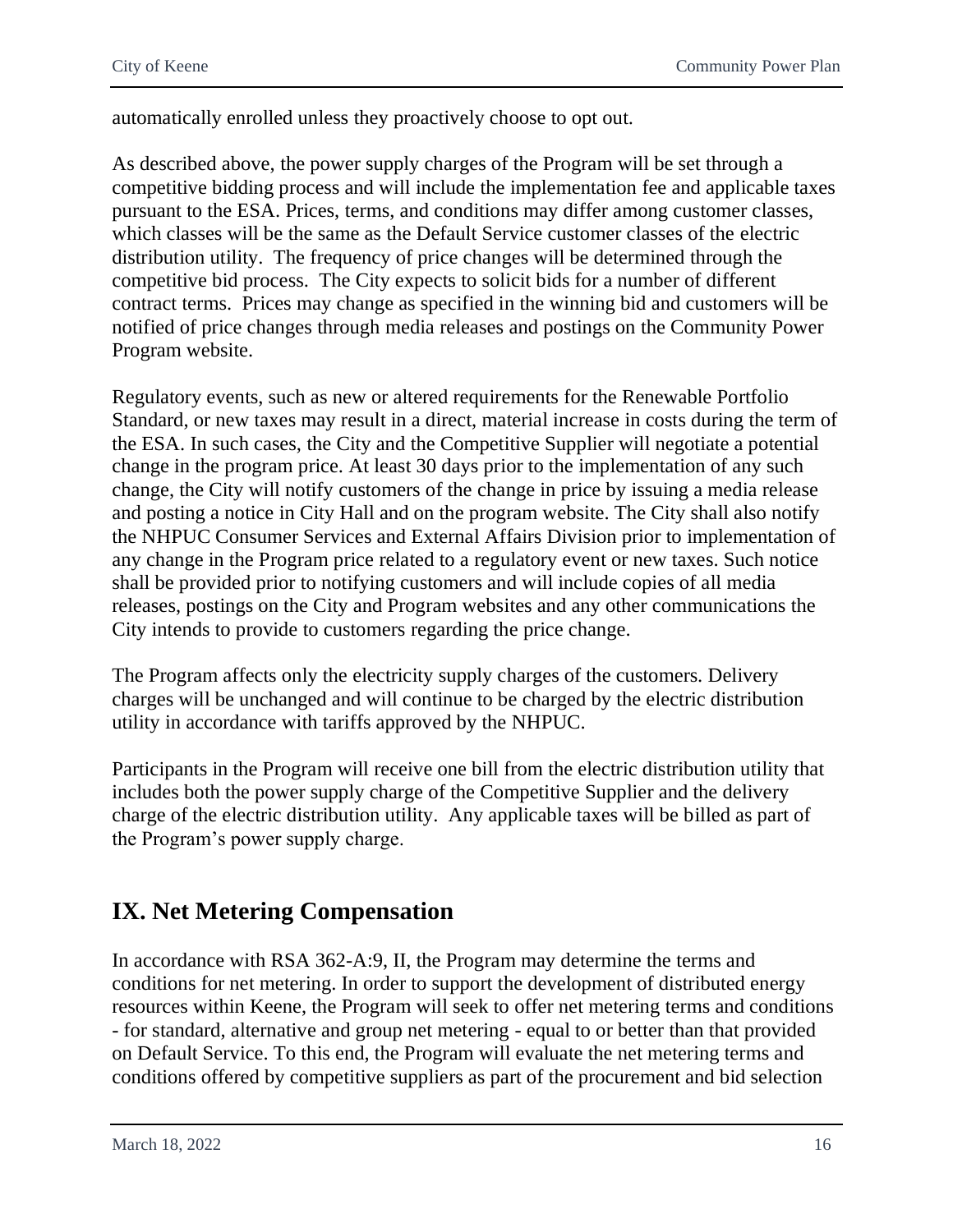automatically enrolled unless they proactively choose to opt out.

As described above, the power supply charges of the Program will be set through a competitive bidding process and will include the implementation fee and applicable taxes pursuant to the ESA. Prices, terms, and conditions may differ among customer classes, which classes will be the same as the Default Service customer classes of the electric distribution utility. The frequency of price changes will be determined through the competitive bid process. The City expects to solicit bids for a number of different contract terms. Prices may change as specified in the winning bid and customers will be notified of price changes through media releases and postings on the Community Power Program website.

Regulatory events, such as new or altered requirements for the Renewable Portfolio Standard, or new taxes may result in a direct, material increase in costs during the term of the ESA. In such cases, the City and the Competitive Supplier will negotiate a potential change in the program price. At least 30 days prior to the implementation of any such change, the City will notify customers of the change in price by issuing a media release and posting a notice in City Hall and on the program website. The City shall also notify the NHPUC Consumer Services and External Affairs Division prior to implementation of any change in the Program price related to a regulatory event or new taxes. Such notice shall be provided prior to notifying customers and will include copies of all media releases, postings on the City and Program websites and any other communications the City intends to provide to customers regarding the price change.

The Program affects only the electricity supply charges of the customers. Delivery charges will be unchanged and will continue to be charged by the electric distribution utility in accordance with tariffs approved by the NHPUC.

Participants in the Program will receive one bill from the electric distribution utility that includes both the power supply charge of the Competitive Supplier and the delivery charge of the electric distribution utility. Any applicable taxes will be billed as part of the Program's power supply charge.

# <span id="page-17-0"></span>**IX. Net Metering Compensation**

In accordance with RSA 362-A:9, II, the Program may determine the terms and conditions for net metering. In order to support the development of distributed energy resources within Keene, the Program will seek to offer net metering terms and conditions - for standard, alternative and group net metering - equal to or better than that provided on Default Service. To this end, the Program will evaluate the net metering terms and conditions offered by competitive suppliers as part of the procurement and bid selection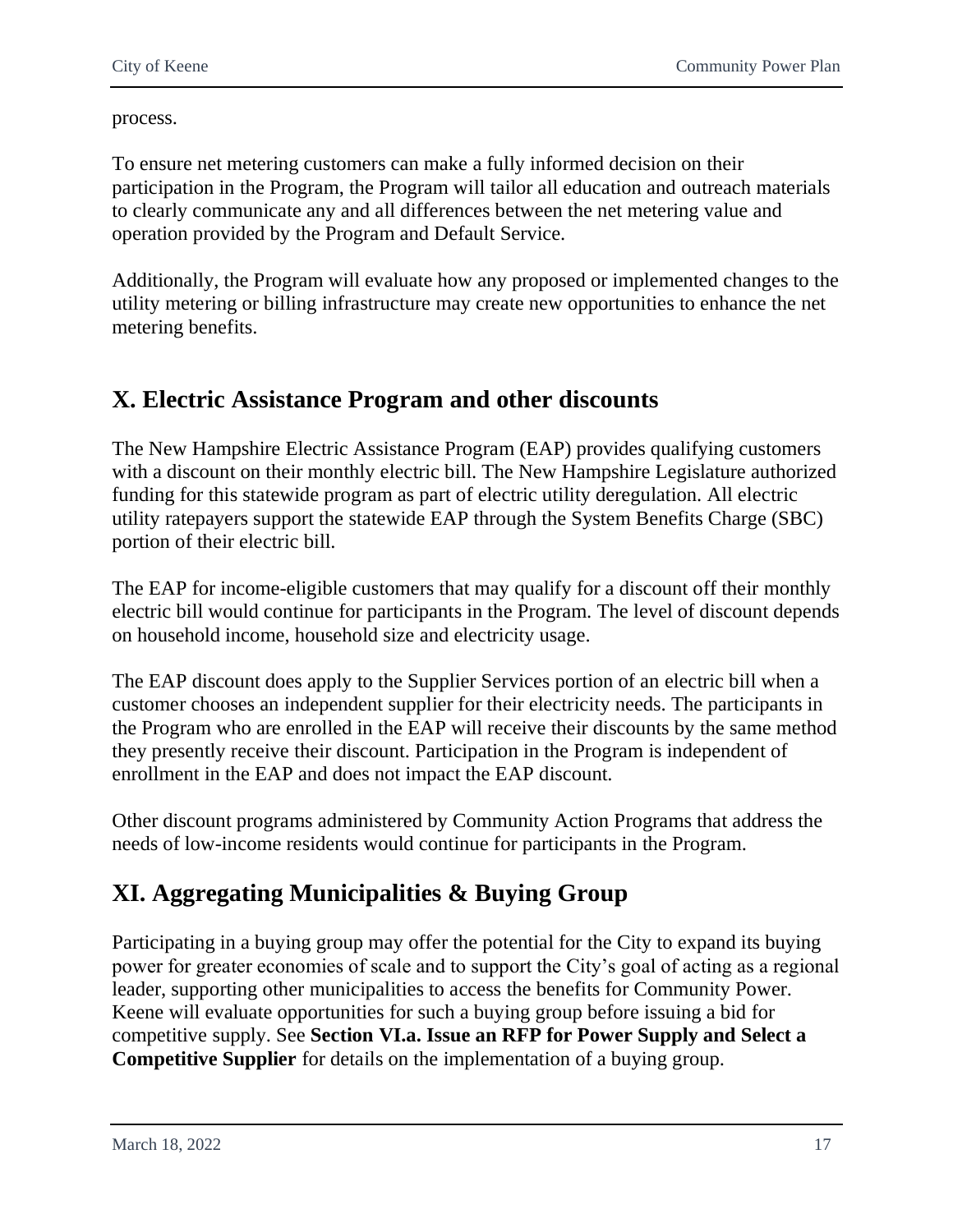process.

To ensure net metering customers can make a fully informed decision on their participation in the Program, the Program will tailor all education and outreach materials to clearly communicate any and all differences between the net metering value and operation provided by the Program and Default Service.

Additionally, the Program will evaluate how any proposed or implemented changes to the utility metering or billing infrastructure may create new opportunities to enhance the net metering benefits.

# <span id="page-18-0"></span>**X. Electric Assistance Program and other discounts**

The New Hampshire Electric Assistance Program (EAP) provides qualifying customers with a discount on their monthly electric bill. The New Hampshire Legislature authorized funding for this statewide program as part of electric utility deregulation. All electric utility ratepayers support the statewide EAP through the System Benefits Charge (SBC) portion of their electric bill.

The EAP for income-eligible customers that may qualify for a discount off their monthly electric bill would continue for participants in the Program. The level of discount depends on household income, household size and electricity usage.

The EAP discount does apply to the Supplier Services portion of an electric bill when a customer chooses an independent supplier for their electricity needs. The participants in the Program who are enrolled in the EAP will receive their discounts by the same method they presently receive their discount. Participation in the Program is independent of enrollment in the EAP and does not impact the EAP discount.

Other discount programs administered by Community Action Programs that address the needs of low-income residents would continue for participants in the Program.

# <span id="page-18-1"></span>**XI. Aggregating Municipalities & Buying Group**

Participating in a buying group may offer the potential for the City to expand its buying power for greater economies of scale and to support the City's goal of acting as a regional leader, supporting other municipalities to access the benefits for Community Power. Keene will evaluate opportunities for such a buying group before issuing a bid for competitive supply. See **Section VI.a. Issue an RFP for Power Supply and Select a Competitive Supplier** for details on the implementation of a buying group.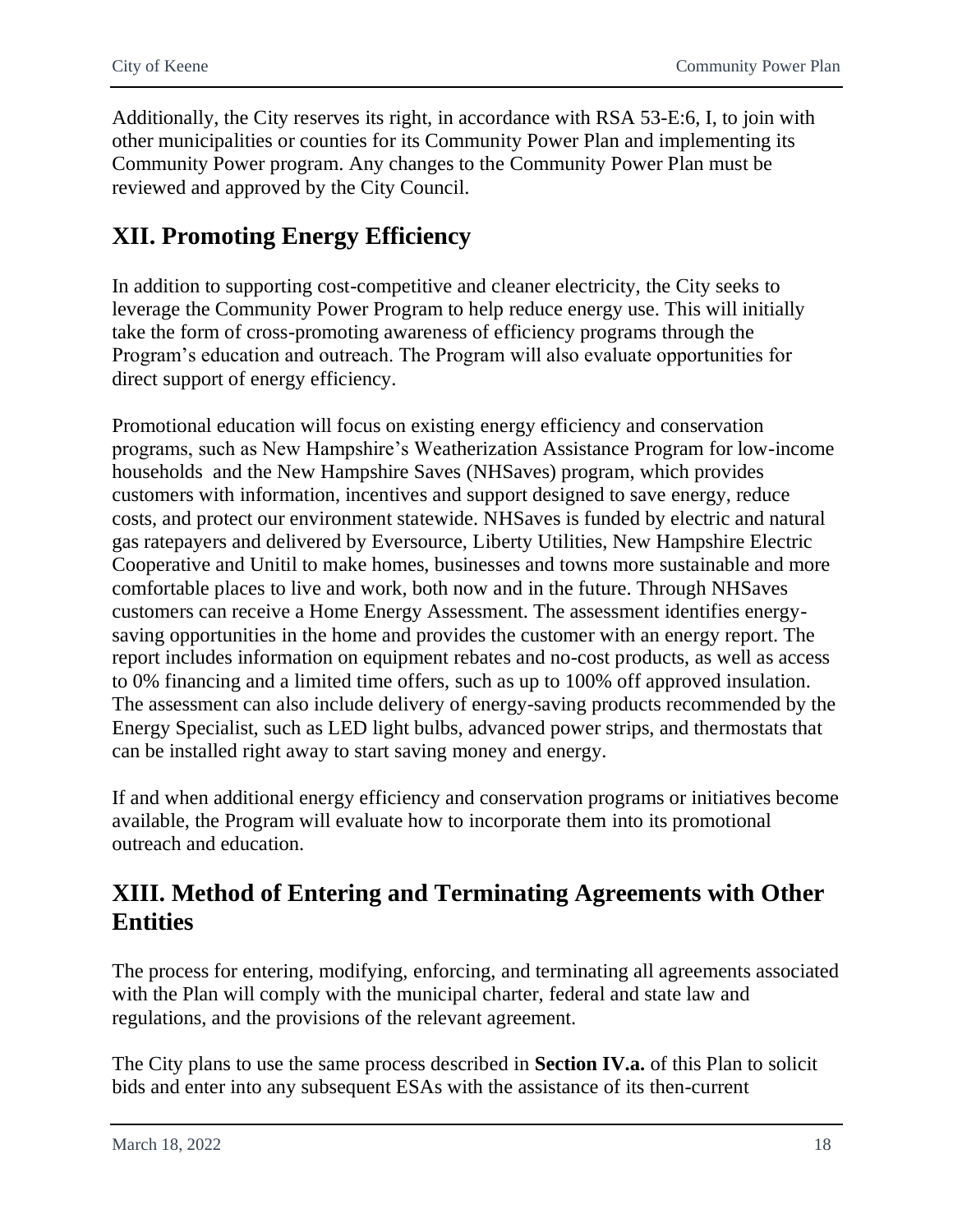Additionally, the City reserves its right, in accordance with RSA 53-E:6, I, to join with other municipalities or counties for its Community Power Plan and implementing its Community Power program. Any changes to the Community Power Plan must be reviewed and approved by the City Council.

# <span id="page-19-0"></span>**XII. Promoting Energy Efficiency**

In addition to supporting cost-competitive and cleaner electricity, the City seeks to leverage the Community Power Program to help reduce energy use. This will initially take the form of cross-promoting awareness of efficiency programs through the Program's education and outreach. The Program will also evaluate opportunities for direct support of energy efficiency.

Promotional education will focus on existing energy efficiency and conservation programs, such as New Hampshire's Weatherization Assistance Program for low-income households and the New Hampshire Saves (NHSaves) program, which provides customers with information, incentives and support designed to save energy, reduce costs, and protect our environment statewide. NHSaves is funded by electric and natural gas ratepayers and delivered by Eversource, Liberty Utilities, New Hampshire Electric Cooperative and Unitil to make homes, businesses and towns more sustainable and more comfortable places to live and work, both now and in the future. Through NHSaves customers can receive a Home Energy Assessment. The assessment identifies energysaving opportunities in the home and provides the customer with an energy report. The report includes information on equipment rebates and no-cost products, as well as access to 0% financing and a limited time offers, such as up to 100% off approved insulation. The assessment can also include delivery of energy-saving products recommended by the Energy Specialist, such as LED light bulbs, advanced power strips, and thermostats that can be installed right away to start saving money and energy.

If and when additional energy efficiency and conservation programs or initiatives become available, the Program will evaluate how to incorporate them into its promotional outreach and education.

# <span id="page-19-1"></span>**XIII. Method of Entering and Terminating Agreements with Other Entities**

The process for entering, modifying, enforcing, and terminating all agreements associated with the Plan will comply with the municipal charter, federal and state law and regulations, and the provisions of the relevant agreement.

The City plans to use the same process described in **Section IV.a.** of this Plan to solicit bids and enter into any subsequent ESAs with the assistance of its then-current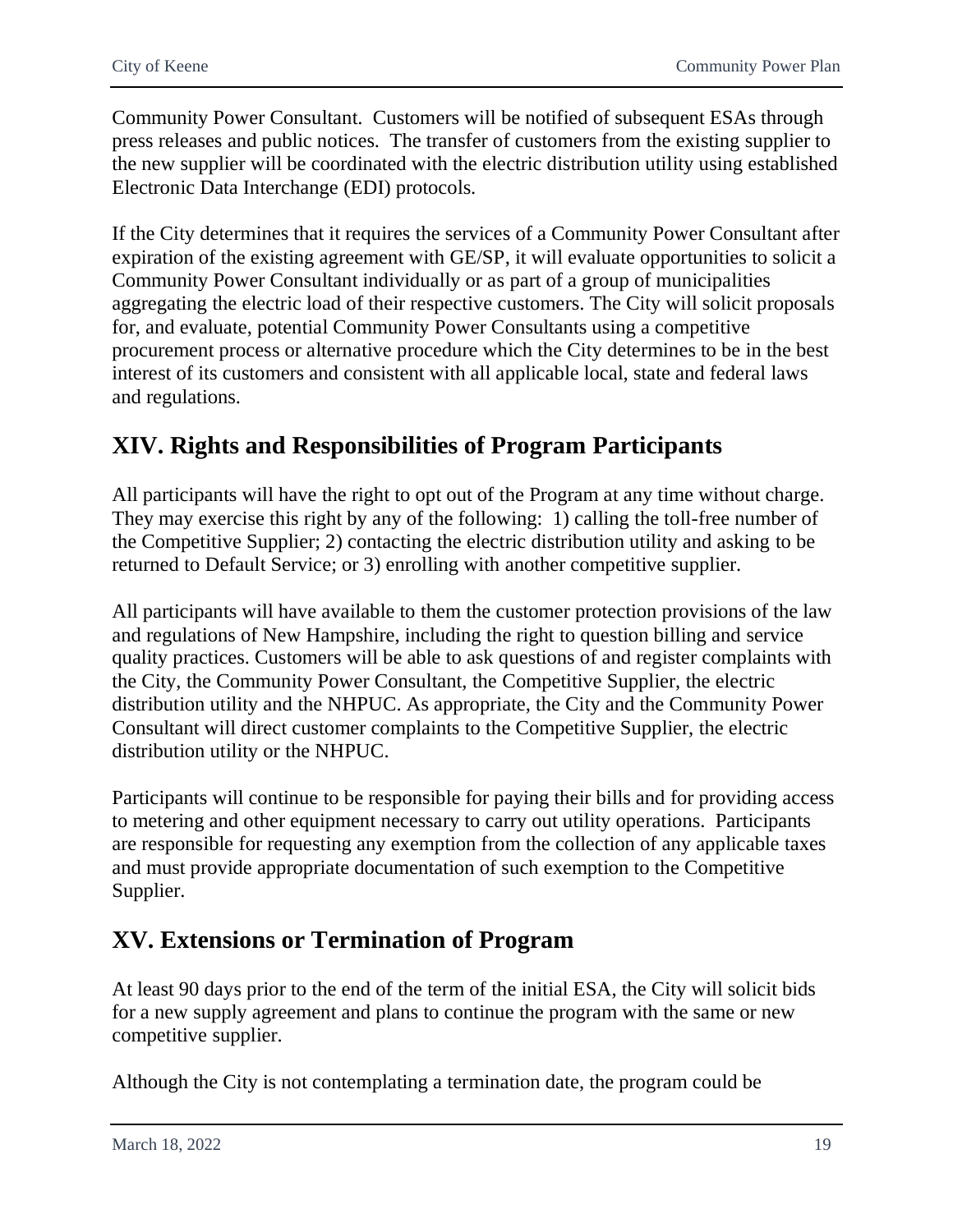Community Power Consultant. Customers will be notified of subsequent ESAs through press releases and public notices. The transfer of customers from the existing supplier to the new supplier will be coordinated with the electric distribution utility using established Electronic Data Interchange (EDI) protocols.

If the City determines that it requires the services of a Community Power Consultant after expiration of the existing agreement with GE/SP, it will evaluate opportunities to solicit a Community Power Consultant individually or as part of a group of municipalities aggregating the electric load of their respective customers. The City will solicit proposals for, and evaluate, potential Community Power Consultants using a competitive procurement process or alternative procedure which the City determines to be in the best interest of its customers and consistent with all applicable local, state and federal laws and regulations.

# <span id="page-20-0"></span>**XIV. Rights and Responsibilities of Program Participants**

All participants will have the right to opt out of the Program at any time without charge. They may exercise this right by any of the following: 1) calling the toll-free number of the Competitive Supplier; 2) contacting the electric distribution utility and asking to be returned to Default Service; or 3) enrolling with another competitive supplier.

All participants will have available to them the customer protection provisions of the law and regulations of New Hampshire, including the right to question billing and service quality practices. Customers will be able to ask questions of and register complaints with the City, the Community Power Consultant, the Competitive Supplier, the electric distribution utility and the NHPUC. As appropriate, the City and the Community Power Consultant will direct customer complaints to the Competitive Supplier, the electric distribution utility or the NHPUC.

Participants will continue to be responsible for paying their bills and for providing access to metering and other equipment necessary to carry out utility operations. Participants are responsible for requesting any exemption from the collection of any applicable taxes and must provide appropriate documentation of such exemption to the Competitive Supplier.

# <span id="page-20-1"></span>**XV. Extensions or Termination of Program**

At least 90 days prior to the end of the term of the initial ESA, the City will solicit bids for a new supply agreement and plans to continue the program with the same or new competitive supplier.

Although the City is not contemplating a termination date, the program could be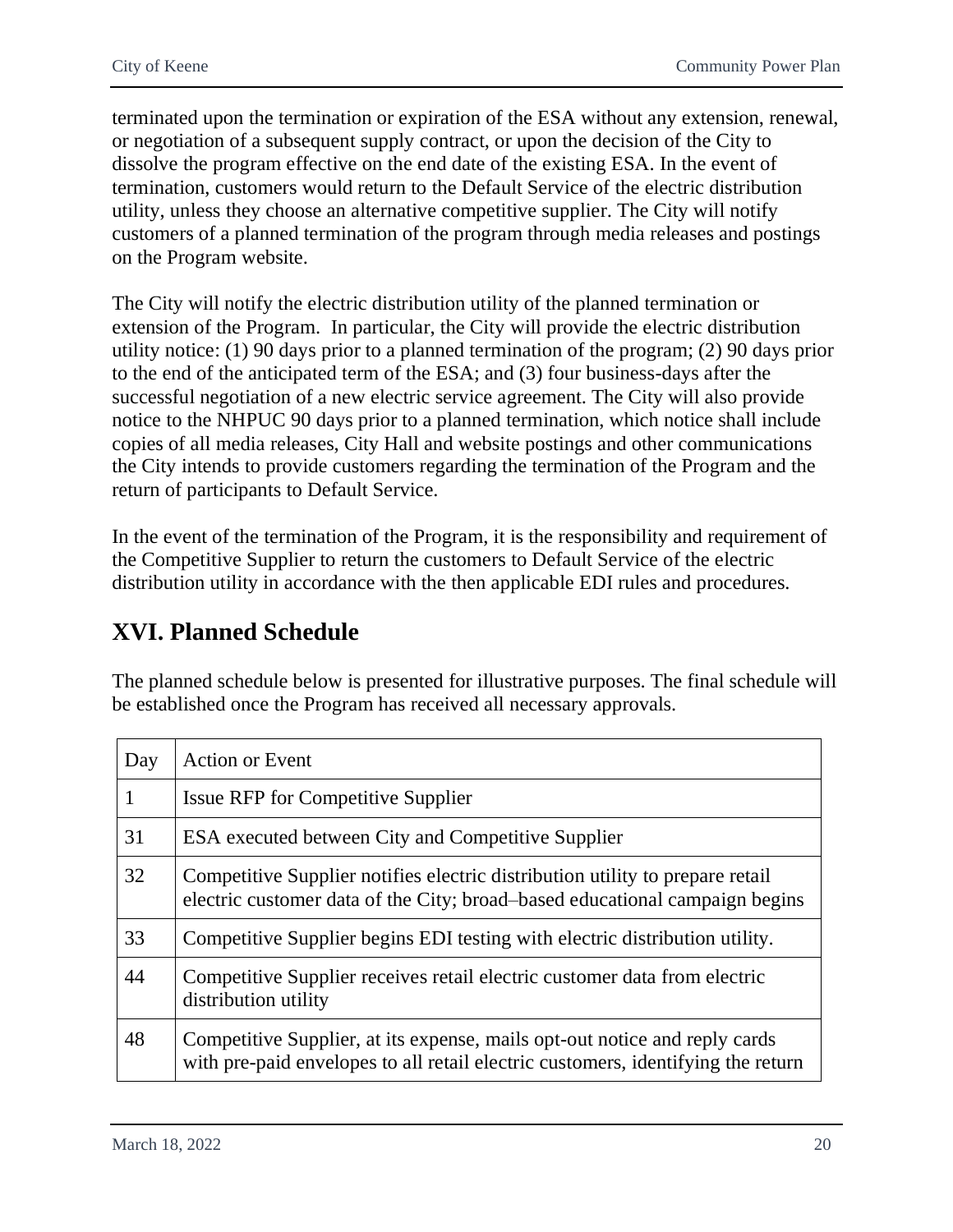terminated upon the termination or expiration of the ESA without any extension, renewal, or negotiation of a subsequent supply contract, or upon the decision of the City to dissolve the program effective on the end date of the existing ESA. In the event of termination, customers would return to the Default Service of the electric distribution utility, unless they choose an alternative competitive supplier. The City will notify customers of a planned termination of the program through media releases and postings on the Program website.

The City will notify the electric distribution utility of the planned termination or extension of the Program. In particular, the City will provide the electric distribution utility notice: (1) 90 days prior to a planned termination of the program; (2) 90 days prior to the end of the anticipated term of the ESA; and (3) four business-days after the successful negotiation of a new electric service agreement. The City will also provide notice to the NHPUC 90 days prior to a planned termination, which notice shall include copies of all media releases, City Hall and website postings and other communications the City intends to provide customers regarding the termination of the Program and the return of participants to Default Service.

In the event of the termination of the Program, it is the responsibility and requirement of the Competitive Supplier to return the customers to Default Service of the electric distribution utility in accordance with the then applicable EDI rules and procedures.

# <span id="page-21-0"></span>**XVI. Planned Schedule**

The planned schedule below is presented for illustrative purposes. The final schedule will be established once the Program has received all necessary approvals.

| Day | <b>Action or Event</b>                                                                                                                                         |
|-----|----------------------------------------------------------------------------------------------------------------------------------------------------------------|
| 1   | <b>Issue RFP for Competitive Supplier</b>                                                                                                                      |
| 31  | ESA executed between City and Competitive Supplier                                                                                                             |
| 32  | Competitive Supplier notifies electric distribution utility to prepare retail<br>electric customer data of the City; broad–based educational campaign begins   |
| 33  | Competitive Supplier begins EDI testing with electric distribution utility.                                                                                    |
| 44  | Competitive Supplier receives retail electric customer data from electric<br>distribution utility                                                              |
| 48  | Competitive Supplier, at its expense, mails opt-out notice and reply cards<br>with pre-paid envelopes to all retail electric customers, identifying the return |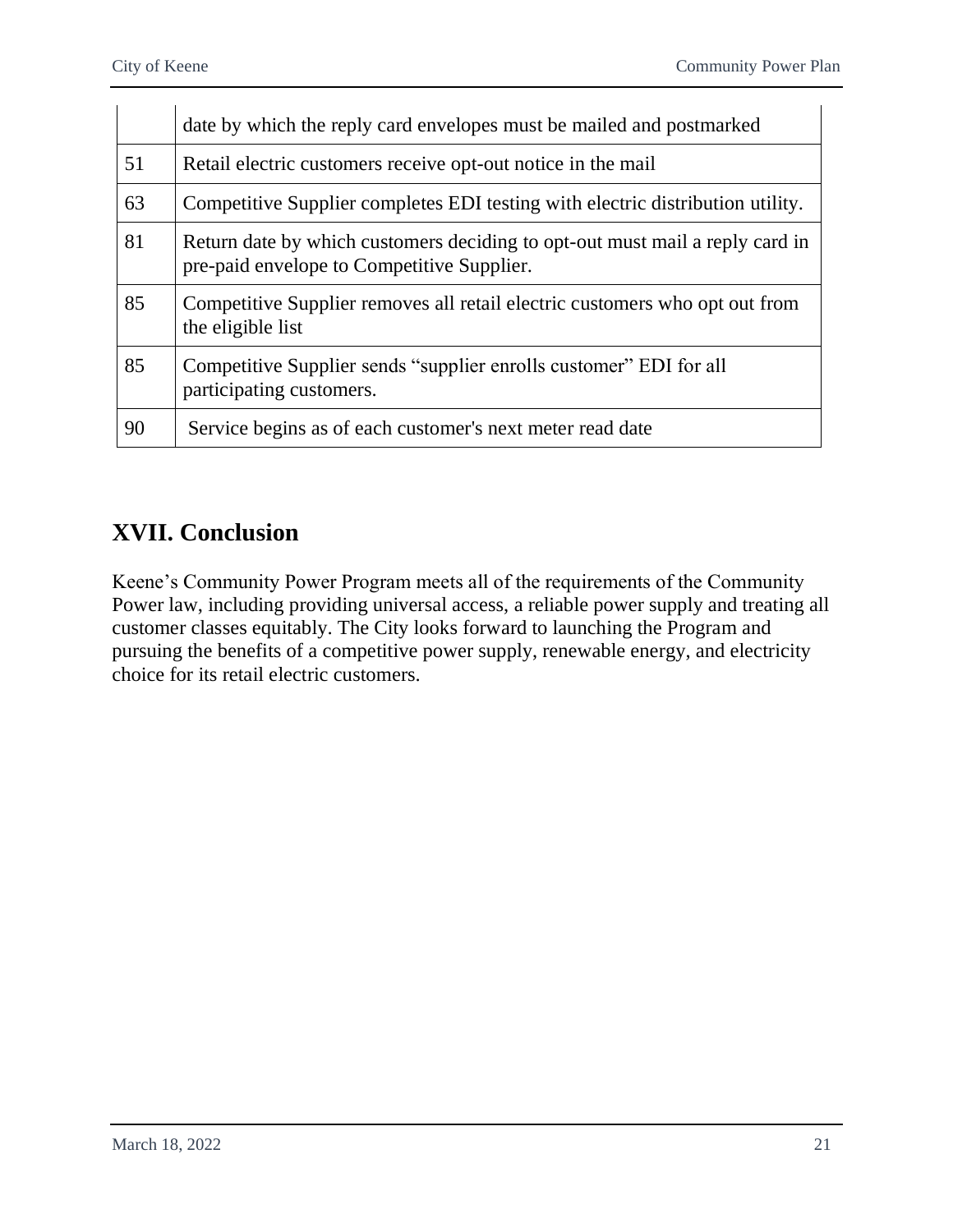|    | date by which the reply card envelopes must be mailed and postmarked                                                       |  |
|----|----------------------------------------------------------------------------------------------------------------------------|--|
| 51 | Retail electric customers receive opt-out notice in the mail                                                               |  |
| 63 | Competitive Supplier completes EDI testing with electric distribution utility.                                             |  |
| 81 | Return date by which customers deciding to opt-out must mail a reply card in<br>pre-paid envelope to Competitive Supplier. |  |
| 85 | Competitive Supplier removes all retail electric customers who opt out from<br>the eligible list                           |  |
| 85 | Competitive Supplier sends "supplier enrolls customer" EDI for all<br>participating customers.                             |  |
| 90 | Service begins as of each customer's next meter read date                                                                  |  |

# <span id="page-22-0"></span>**XVII. Conclusion**

Keene's Community Power Program meets all of the requirements of the Community Power law, including providing universal access, a reliable power supply and treating all customer classes equitably. The City looks forward to launching the Program and pursuing the benefits of a competitive power supply, renewable energy, and electricity choice for its retail electric customers.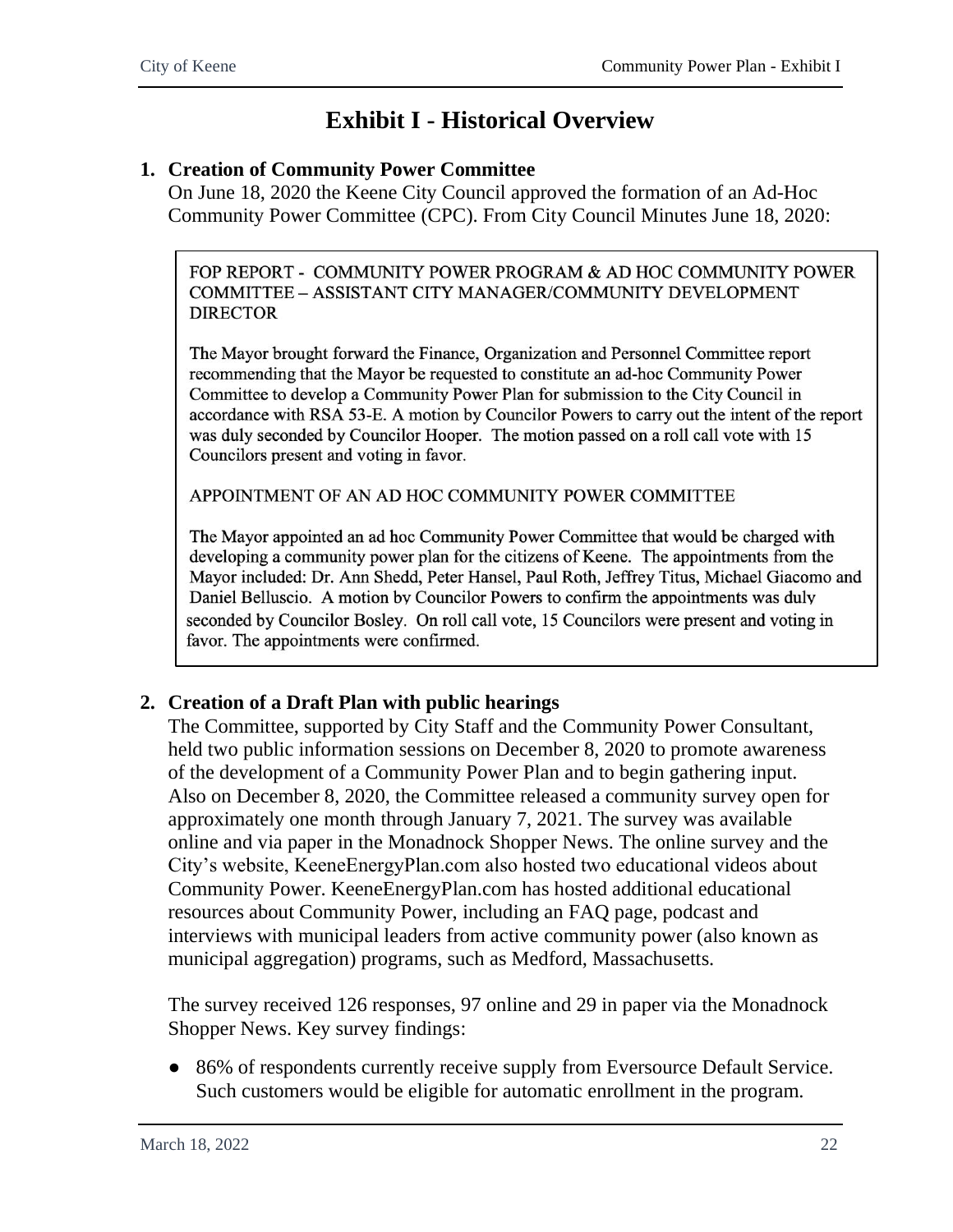# **Exhibit I - Historical Overview**

#### <span id="page-23-0"></span>**1. Creation of Community Power Committee**

On June 18, 2020 the Keene City Council approved the formation of an Ad-Hoc Community Power Committee (CPC). From City Council Minutes June 18, 2020:

FOP REPORT - COMMUNITY POWER PROGRAM & AD HOC COMMUNITY POWER COMMITTEE - ASSISTANT CITY MANAGER/COMMUNITY DEVELOPMENT **DIRECTOR** 

The Mayor brought forward the Finance, Organization and Personnel Committee report recommending that the Mayor be requested to constitute an ad-hoc Community Power Committee to develop a Community Power Plan for submission to the City Council in accordance with RSA 53-E. A motion by Councilor Powers to carry out the intent of the report was duly seconded by Councilor Hooper. The motion passed on a roll call vote with 15 Councilors present and voting in favor.

APPOINTMENT OF AN AD HOC COMMUNITY POWER COMMITTEE

The Mayor appointed an ad hoc Community Power Committee that would be charged with developing a community power plan for the citizens of Keene. The appointments from the Mayor included: Dr. Ann Shedd, Peter Hansel, Paul Roth, Jeffrey Titus, Michael Giacomo and Daniel Belluscio. A motion by Councilor Powers to confirm the appointments was duly seconded by Councilor Bosley. On roll call vote, 15 Councilors were present and voting in favor. The appointments were confirmed.

### **2. Creation of a Draft Plan with public hearings**

The Committee, supported by City Staff and the Community Power Consultant, held two public information sessions on December 8, 2020 to promote awareness of the development of a Community Power Plan and to begin gathering input. Also on December 8, 2020, the Committee released a community survey open for approximately one month through January 7, 2021. The survey was available online and via paper in the Monadnock Shopper News. The online survey and the City's website, KeeneEnergyPlan.com also hosted two educational videos about Community Power. KeeneEnergyPlan.com has hosted additional educational resources about Community Power, including an FAQ page, podcast and interviews with municipal leaders from active community power (also known as municipal aggregation) programs, such as Medford, Massachusetts.

The survey received 126 responses, 97 online and 29 in paper via the Monadnock Shopper News. Key survey findings:

• 86% of respondents currently receive supply from Eversource Default Service. Such customers would be eligible for automatic enrollment in the program.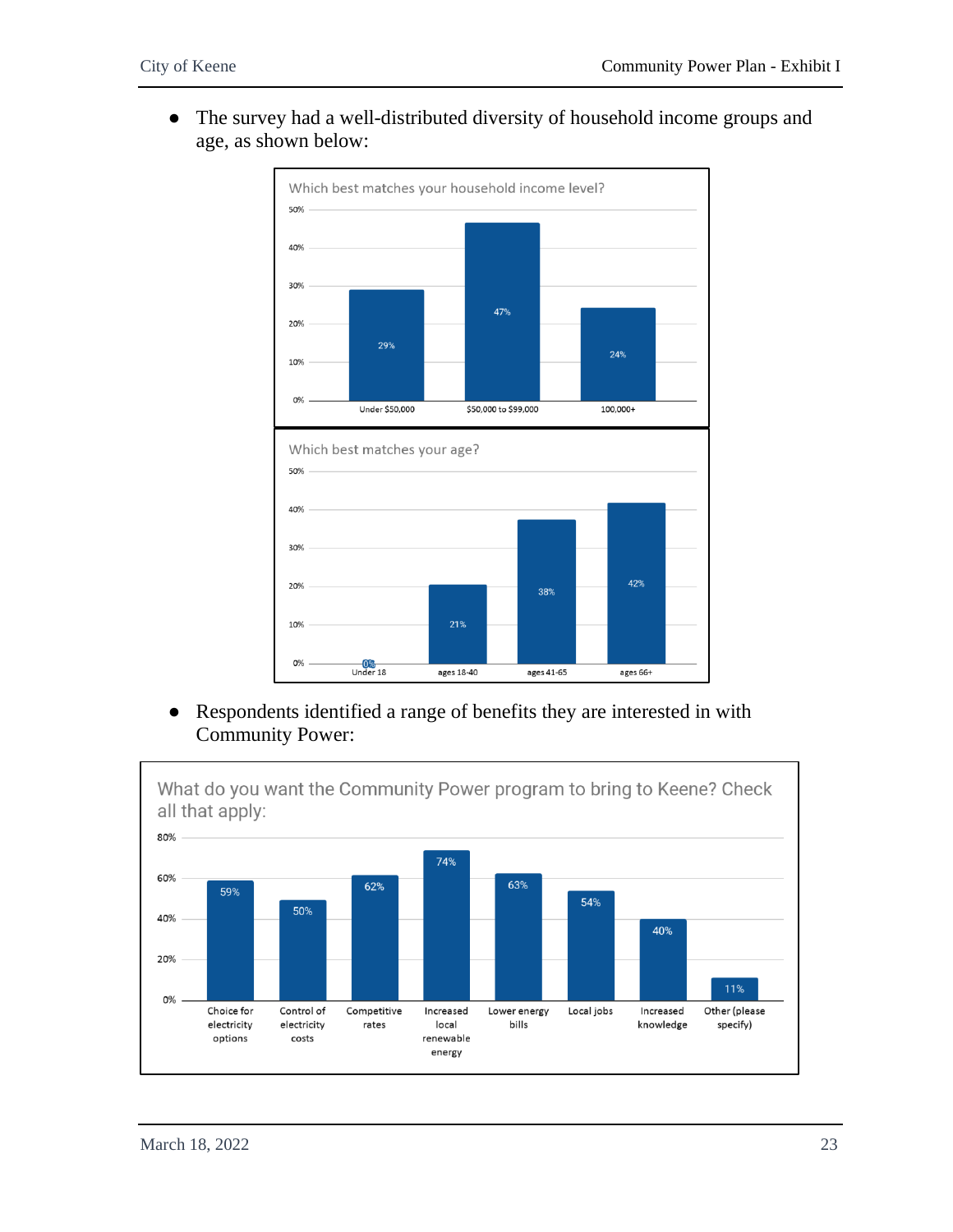● The survey had a well-distributed diversity of household income groups and age, as shown below:



● Respondents identified a range of benefits they are interested in with Community Power:

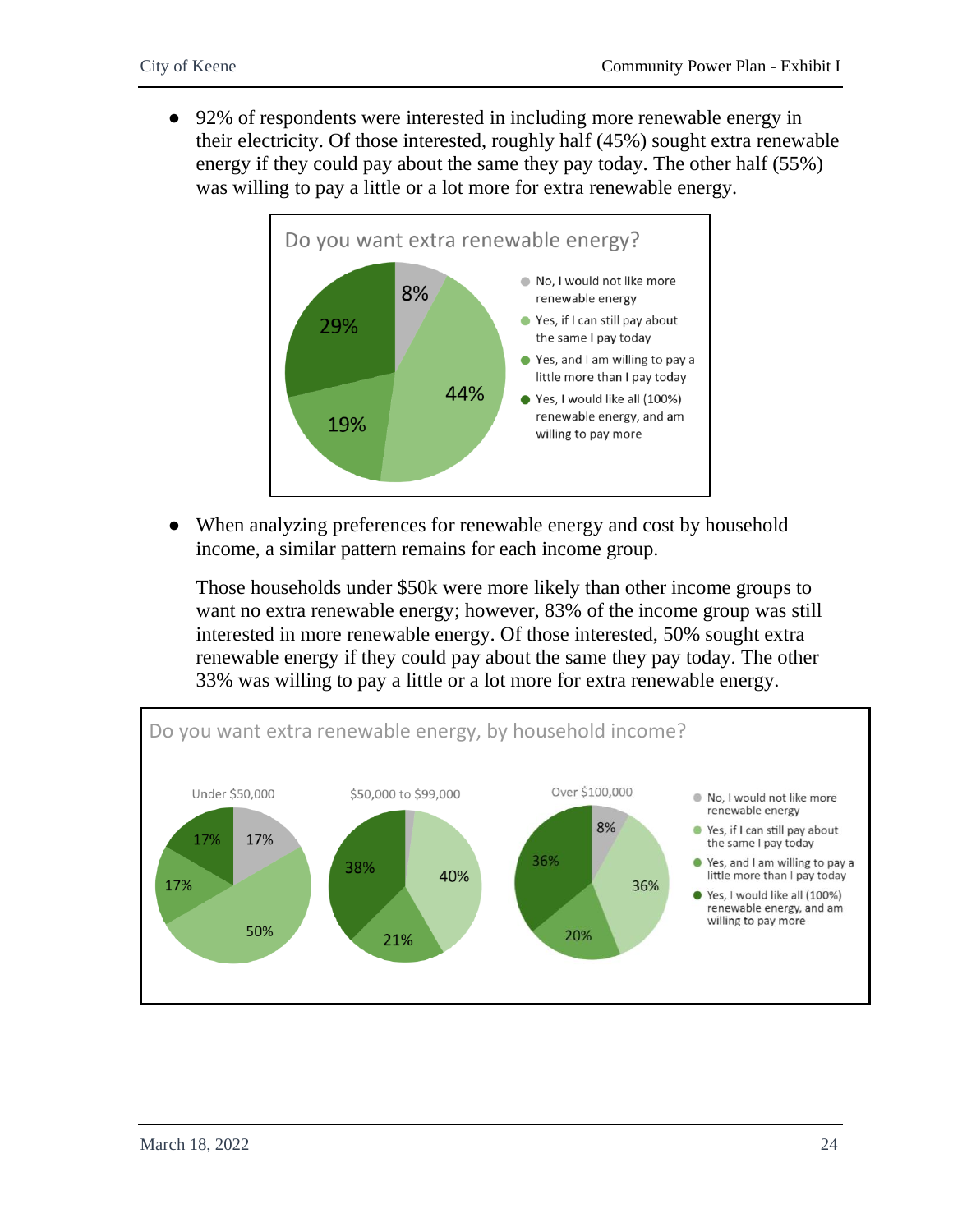● 92% of respondents were interested in including more renewable energy in their electricity. Of those interested, roughly half (45%) sought extra renewable energy if they could pay about the same they pay today. The other half (55%) was willing to pay a little or a lot more for extra renewable energy.



● When analyzing preferences for renewable energy and cost by household income, a similar pattern remains for each income group.

Those households under \$50k were more likely than other income groups to want no extra renewable energy; however, 83% of the income group was still interested in more renewable energy. Of those interested, 50% sought extra renewable energy if they could pay about the same they pay today. The other 33% was willing to pay a little or a lot more for extra renewable energy.

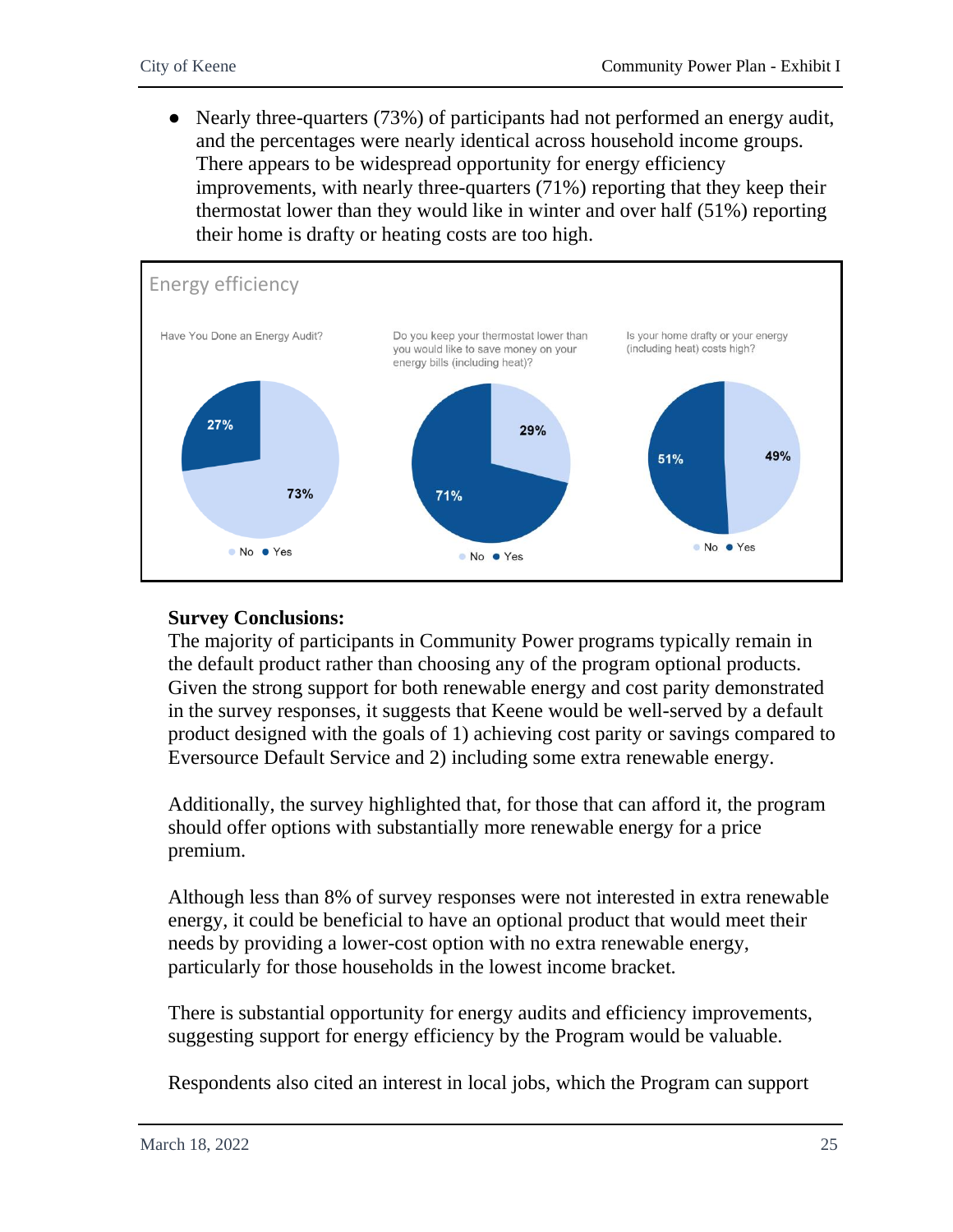• Nearly three-quarters (73%) of participants had not performed an energy audit, and the percentages were nearly identical across household income groups. There appears to be widespread opportunity for energy efficiency improvements, with nearly three-quarters (71%) reporting that they keep their thermostat lower than they would like in winter and over half (51%) reporting their home is drafty or heating costs are too high.



#### **Survey Conclusions:**

The majority of participants in Community Power programs typically remain in the default product rather than choosing any of the program optional products. Given the strong support for both renewable energy and cost parity demonstrated in the survey responses, it suggests that Keene would be well-served by a default product designed with the goals of 1) achieving cost parity or savings compared to Eversource Default Service and 2) including some extra renewable energy.

Additionally, the survey highlighted that, for those that can afford it, the program should offer options with substantially more renewable energy for a price premium.

Although less than 8% of survey responses were not interested in extra renewable energy, it could be beneficial to have an optional product that would meet their needs by providing a lower-cost option with no extra renewable energy, particularly for those households in the lowest income bracket.

There is substantial opportunity for energy audits and efficiency improvements, suggesting support for energy efficiency by the Program would be valuable.

Respondents also cited an interest in local jobs, which the Program can support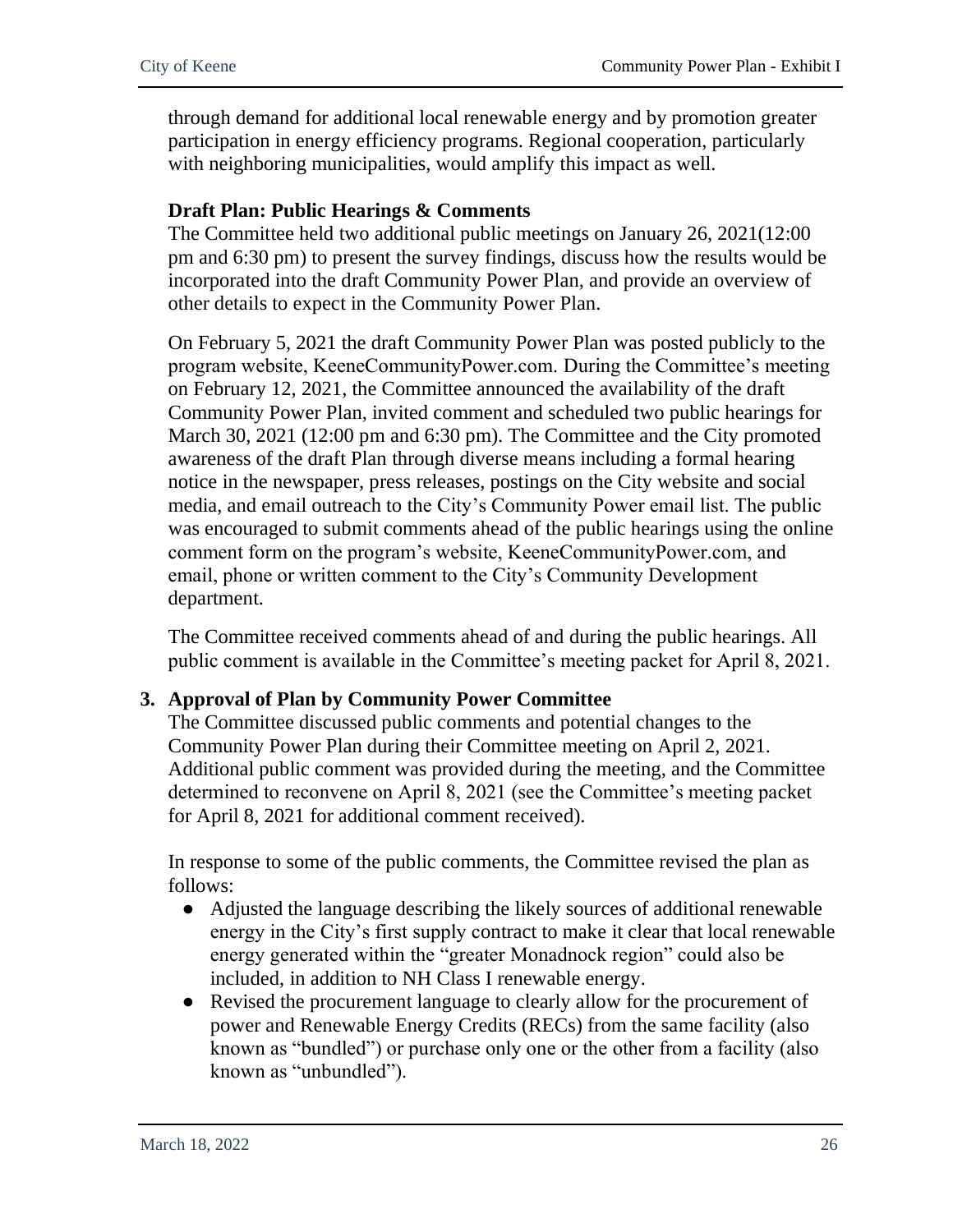through demand for additional local renewable energy and by promotion greater participation in energy efficiency programs. Regional cooperation, particularly with neighboring municipalities, would amplify this impact as well.

#### **Draft Plan: Public Hearings & Comments**

The Committee held two additional public meetings on January 26, 2021(12:00 pm and 6:30 pm) to present the survey findings, discuss how the results would be incorporated into the draft Community Power Plan, and provide an overview of other details to expect in the Community Power Plan.

On February 5, 2021 the draft Community Power Plan was posted publicly to the program website, KeeneCommunityPower.com. During the Committee's meeting on February 12, 2021, the Committee announced the availability of the draft Community Power Plan, invited comment and scheduled two public hearings for March 30, 2021 (12:00 pm and 6:30 pm). The Committee and the City promoted awareness of the draft Plan through diverse means including a formal hearing notice in the newspaper, press releases, postings on the City website and social media, and email outreach to the City's Community Power email list. The public was encouraged to submit comments ahead of the public hearings using the online comment form on the program's website, KeeneCommunityPower.com, and email, phone or written comment to the City's Community Development department.

The Committee received comments ahead of and during the public hearings. All public comment is available in the Committee's meeting packet for April 8, 2021.

### **3. Approval of Plan by Community Power Committee**

The Committee discussed public comments and potential changes to the Community Power Plan during their Committee meeting on April 2, 2021. Additional public comment was provided during the meeting, and the Committee determined to reconvene on April 8, 2021 (see the Committee's meeting packet for April 8, 2021 for additional comment received).

In response to some of the public comments, the Committee revised the plan as follows:

- Adjusted the language describing the likely sources of additional renewable energy in the City's first supply contract to make it clear that local renewable energy generated within the "greater Monadnock region" could also be included, in addition to NH Class I renewable energy.
- Revised the procurement language to clearly allow for the procurement of power and Renewable Energy Credits (RECs) from the same facility (also known as "bundled") or purchase only one or the other from a facility (also known as "unbundled").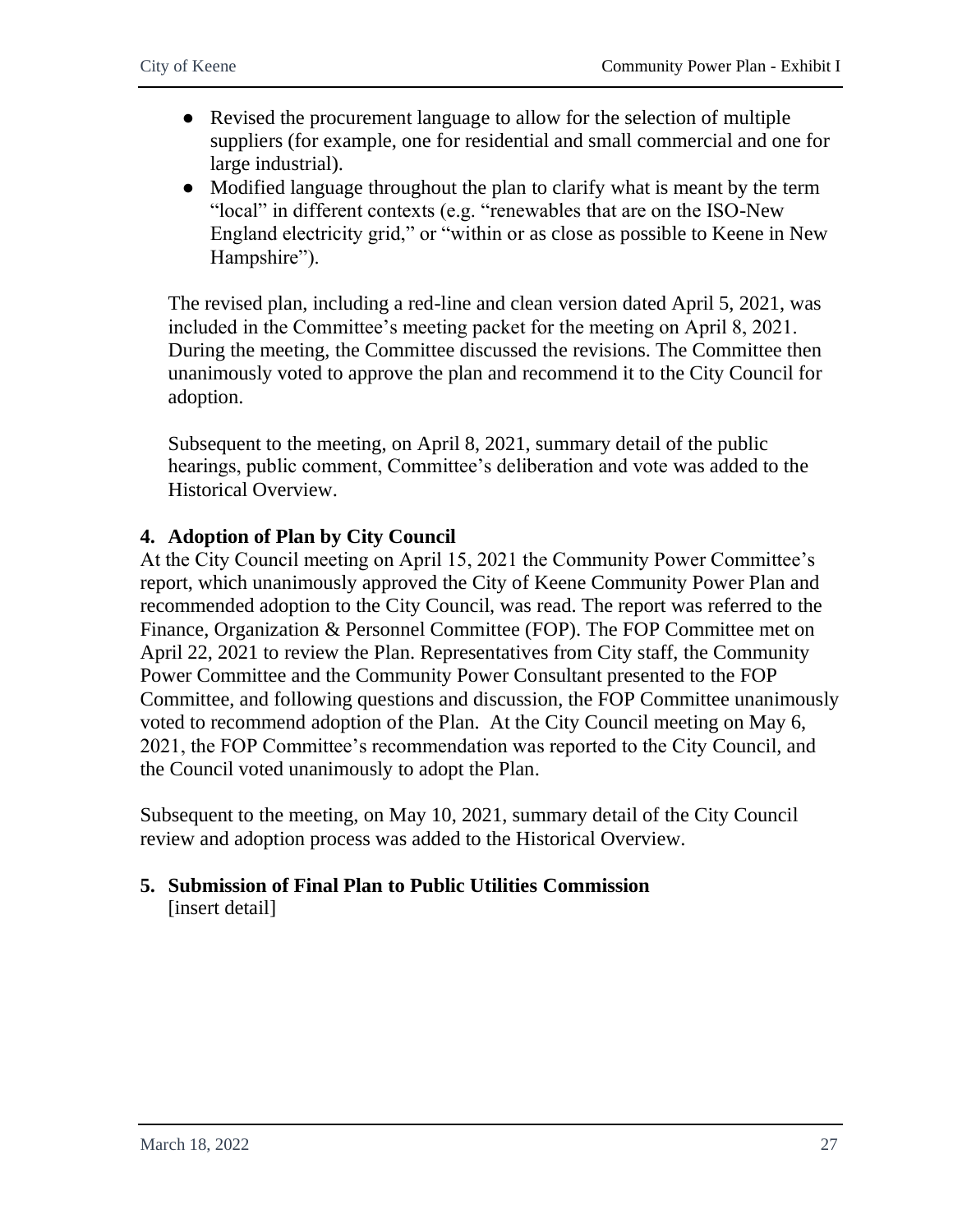- Revised the procurement language to allow for the selection of multiple suppliers (for example, one for residential and small commercial and one for large industrial).
- Modified language throughout the plan to clarify what is meant by the term "local" in different contexts (e.g. "renewables that are on the ISO-New England electricity grid," or "within or as close as possible to Keene in New Hampshire").

The revised plan, including a red-line and clean version dated April 5, 2021, was included in the Committee's meeting packet for the meeting on April 8, 2021. During the meeting, the Committee discussed the revisions. The Committee then unanimously voted to approve the plan and recommend it to the City Council for adoption.

Subsequent to the meeting, on April 8, 2021, summary detail of the public hearings, public comment, Committee's deliberation and vote was added to the Historical Overview.

### **4. Adoption of Plan by City Council**

At the City Council meeting on April 15, 2021 the Community Power Committee's report, which unanimously approved the City of Keene Community Power Plan and recommended adoption to the City Council, was read. The report was referred to the Finance, Organization & Personnel Committee (FOP). The FOP Committee met on April 22, 2021 to review the Plan. Representatives from City staff, the Community Power Committee and the Community Power Consultant presented to the FOP Committee, and following questions and discussion, the FOP Committee unanimously voted to recommend adoption of the Plan. At the City Council meeting on May 6, 2021, the FOP Committee's recommendation was reported to the City Council, and the Council voted unanimously to adopt the Plan.

Subsequent to the meeting, on May 10, 2021, summary detail of the City Council review and adoption process was added to the Historical Overview.

### **5. Submission of Final Plan to Public Utilities Commission** [insert detail]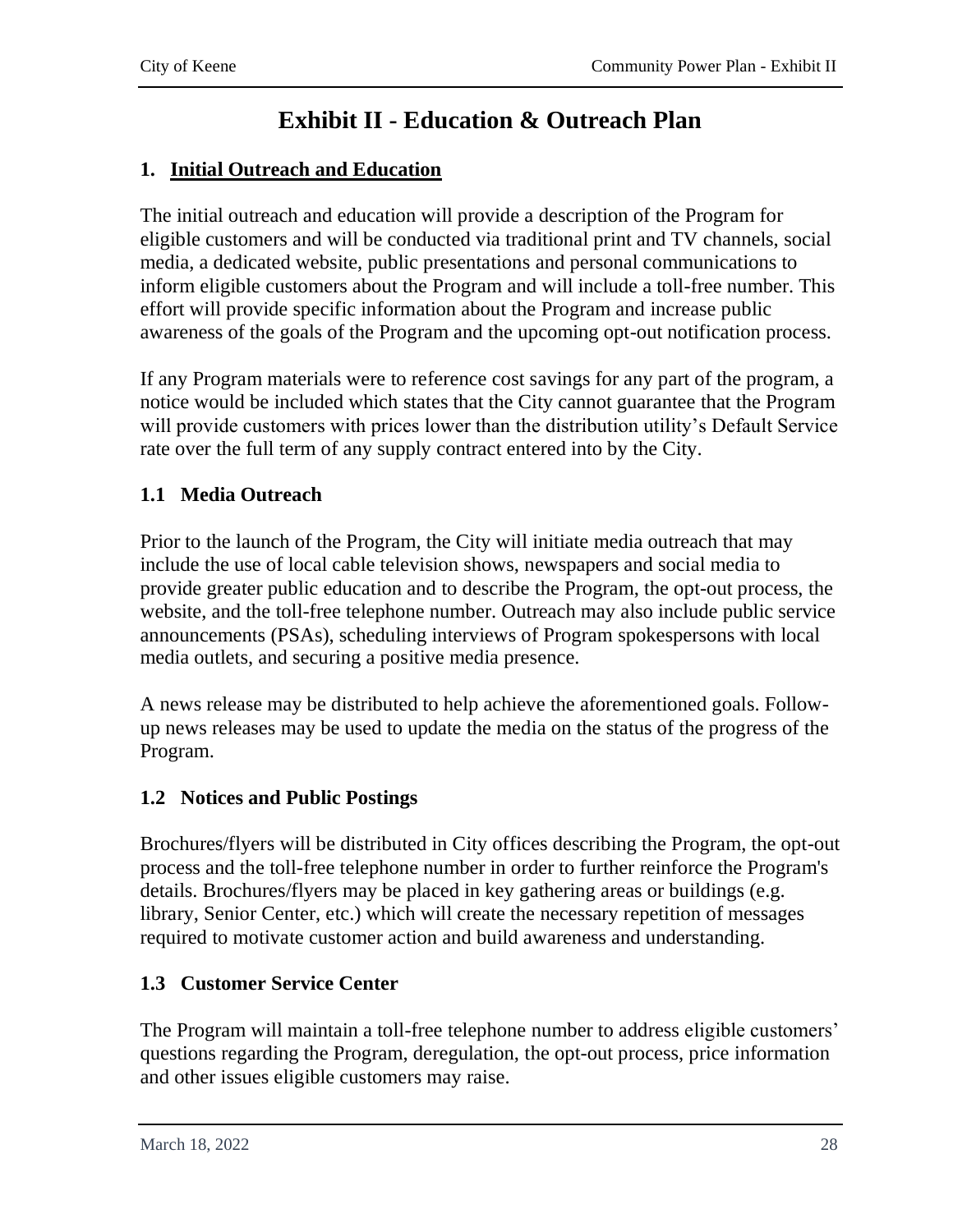# **Exhibit II - Education & Outreach Plan**

### <span id="page-29-0"></span>**1. Initial Outreach and Education**

The initial outreach and education will provide a description of the Program for eligible customers and will be conducted via traditional print and TV channels, social media, a dedicated website, public presentations and personal communications to inform eligible customers about the Program and will include a toll-free number. This effort will provide specific information about the Program and increase public awareness of the goals of the Program and the upcoming opt-out notification process.

If any Program materials were to reference cost savings for any part of the program, a notice would be included which states that the City cannot guarantee that the Program will provide customers with prices lower than the distribution utility's Default Service rate over the full term of any supply contract entered into by the City.

### **1.1 Media Outreach**

Prior to the launch of the Program, the City will initiate media outreach that may include the use of local cable television shows, newspapers and social media to provide greater public education and to describe the Program, the opt-out process, the website, and the toll-free telephone number. Outreach may also include public service announcements (PSAs), scheduling interviews of Program spokespersons with local media outlets, and securing a positive media presence.

A news release may be distributed to help achieve the aforementioned goals. Followup news releases may be used to update the media on the status of the progress of the Program.

### **1.2 Notices and Public Postings**

Brochures/flyers will be distributed in City offices describing the Program, the opt-out process and the toll-free telephone number in order to further reinforce the Program's details. Brochures/flyers may be placed in key gathering areas or buildings (e.g. library, Senior Center, etc.) which will create the necessary repetition of messages required to motivate customer action and build awareness and understanding.

### **1.3 Customer Service Center**

The Program will maintain a toll-free telephone number to address eligible customers' questions regarding the Program, deregulation, the opt-out process, price information and other issues eligible customers may raise.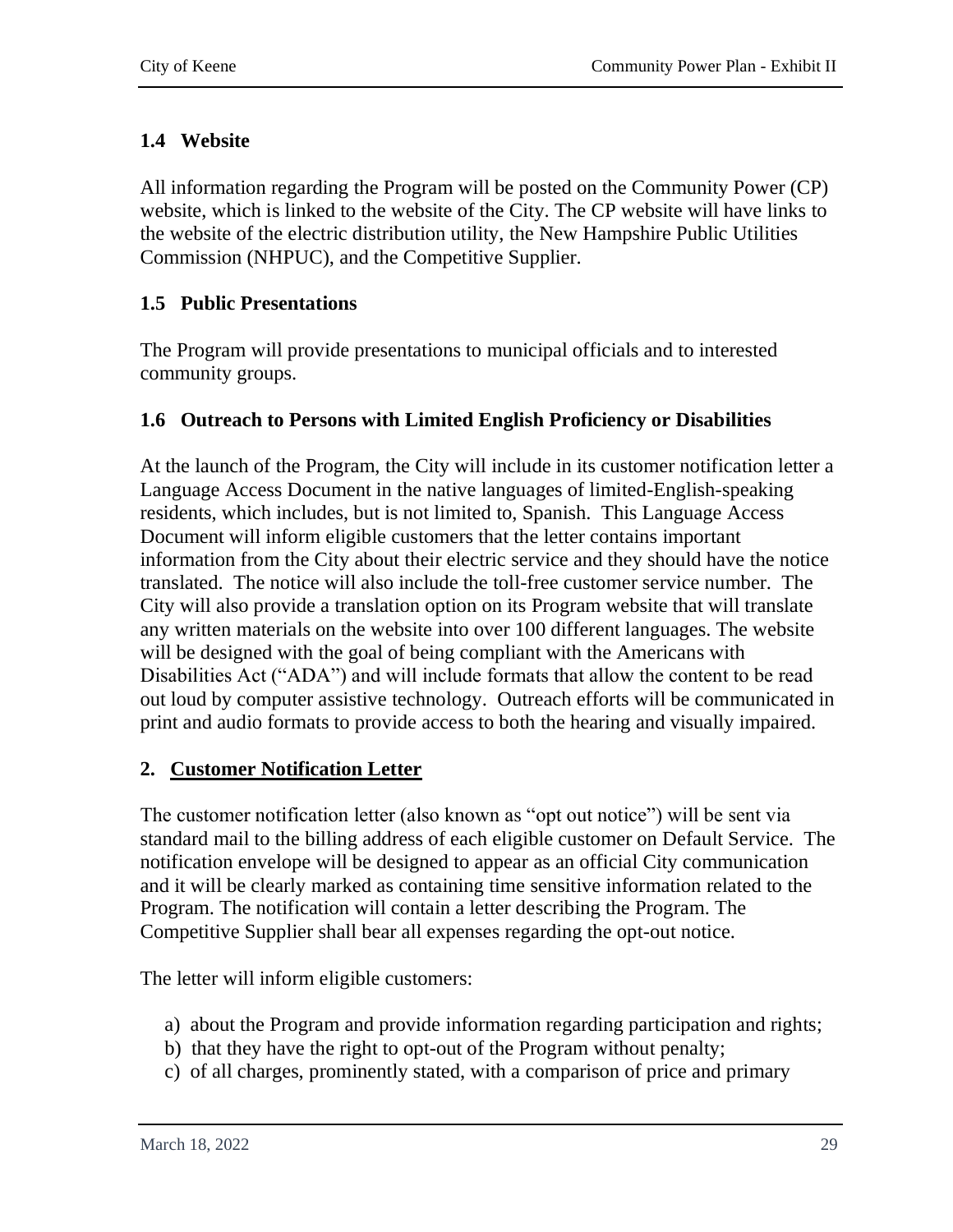### **1.4 Website**

All information regarding the Program will be posted on the Community Power (CP) website, which is linked to the website of the City. The CP website will have links to the website of the electric distribution utility, the New Hampshire Public Utilities Commission (NHPUC), and the Competitive Supplier.

### **1.5 Public Presentations**

The Program will provide presentations to municipal officials and to interested community groups.

### **1.6 Outreach to Persons with Limited English Proficiency or Disabilities**

At the launch of the Program, the City will include in its customer notification letter a Language Access Document in the native languages of limited-English-speaking residents, which includes, but is not limited to, Spanish. This Language Access Document will inform eligible customers that the letter contains important information from the City about their electric service and they should have the notice translated. The notice will also include the toll-free customer service number. The City will also provide a translation option on its Program website that will translate any written materials on the website into over 100 different languages. The website will be designed with the goal of being compliant with the Americans with Disabilities Act ("ADA") and will include formats that allow the content to be read out loud by computer assistive technology. Outreach efforts will be communicated in print and audio formats to provide access to both the hearing and visually impaired.

### **2. Customer Notification Letter**

The customer notification letter (also known as "opt out notice") will be sent via standard mail to the billing address of each eligible customer on Default Service. The notification envelope will be designed to appear as an official City communication and it will be clearly marked as containing time sensitive information related to the Program. The notification will contain a letter describing the Program. The Competitive Supplier shall bear all expenses regarding the opt-out notice.

The letter will inform eligible customers:

- a) about the Program and provide information regarding participation and rights;
- b) that they have the right to opt-out of the Program without penalty;
- c) of all charges, prominently stated, with a comparison of price and primary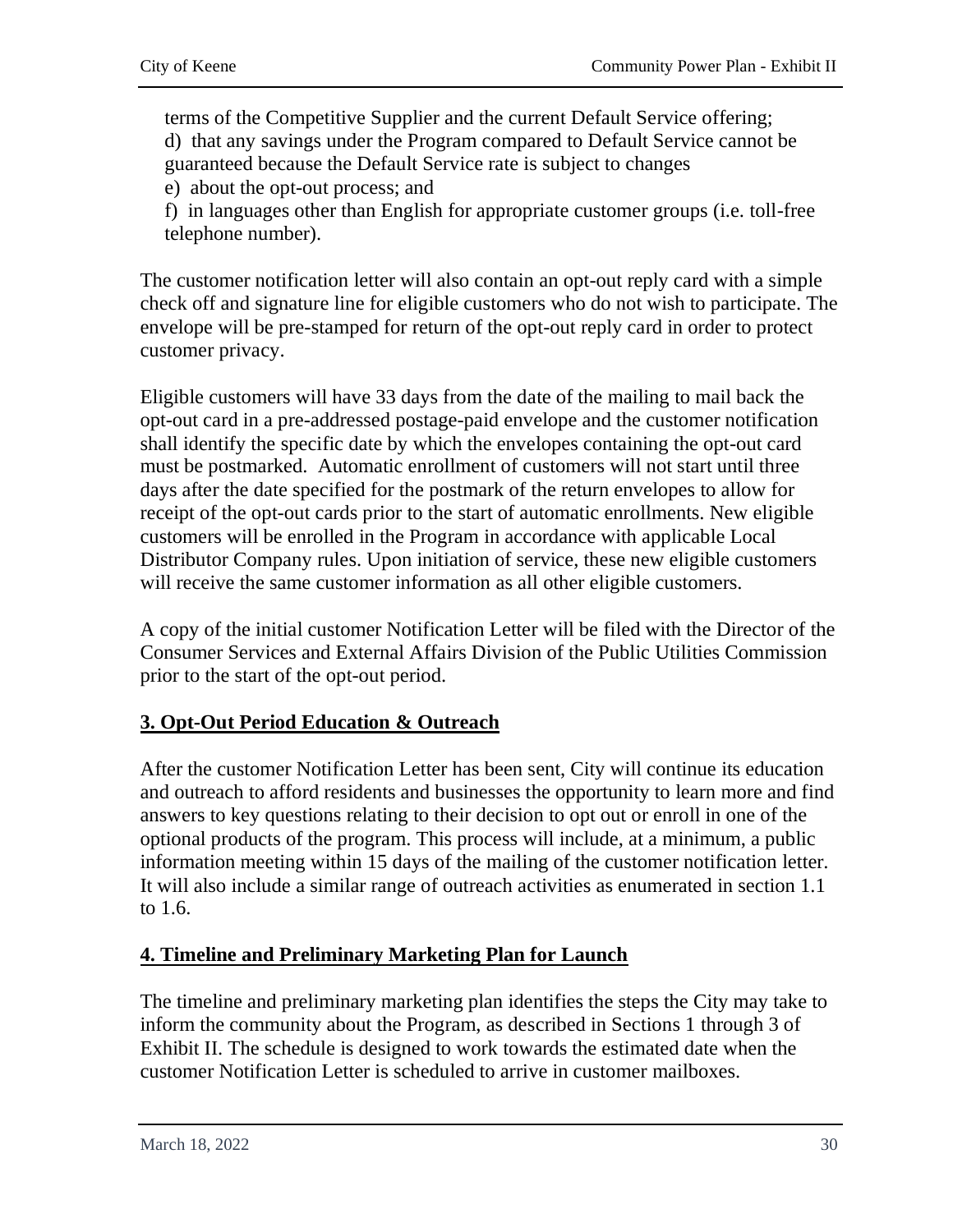terms of the Competitive Supplier and the current Default Service offering; d) that any savings under the Program compared to Default Service cannot be guaranteed because the Default Service rate is subject to changes

e) about the opt-out process; and

f) in languages other than English for appropriate customer groups (i.e. toll-free telephone number).

The customer notification letter will also contain an opt-out reply card with a simple check off and signature line for eligible customers who do not wish to participate. The envelope will be pre-stamped for return of the opt-out reply card in order to protect customer privacy.

Eligible customers will have 33 days from the date of the mailing to mail back the opt-out card in a pre-addressed postage-paid envelope and the customer notification shall identify the specific date by which the envelopes containing the opt-out card must be postmarked. Automatic enrollment of customers will not start until three days after the date specified for the postmark of the return envelopes to allow for receipt of the opt-out cards prior to the start of automatic enrollments. New eligible customers will be enrolled in the Program in accordance with applicable Local Distributor Company rules. Upon initiation of service, these new eligible customers will receive the same customer information as all other eligible customers.

A copy of the initial customer Notification Letter will be filed with the Director of the Consumer Services and External Affairs Division of the Public Utilities Commission prior to the start of the opt-out period.

### **3. Opt-Out Period Education & Outreach**

After the customer Notification Letter has been sent, City will continue its education and outreach to afford residents and businesses the opportunity to learn more and find answers to key questions relating to their decision to opt out or enroll in one of the optional products of the program. This process will include, at a minimum, a public information meeting within 15 days of the mailing of the customer notification letter. It will also include a similar range of outreach activities as enumerated in section 1.1 to 1.6.

### **4. Timeline and Preliminary Marketing Plan for Launch**

The timeline and preliminary marketing plan identifies the steps the City may take to inform the community about the Program, as described in Sections 1 through 3 of Exhibit II. The schedule is designed to work towards the estimated date when the customer Notification Letter is scheduled to arrive in customer mailboxes.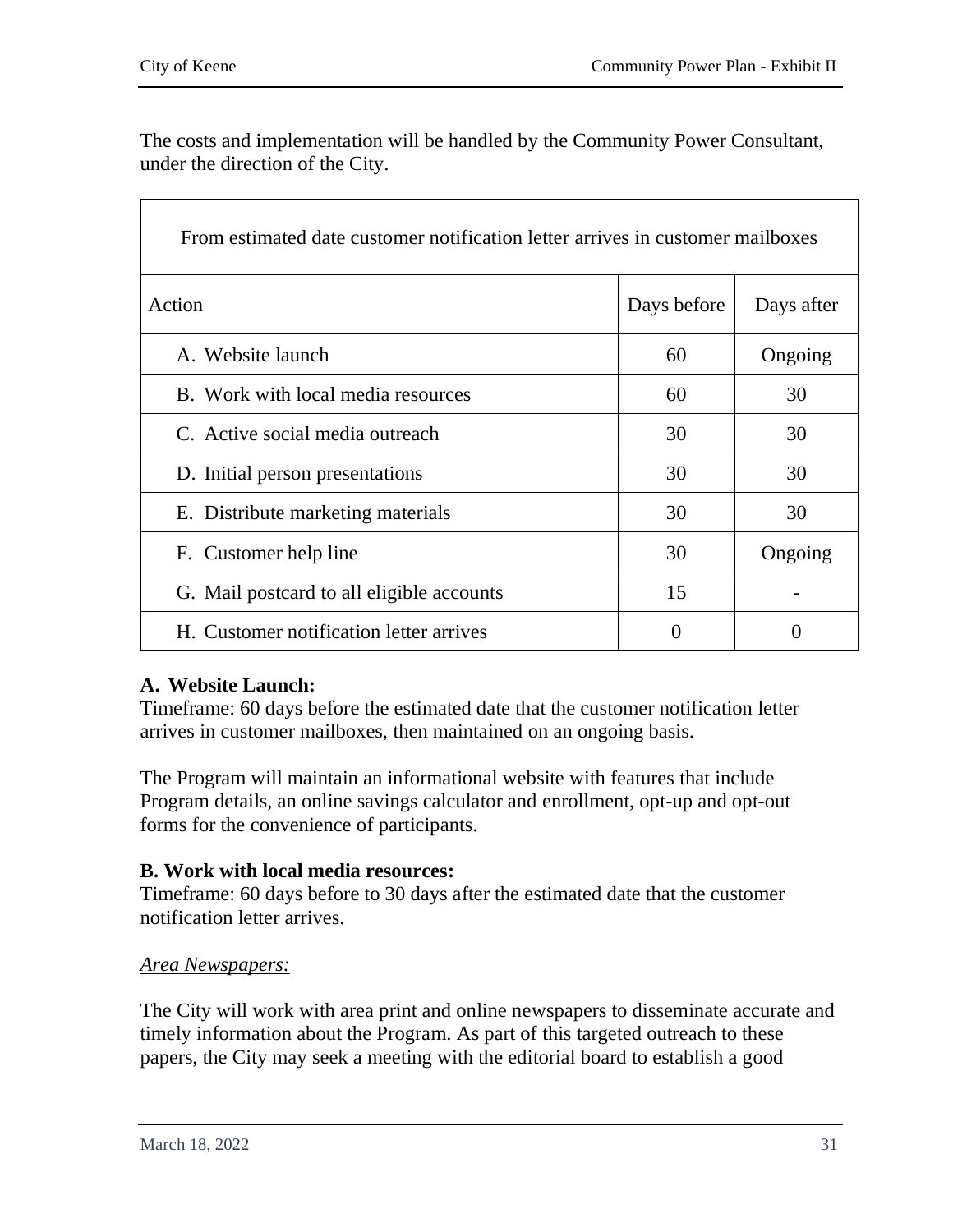$\overline{\Gamma}$ 

٦

The costs and implementation will be handled by the Community Power Consultant, under the direction of the City.

| From estimated date customer notification letter arrives in customer mailboxes |             |            |  |  |
|--------------------------------------------------------------------------------|-------------|------------|--|--|
| Action                                                                         | Days before | Days after |  |  |
| A. Website launch                                                              | 60          | Ongoing    |  |  |
| B. Work with local media resources                                             | 60          | 30         |  |  |
| C. Active social media outreach                                                | 30          | 30         |  |  |
| D. Initial person presentations                                                | 30          | 30         |  |  |
| E. Distribute marketing materials                                              | 30          | 30         |  |  |
| F. Customer help line                                                          | 30          | Ongoing    |  |  |
| G. Mail postcard to all eligible accounts                                      | 15          |            |  |  |
| H. Customer notification letter arrives                                        | 0           |            |  |  |

### **A. Website Launch:**

Timeframe: 60 days before the estimated date that the customer notification letter arrives in customer mailboxes, then maintained on an ongoing basis.

The Program will maintain an informational website with features that include Program details, an online savings calculator and enrollment, opt-up and opt-out forms for the convenience of participants.

### **B. Work with local media resources:**

Timeframe: 60 days before to 30 days after the estimated date that the customer notification letter arrives.

### *Area Newspapers:*

The City will work with area print and online newspapers to disseminate accurate and timely information about the Program. As part of this targeted outreach to these papers, the City may seek a meeting with the editorial board to establish a good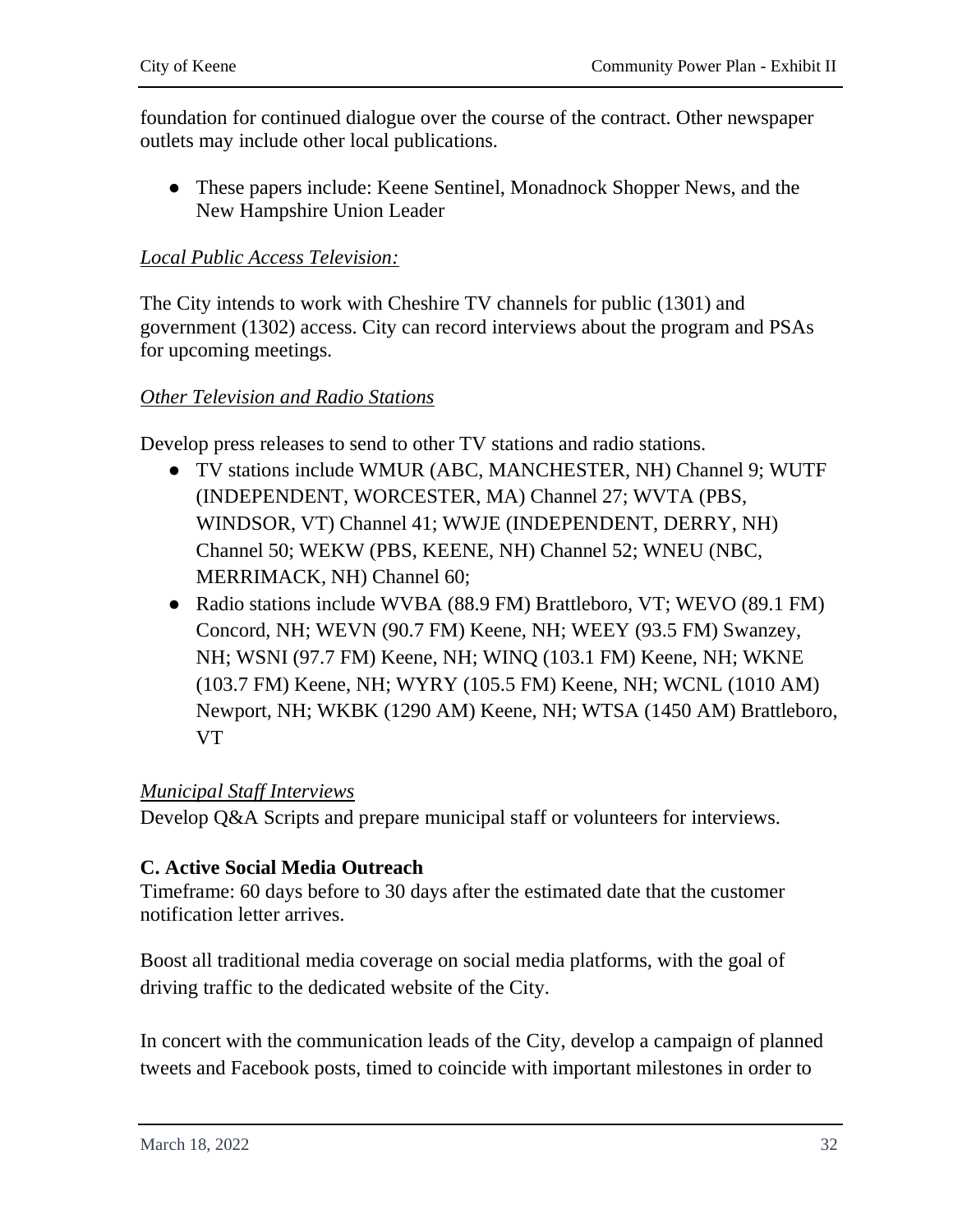foundation for continued dialogue over the course of the contract. Other newspaper outlets may include other local publications.

● These papers include: Keene Sentinel, Monadnock Shopper News, and the New Hampshire Union Leader

### *Local Public Access Television:*

The City intends to work with Cheshire TV channels for public (1301) and government (1302) access. City can record interviews about the program and PSAs for upcoming meetings.

#### *Other Television and Radio Stations*

Develop press releases to send to other TV stations and radio stations.

- TV stations include WMUR (ABC, MANCHESTER, NH) Channel 9; WUTF (INDEPENDENT, WORCESTER, MA) Channel 27; WVTA (PBS, WINDSOR, VT) Channel 41; WWJE (INDEPENDENT, DERRY, NH) Channel 50; WEKW (PBS, KEENE, NH) Channel 52; WNEU (NBC, MERRIMACK, NH) Channel 60;
- Radio stations include WVBA (88.9 FM) Brattleboro, VT; WEVO (89.1 FM) Concord, NH; WEVN (90.7 FM) Keene, NH; WEEY (93.5 FM) Swanzey, NH; WSNI (97.7 FM) Keene, NH; WINQ (103.1 FM) Keene, NH; WKNE (103.7 FM) Keene, NH; WYRY (105.5 FM) Keene, NH; WCNL (1010 AM) Newport, NH; WKBK (1290 AM) Keene, NH; WTSA (1450 AM) Brattleboro, VT

#### *Municipal Staff Interviews*

Develop Q&A Scripts and prepare municipal staff or volunteers for interviews.

#### **C. Active Social Media Outreach**

Timeframe: 60 days before to 30 days after the estimated date that the customer notification letter arrives.

Boost all traditional media coverage on social media platforms, with the goal of driving traffic to the dedicated website of the City.

In concert with the communication leads of the City, develop a campaign of planned tweets and Facebook posts, timed to coincide with important milestones in order to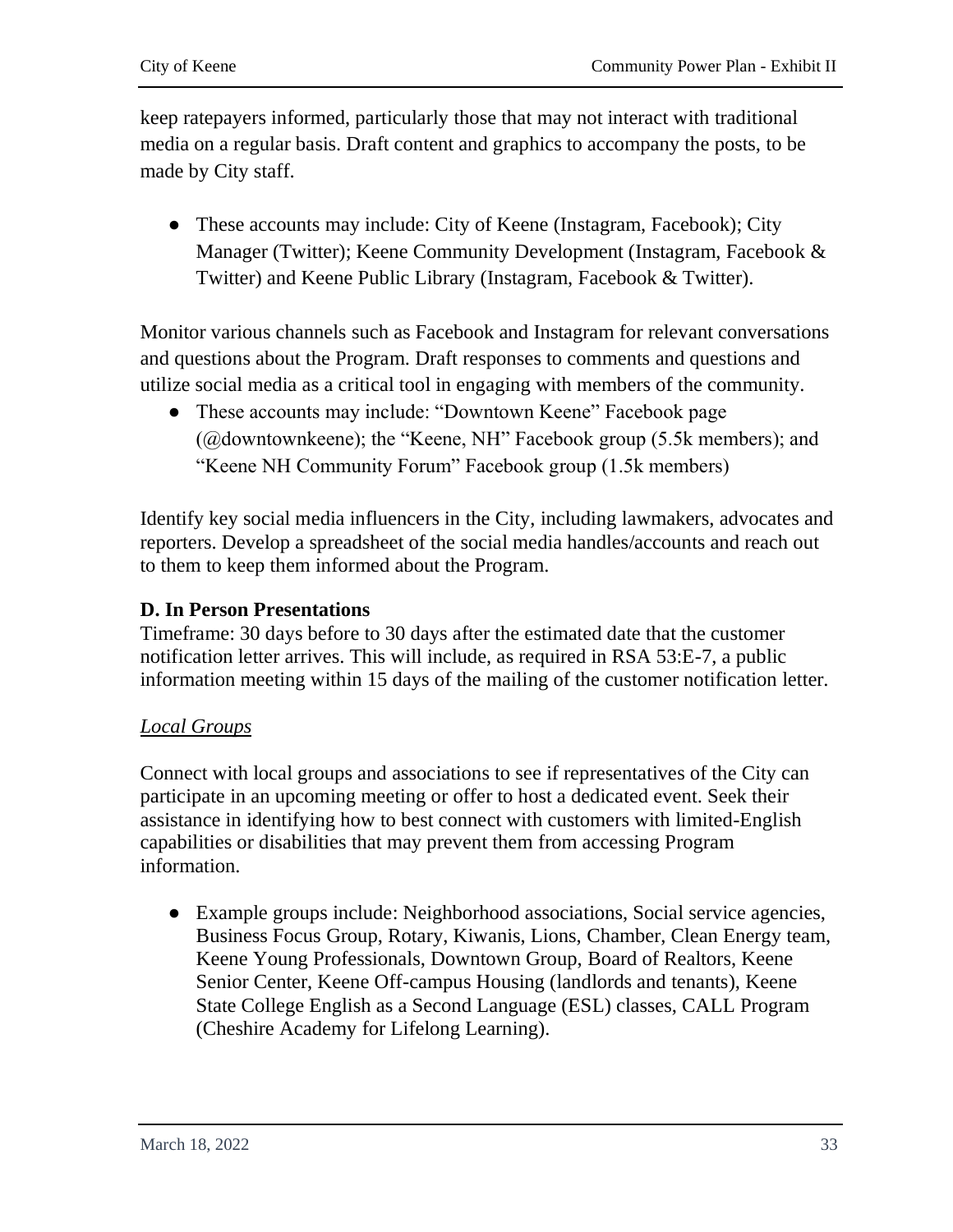keep ratepayers informed, particularly those that may not interact with traditional media on a regular basis. Draft content and graphics to accompany the posts, to be made by City staff.

• These accounts may include: City of Keene (Instagram, Facebook); City Manager (Twitter); Keene Community Development (Instagram, Facebook & Twitter) and Keene Public Library (Instagram, Facebook & Twitter).

Monitor various channels such as Facebook and Instagram for relevant conversations and questions about the Program. Draft responses to comments and questions and utilize social media as a critical tool in engaging with members of the community.

• These accounts may include: "Downtown Keene" Facebook page (@downtownkeene); the "Keene, NH" Facebook group (5.5k members); and "Keene NH Community Forum" Facebook group (1.5k members)

Identify key social media influencers in the City, including lawmakers, advocates and reporters. Develop a spreadsheet of the social media handles/accounts and reach out to them to keep them informed about the Program.

### **D. In Person Presentations**

Timeframe: 30 days before to 30 days after the estimated date that the customer notification letter arrives. This will include, as required in RSA 53:E-7, a public information meeting within 15 days of the mailing of the customer notification letter.

### *Local Groups*

Connect with local groups and associations to see if representatives of the City can participate in an upcoming meeting or offer to host a dedicated event. Seek their assistance in identifying how to best connect with customers with limited-English capabilities or disabilities that may prevent them from accessing Program information.

● Example groups include: Neighborhood associations, Social service agencies, Business Focus Group, Rotary, Kiwanis, Lions, Chamber, Clean Energy team, Keene Young Professionals, Downtown Group, Board of Realtors, Keene Senior Center, Keene Off-campus Housing (landlords and tenants), Keene State College English as a Second Language (ESL) classes, CALL Program (Cheshire Academy for Lifelong Learning).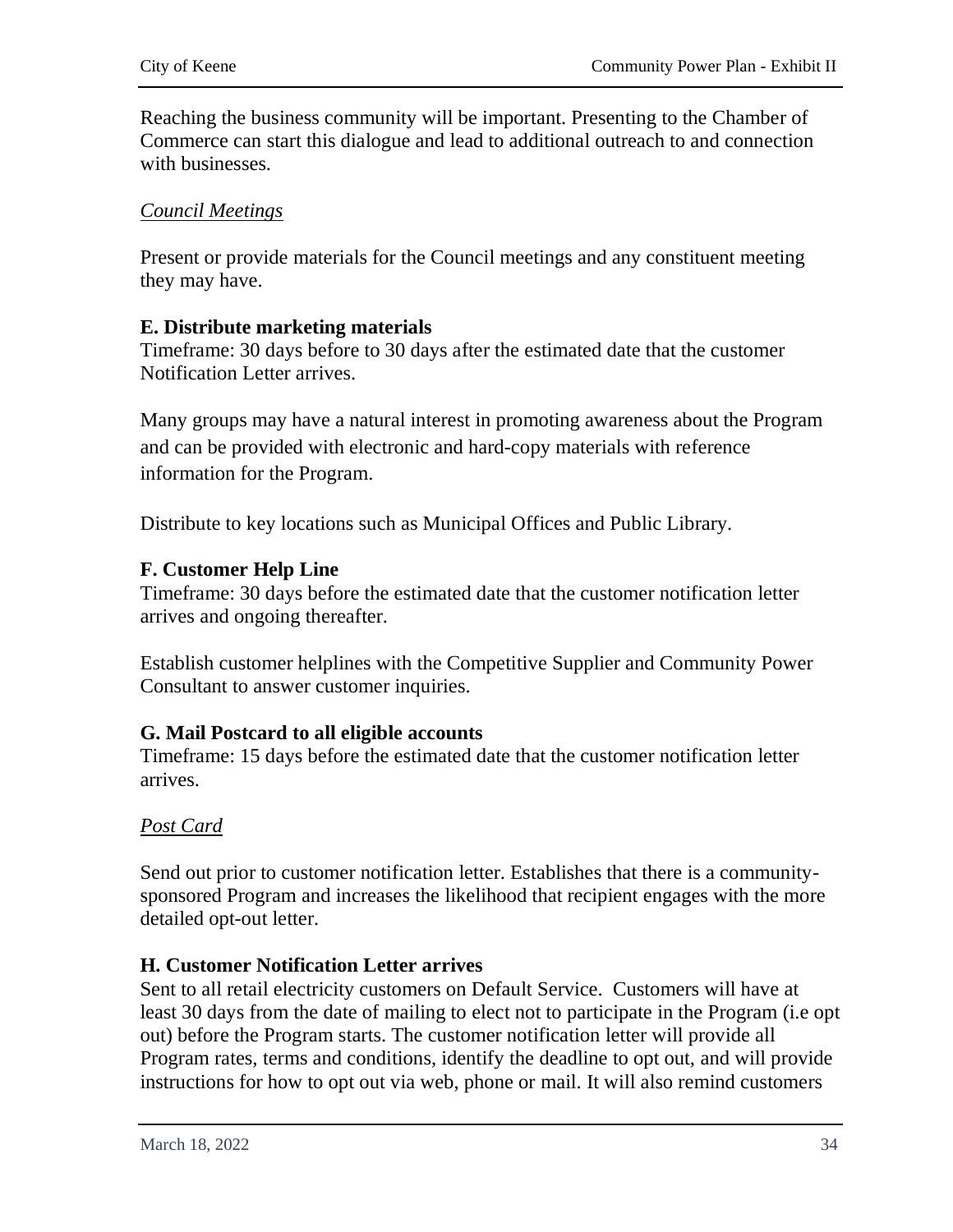Reaching the business community will be important. Presenting to the Chamber of Commerce can start this dialogue and lead to additional outreach to and connection with businesses.

### *Council Meetings*

Present or provide materials for the Council meetings and any constituent meeting they may have.

### **E. Distribute marketing materials**

Timeframe: 30 days before to 30 days after the estimated date that the customer Notification Letter arrives.

Many groups may have a natural interest in promoting awareness about the Program and can be provided with electronic and hard-copy materials with reference information for the Program.

Distribute to key locations such as Municipal Offices and Public Library.

### **F. Customer Help Line**

Timeframe: 30 days before the estimated date that the customer notification letter arrives and ongoing thereafter.

Establish customer helplines with the Competitive Supplier and Community Power Consultant to answer customer inquiries.

### **G. Mail Postcard to all eligible accounts**

Timeframe: 15 days before the estimated date that the customer notification letter arrives.

### *Post Card*

Send out prior to customer notification letter. Establishes that there is a communitysponsored Program and increases the likelihood that recipient engages with the more detailed opt-out letter.

### **H. Customer Notification Letter arrives**

Sent to all retail electricity customers on Default Service. Customers will have at least 30 days from the date of mailing to elect not to participate in the Program (i.e opt out) before the Program starts. The customer notification letter will provide all Program rates, terms and conditions, identify the deadline to opt out, and will provide instructions for how to opt out via web, phone or mail. It will also remind customers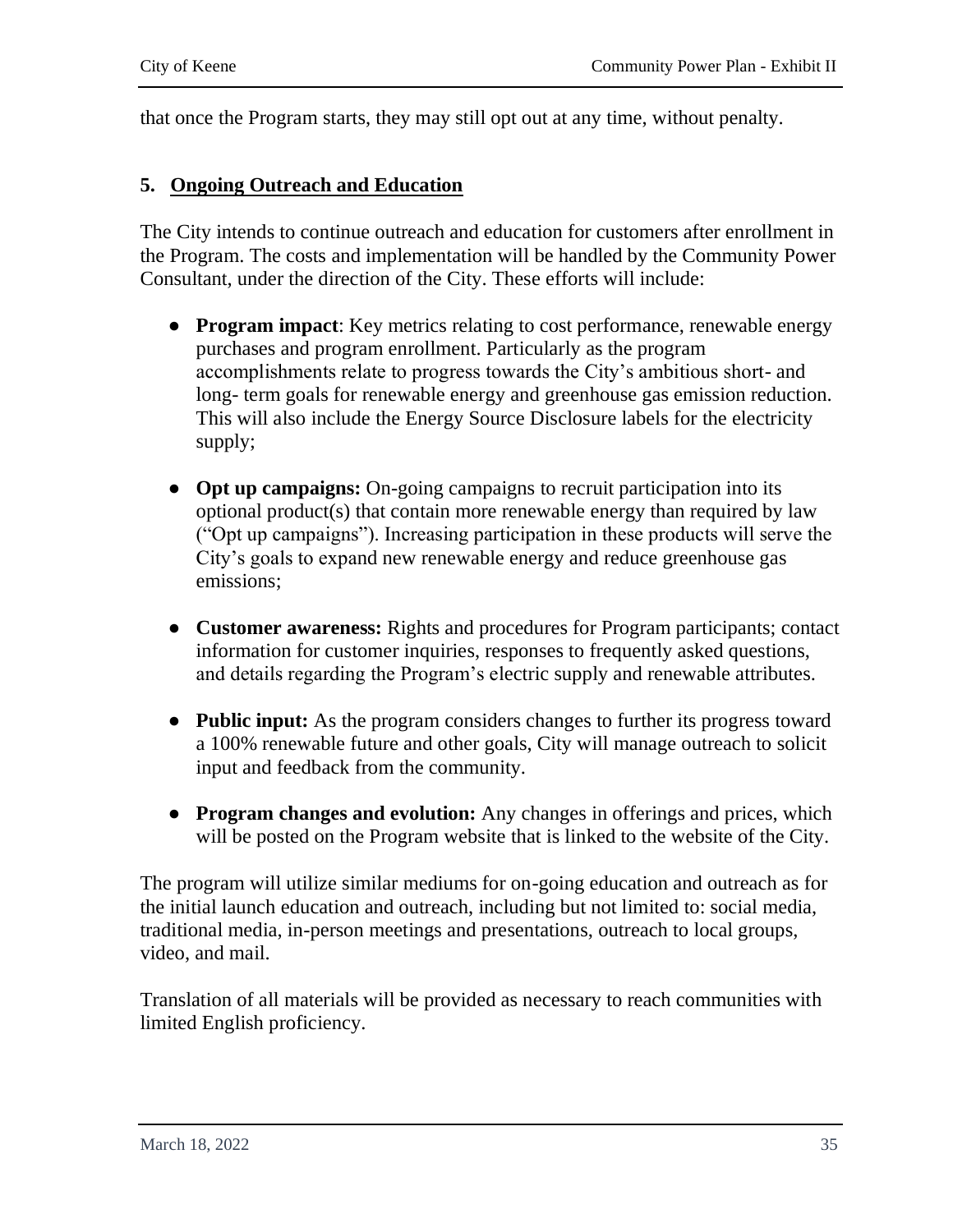that once the Program starts, they may still opt out at any time, without penalty.

### **5. Ongoing Outreach and Education**

The City intends to continue outreach and education for customers after enrollment in the Program. The costs and implementation will be handled by the Community Power Consultant, under the direction of the City. These efforts will include:

- **Program impact**: Key metrics relating to cost performance, renewable energy purchases and program enrollment. Particularly as the program accomplishments relate to progress towards the City's ambitious short- and long- term goals for renewable energy and greenhouse gas emission reduction. This will also include the Energy Source Disclosure labels for the electricity supply;
- **Opt up campaigns:** On-going campaigns to recruit participation into its optional product(s) that contain more renewable energy than required by law ("Opt up campaigns"). Increasing participation in these products will serve the City's goals to expand new renewable energy and reduce greenhouse gas emissions;
- **Customer awareness:** Rights and procedures for Program participants; contact information for customer inquiries, responses to frequently asked questions, and details regarding the Program's electric supply and renewable attributes.
- **Public input:** As the program considers changes to further its progress toward a 100% renewable future and other goals, City will manage outreach to solicit input and feedback from the community.
- **Program changes and evolution:** Any changes in offerings and prices, which will be posted on the Program website that is linked to the website of the City.

The program will utilize similar mediums for on-going education and outreach as for the initial launch education and outreach, including but not limited to: social media, traditional media, in-person meetings and presentations, outreach to local groups, video, and mail.

Translation of all materials will be provided as necessary to reach communities with limited English proficiency.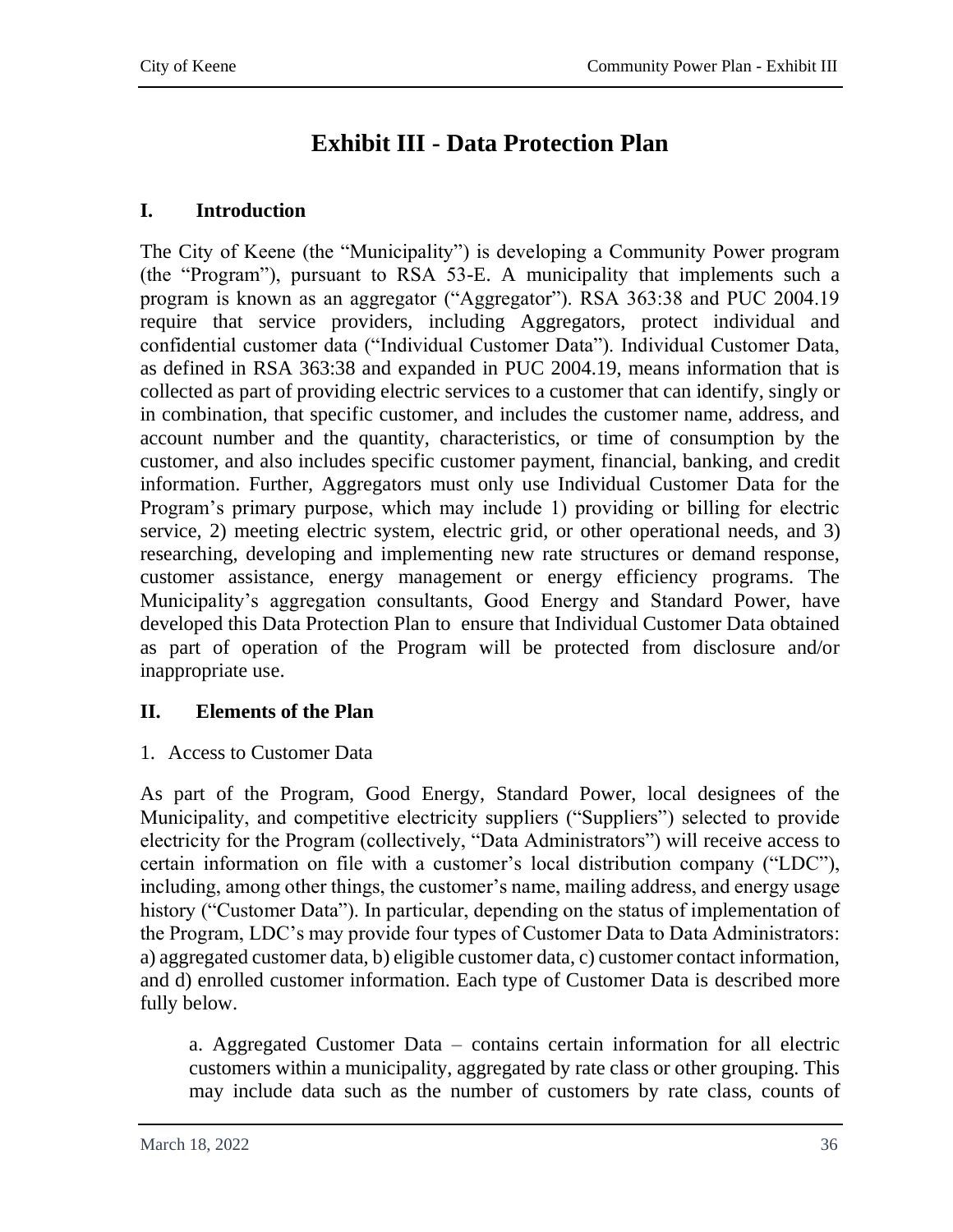# **Exhibit III - Data Protection Plan**

### <span id="page-37-0"></span>**I. Introduction**

The City of Keene (the "Municipality") is developing a Community Power program (the "Program"), pursuant to RSA 53-E. A municipality that implements such a program is known as an aggregator ("Aggregator"). RSA 363:38 and PUC 2004.19 require that service providers, including Aggregators, protect individual and confidential customer data ("Individual Customer Data"). Individual Customer Data, as defined in RSA 363:38 and expanded in PUC 2004.19, means information that is collected as part of providing electric services to a customer that can identify, singly or in combination, that specific customer, and includes the customer name, address, and account number and the quantity, characteristics, or time of consumption by the customer, and also includes specific customer payment, financial, banking, and credit information. Further, Aggregators must only use Individual Customer Data for the Program's primary purpose, which may include 1) providing or billing for electric service, 2) meeting electric system, electric grid, or other operational needs, and 3) researching, developing and implementing new rate structures or demand response, customer assistance, energy management or energy efficiency programs. The Municipality's aggregation consultants, Good Energy and Standard Power, have developed this Data Protection Plan to ensure that Individual Customer Data obtained as part of operation of the Program will be protected from disclosure and/or inappropriate use.

### **II. Elements of the Plan**

1. Access to Customer Data

As part of the Program, Good Energy, Standard Power, local designees of the Municipality, and competitive electricity suppliers ("Suppliers") selected to provide electricity for the Program (collectively, "Data Administrators") will receive access to certain information on file with a customer's local distribution company ("LDC"), including, among other things, the customer's name, mailing address, and energy usage history ("Customer Data"). In particular, depending on the status of implementation of the Program, LDC's may provide four types of Customer Data to Data Administrators: a) aggregated customer data, b) eligible customer data, c) customer contact information, and d) enrolled customer information. Each type of Customer Data is described more fully below.

a. Aggregated Customer Data – contains certain information for all electric customers within a municipality, aggregated by rate class or other grouping. This may include data such as the number of customers by rate class, counts of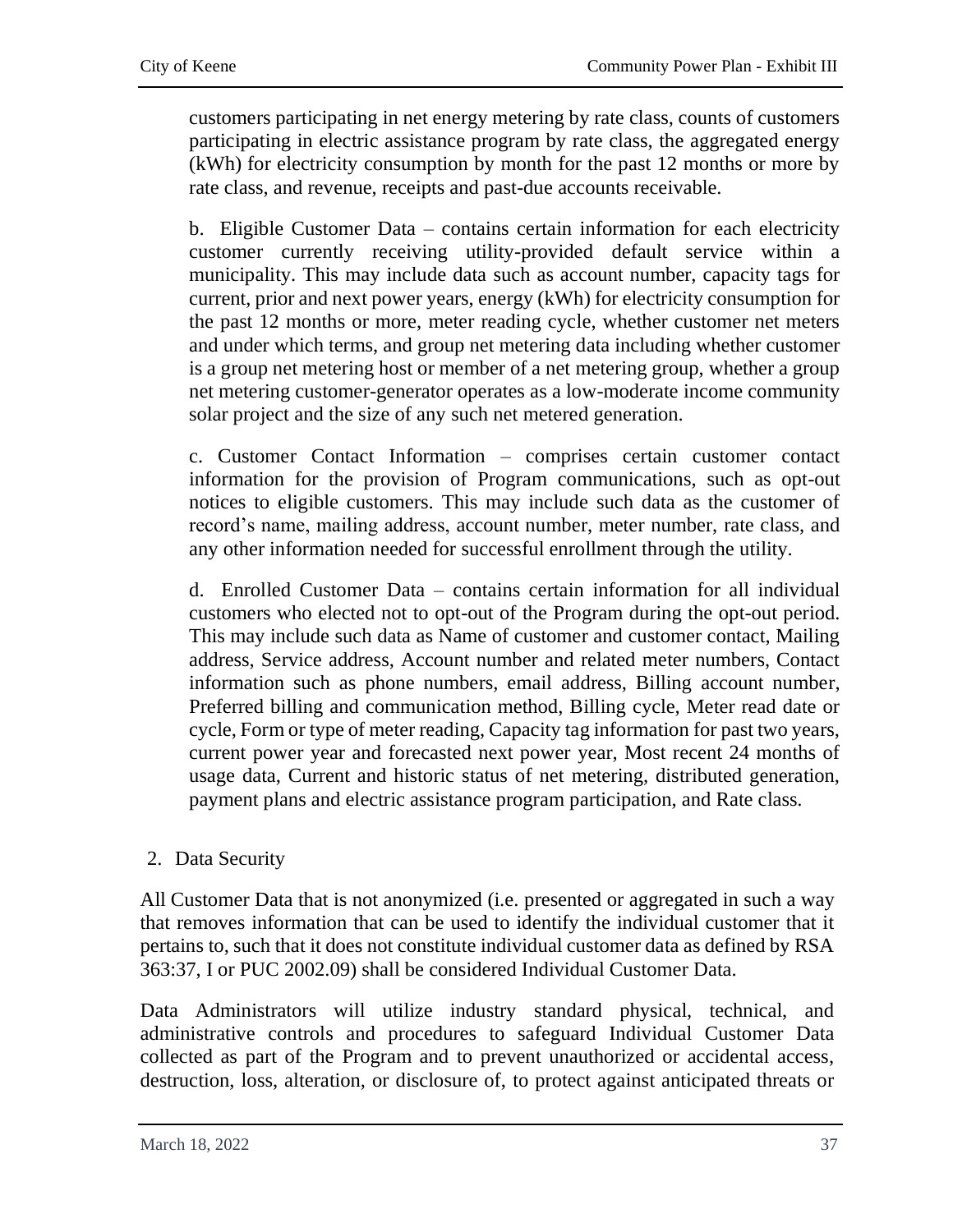customers participating in net energy metering by rate class, counts of customers participating in electric assistance program by rate class, the aggregated energy (kWh) for electricity consumption by month for the past 12 months or more by rate class, and revenue, receipts and past-due accounts receivable.

b. Eligible Customer Data – contains certain information for each electricity customer currently receiving utility-provided default service within a municipality. This may include data such as account number, capacity tags for current, prior and next power years, energy (kWh) for electricity consumption for the past 12 months or more, meter reading cycle, whether customer net meters and under which terms, and group net metering data including whether customer is a group net metering host or member of a net metering group, whether a group net metering customer-generator operates as a low-moderate income community solar project and the size of any such net metered generation.

c. Customer Contact Information – comprises certain customer contact information for the provision of Program communications, such as opt-out notices to eligible customers. This may include such data as the customer of record's name, mailing address, account number, meter number, rate class, and any other information needed for successful enrollment through the utility.

d. Enrolled Customer Data – contains certain information for all individual customers who elected not to opt-out of the Program during the opt-out period. This may include such data as Name of customer and customer contact, Mailing address, Service address, Account number and related meter numbers, Contact information such as phone numbers, email address, Billing account number, Preferred billing and communication method, Billing cycle, Meter read date or cycle, Form or type of meter reading, Capacity tag information for past two years, current power year and forecasted next power year, Most recent 24 months of usage data, Current and historic status of net metering, distributed generation, payment plans and electric assistance program participation, and Rate class.

### 2. Data Security

All Customer Data that is not anonymized (i.e. presented or aggregated in such a way that removes information that can be used to identify the individual customer that it pertains to, such that it does not constitute individual customer data as defined by RSA 363:37, I or PUC 2002.09) shall be considered Individual Customer Data.

Data Administrators will utilize industry standard physical, technical, and administrative controls and procedures to safeguard Individual Customer Data collected as part of the Program and to prevent unauthorized or accidental access, destruction, loss, alteration, or disclosure of, to protect against anticipated threats or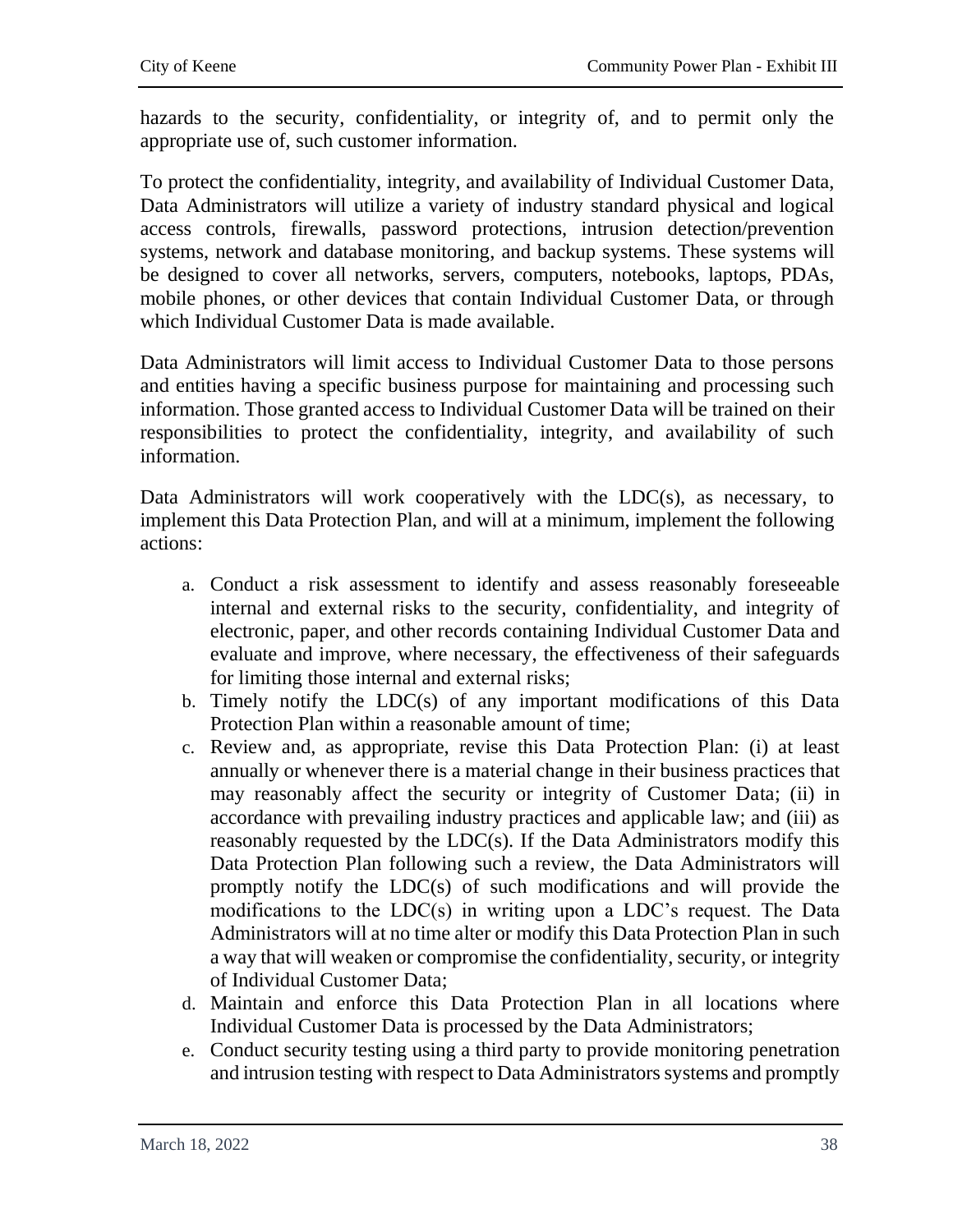hazards to the security, confidentiality, or integrity of, and to permit only the appropriate use of, such customer information.

To protect the confidentiality, integrity, and availability of Individual Customer Data, Data Administrators will utilize a variety of industry standard physical and logical access controls, firewalls, password protections, intrusion detection/prevention systems, network and database monitoring, and backup systems. These systems will be designed to cover all networks, servers, computers, notebooks, laptops, PDAs, mobile phones, or other devices that contain Individual Customer Data, or through which Individual Customer Data is made available.

Data Administrators will limit access to Individual Customer Data to those persons and entities having a specific business purpose for maintaining and processing such information. Those granted access to Individual Customer Data will be trained on their responsibilities to protect the confidentiality, integrity, and availability of such information.

Data Administrators will work cooperatively with the LDC(s), as necessary, to implement this Data Protection Plan, and will at a minimum, implement the following actions:

- a. Conduct a risk assessment to identify and assess reasonably foreseeable internal and external risks to the security, confidentiality, and integrity of electronic, paper, and other records containing Individual Customer Data and evaluate and improve, where necessary, the effectiveness of their safeguards for limiting those internal and external risks;
- b. Timely notify the LDC(s) of any important modifications of this Data Protection Plan within a reasonable amount of time;
- c. Review and, as appropriate, revise this Data Protection Plan: (i) at least annually or whenever there is a material change in their business practices that may reasonably affect the security or integrity of Customer Data; (ii) in accordance with prevailing industry practices and applicable law; and (iii) as reasonably requested by the LDC(s). If the Data Administrators modify this Data Protection Plan following such a review, the Data Administrators will promptly notify the LDC(s) of such modifications and will provide the modifications to the LDC(s) in writing upon a LDC's request. The Data Administrators will at no time alter or modify this Data Protection Plan in such a way that will weaken or compromise the confidentiality, security, or integrity of Individual Customer Data;
- d. Maintain and enforce this Data Protection Plan in all locations where Individual Customer Data is processed by the Data Administrators;
- e. Conduct security testing using a third party to provide monitoring penetration and intrusion testing with respect to Data Administrators systems and promptly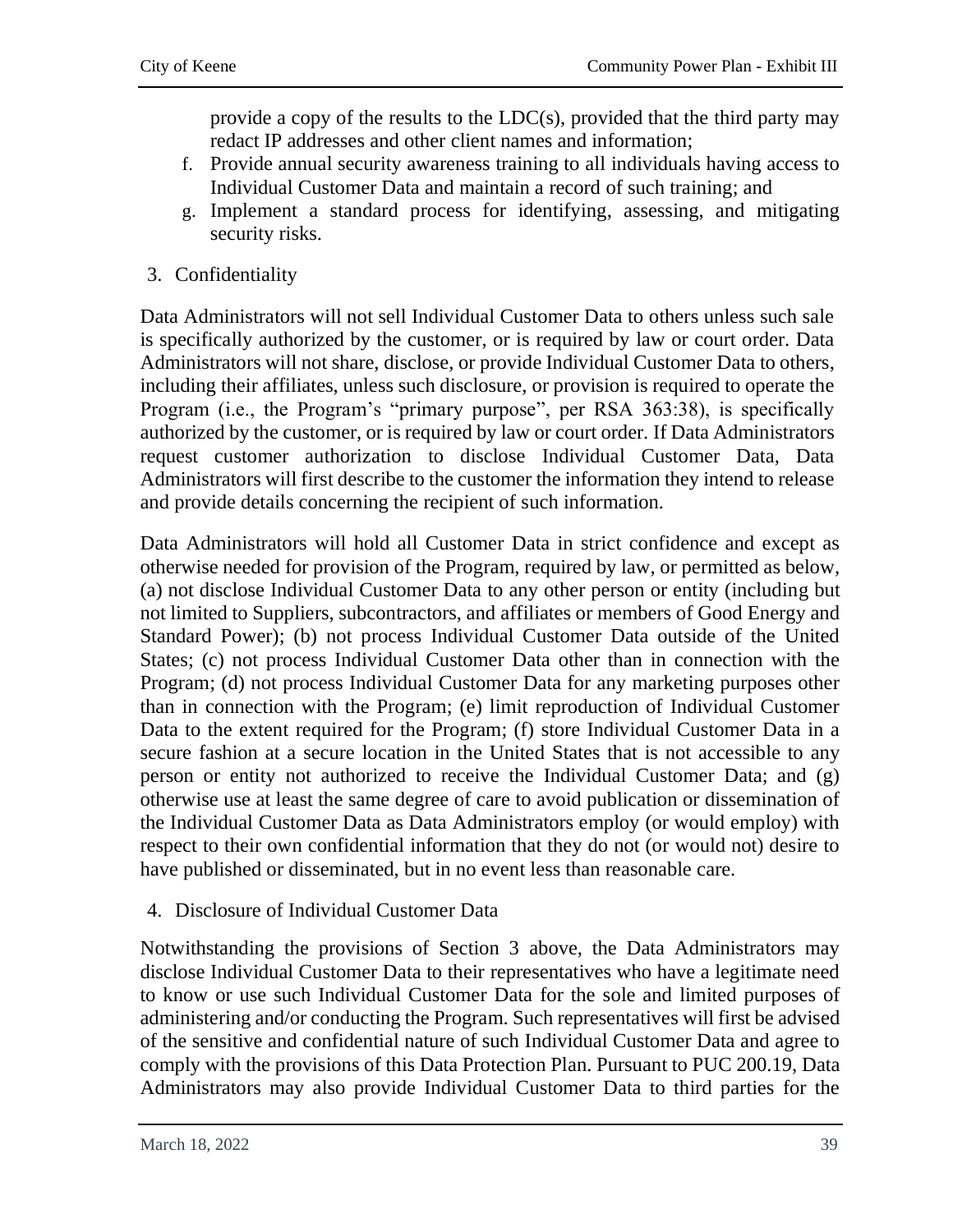provide a copy of the results to the LDC(s), provided that the third party may redact IP addresses and other client names and information;

- f. Provide annual security awareness training to all individuals having access to Individual Customer Data and maintain a record of such training; and
- g. Implement a standard process for identifying, assessing, and mitigating security risks.
- 3. Confidentiality

Data Administrators will not sell Individual Customer Data to others unless such sale is specifically authorized by the customer, or is required by law or court order. Data Administrators will not share, disclose, or provide Individual Customer Data to others, including their affiliates, unless such disclosure, or provision is required to operate the Program (i.e., the Program's "primary purpose", per RSA 363:38), is specifically authorized by the customer, or is required by law or court order. If Data Administrators request customer authorization to disclose Individual Customer Data, Data Administrators will first describe to the customer the information they intend to release and provide details concerning the recipient of such information.

Data Administrators will hold all Customer Data in strict confidence and except as otherwise needed for provision of the Program, required by law, or permitted as below, (a) not disclose Individual Customer Data to any other person or entity (including but not limited to Suppliers, subcontractors, and affiliates or members of Good Energy and Standard Power); (b) not process Individual Customer Data outside of the United States; (c) not process Individual Customer Data other than in connection with the Program; (d) not process Individual Customer Data for any marketing purposes other than in connection with the Program; (e) limit reproduction of Individual Customer Data to the extent required for the Program; (f) store Individual Customer Data in a secure fashion at a secure location in the United States that is not accessible to any person or entity not authorized to receive the Individual Customer Data; and (g) otherwise use at least the same degree of care to avoid publication or dissemination of the Individual Customer Data as Data Administrators employ (or would employ) with respect to their own confidential information that they do not (or would not) desire to have published or disseminated, but in no event less than reasonable care.

4. Disclosure of Individual Customer Data

Notwithstanding the provisions of Section 3 above, the Data Administrators may disclose Individual Customer Data to their representatives who have a legitimate need to know or use such Individual Customer Data for the sole and limited purposes of administering and/or conducting the Program. Such representatives will first be advised of the sensitive and confidential nature of such Individual Customer Data and agree to comply with the provisions of this Data Protection Plan. Pursuant to PUC 200.19, Data Administrators may also provide Individual Customer Data to third parties for the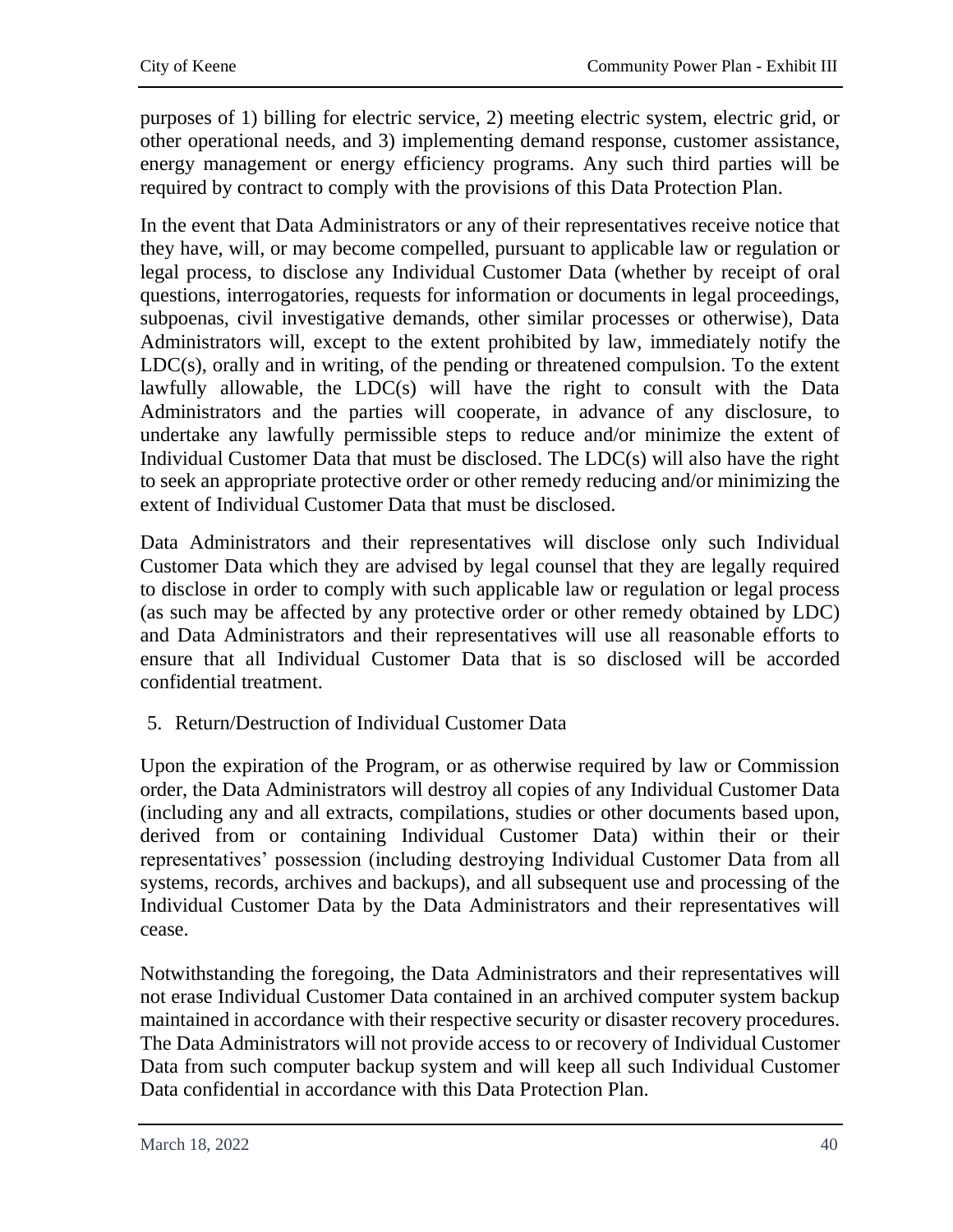purposes of 1) billing for electric service, 2) meeting electric system, electric grid, or other operational needs, and 3) implementing demand response, customer assistance, energy management or energy efficiency programs. Any such third parties will be required by contract to comply with the provisions of this Data Protection Plan.

In the event that Data Administrators or any of their representatives receive notice that they have, will, or may become compelled, pursuant to applicable law or regulation or legal process, to disclose any Individual Customer Data (whether by receipt of oral questions, interrogatories, requests for information or documents in legal proceedings, subpoenas, civil investigative demands, other similar processes or otherwise), Data Administrators will, except to the extent prohibited by law, immediately notify the LDC(s), orally and in writing, of the pending or threatened compulsion. To the extent lawfully allowable, the LDC(s) will have the right to consult with the Data Administrators and the parties will cooperate, in advance of any disclosure, to undertake any lawfully permissible steps to reduce and/or minimize the extent of Individual Customer Data that must be disclosed. The LDC(s) will also have the right to seek an appropriate protective order or other remedy reducing and/or minimizing the extent of Individual Customer Data that must be disclosed.

Data Administrators and their representatives will disclose only such Individual Customer Data which they are advised by legal counsel that they are legally required to disclose in order to comply with such applicable law or regulation or legal process (as such may be affected by any protective order or other remedy obtained by LDC) and Data Administrators and their representatives will use all reasonable efforts to ensure that all Individual Customer Data that is so disclosed will be accorded confidential treatment.

5. Return/Destruction of Individual Customer Data

Upon the expiration of the Program, or as otherwise required by law or Commission order, the Data Administrators will destroy all copies of any Individual Customer Data (including any and all extracts, compilations, studies or other documents based upon, derived from or containing Individual Customer Data) within their or their representatives' possession (including destroying Individual Customer Data from all systems, records, archives and backups), and all subsequent use and processing of the Individual Customer Data by the Data Administrators and their representatives will cease.

Notwithstanding the foregoing, the Data Administrators and their representatives will not erase Individual Customer Data contained in an archived computer system backup maintained in accordance with their respective security or disaster recovery procedures. The Data Administrators will not provide access to or recovery of Individual Customer Data from such computer backup system and will keep all such Individual Customer Data confidential in accordance with this Data Protection Plan.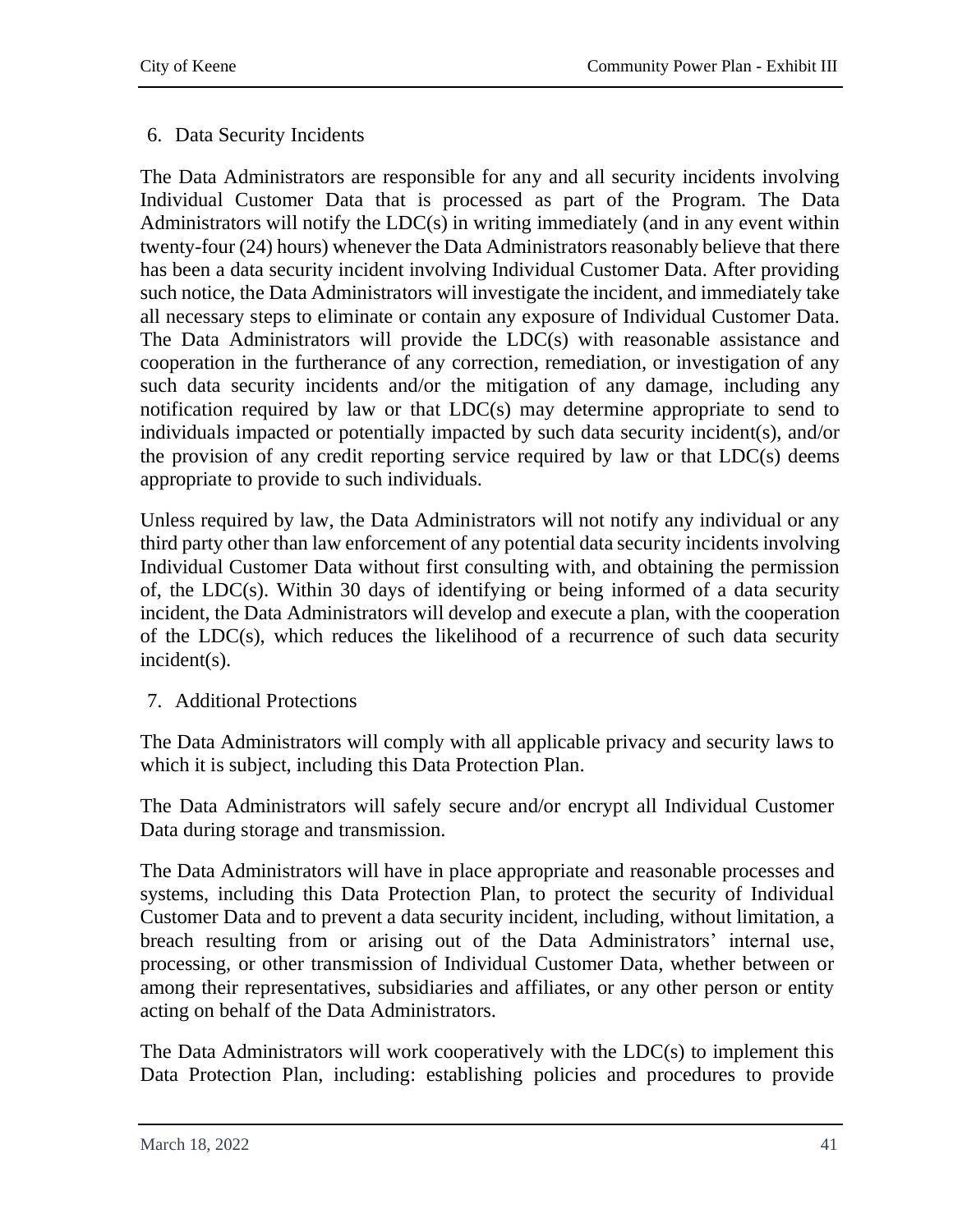### 6. Data Security Incidents

The Data Administrators are responsible for any and all security incidents involving Individual Customer Data that is processed as part of the Program. The Data Administrators will notify the LDC(s) in writing immediately (and in any event within twenty-four (24) hours) whenever the Data Administrators reasonably believe that there has been a data security incident involving Individual Customer Data. After providing such notice, the Data Administrators will investigate the incident, and immediately take all necessary steps to eliminate or contain any exposure of Individual Customer Data. The Data Administrators will provide the LDC(s) with reasonable assistance and cooperation in the furtherance of any correction, remediation, or investigation of any such data security incidents and/or the mitigation of any damage, including any notification required by law or that LDC(s) may determine appropriate to send to individuals impacted or potentially impacted by such data security incident(s), and/or the provision of any credit reporting service required by law or that LDC(s) deems appropriate to provide to such individuals.

Unless required by law, the Data Administrators will not notify any individual or any third party other than law enforcement of any potential data security incidents involving Individual Customer Data without first consulting with, and obtaining the permission of, the LDC(s). Within 30 days of identifying or being informed of a data security incident, the Data Administrators will develop and execute a plan, with the cooperation of the LDC(s), which reduces the likelihood of a recurrence of such data security incident(s).

### 7. Additional Protections

The Data Administrators will comply with all applicable privacy and security laws to which it is subject, including this Data Protection Plan.

The Data Administrators will safely secure and/or encrypt all Individual Customer Data during storage and transmission.

The Data Administrators will have in place appropriate and reasonable processes and systems, including this Data Protection Plan, to protect the security of Individual Customer Data and to prevent a data security incident, including, without limitation, a breach resulting from or arising out of the Data Administrators' internal use, processing, or other transmission of Individual Customer Data, whether between or among their representatives, subsidiaries and affiliates, or any other person or entity acting on behalf of the Data Administrators.

The Data Administrators will work cooperatively with the LDC(s) to implement this Data Protection Plan, including: establishing policies and procedures to provide